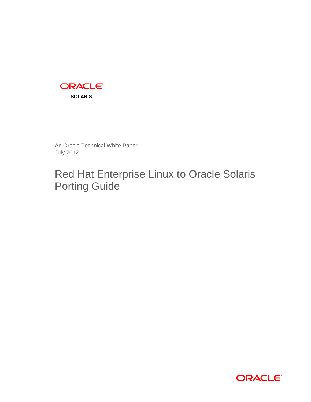

An Oracle Technical White Paper July 2012

# Red Hat Enterprise Linux to Oracle Solaris Porting Guide

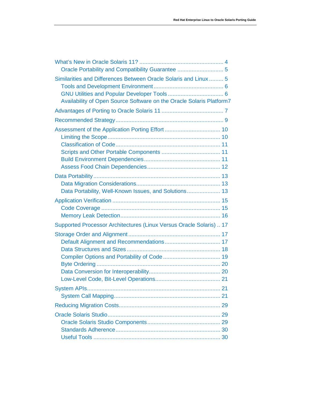| Oracle Portability and Compatibility Guarantee  5                                                                                        |
|------------------------------------------------------------------------------------------------------------------------------------------|
| Similarities and Differences Between Oracle Solaris and Linux  5<br>Availability of Open Source Software on the Oracle Solaris Platform7 |
|                                                                                                                                          |
|                                                                                                                                          |
|                                                                                                                                          |
| Data Portability, Well-Known Issues, and Solutions 13                                                                                    |
|                                                                                                                                          |
| Supported Processor Architectures (Linux Versus Oracle Solaris)  17                                                                      |
|                                                                                                                                          |
|                                                                                                                                          |
|                                                                                                                                          |
|                                                                                                                                          |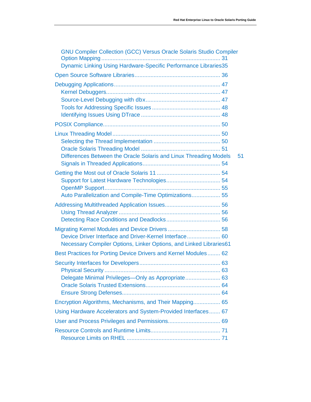| <b>GNU Compiler Collection (GCC) Versus Oracle Solaris Studio Compiler</b><br>Dynamic Linking Using Hardware-Specific Performance Libraries35 |  |
|-----------------------------------------------------------------------------------------------------------------------------------------------|--|
|                                                                                                                                               |  |
|                                                                                                                                               |  |
|                                                                                                                                               |  |
| Differences Between the Oracle Solaris and Linux Threading Models<br>51                                                                       |  |
| Auto Parallelization and Compile-Time Optimizations 55                                                                                        |  |
|                                                                                                                                               |  |
| Device Driver Interface and Driver-Kernel Interface 60<br>Necessary Compiler Options, Linker Options, and Linked Libraries61                  |  |
| Best Practices for Porting Device Drivers and Kernel Modules 62                                                                               |  |
| Delegate Minimal Privileges-Only as Appropriate 63                                                                                            |  |
| Encryption Algorithms, Mechanisms, and Their Mapping 65                                                                                       |  |
| Using Hardware Accelerators and System-Provided Interfaces 67                                                                                 |  |
|                                                                                                                                               |  |
|                                                                                                                                               |  |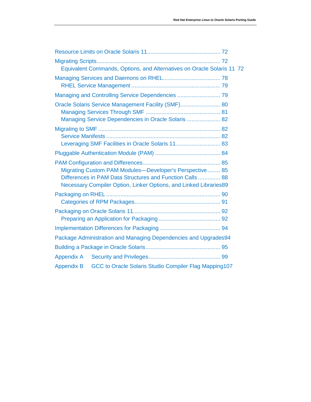|                   | Equivalent Commands, Options, and Alternatives on Oracle Solaris 11 72                                                                                                                   |  |
|-------------------|------------------------------------------------------------------------------------------------------------------------------------------------------------------------------------------|--|
|                   |                                                                                                                                                                                          |  |
|                   | Managing and Controlling Service Dependencies  79                                                                                                                                        |  |
|                   | Oracle Solaris Service Management Facility (SMF) 80<br>Managing Service Dependencies in Oracle Solaris  82                                                                               |  |
|                   | Leveraging SMF Facilities in Oracle Solaris 11 83                                                                                                                                        |  |
|                   |                                                                                                                                                                                          |  |
|                   | Migrating Custom PAM Modules-Developer's Perspective 85<br>Differences in PAM Data Structures and Function Calls 88<br>Necessary Compiler Option, Linker Options, and Linked Libraries89 |  |
|                   |                                                                                                                                                                                          |  |
|                   |                                                                                                                                                                                          |  |
|                   |                                                                                                                                                                                          |  |
|                   | Package Administration and Managing Dependencies and Upgrades94                                                                                                                          |  |
|                   |                                                                                                                                                                                          |  |
| <b>Appendix A</b> |                                                                                                                                                                                          |  |
| <b>Appendix B</b> | GCC to Oracle Solaris Studio Compiler Flag Mapping107                                                                                                                                    |  |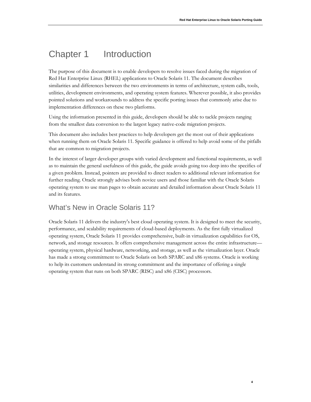**4**

# Chapter 1 Introduction

The purpose of this document is to enable developers to resolve issues faced during the migration of Red Hat Enterprise Linux (RHEL) applications to Oracle Solaris 11. The document describes similarities and differences between the two environments in terms of architecture, system calls, tools, utilities, development environments, and operating system features. Wherever possible, it also provides pointed solutions and workarounds to address the specific porting issues that commonly arise due to implementation differences on these two platforms.

Using the information presented in this guide, developers should be able to tackle projects ranging from the smallest data conversion to the largest legacy native-code migration projects.

This document also includes best practices to help developers get the most out of their applications when running them on Oracle Solaris 11. Specific guidance is offered to help avoid some of the pitfalls that are common to migration projects.

In the interest of larger developer groups with varied development and functional requirements, as well as to maintain the general usefulness of this guide, the guide avoids going too deep into the specifics of a given problem. Instead, pointers are provided to direct readers to additional relevant information for further reading. Oracle strongly advises both novice users and those familiar with the Oracle Solaris operating system to use man pages to obtain accurate and detailed information about Oracle Solaris 11 and its features.

### <span id="page-4-0"></span>What's New in Oracle Solaris 11?

Oracle Solaris 11 delivers the industry's best cloud operating system. It is designed to meet the security, performance, and scalability requirements of cloud-based deployments. As the first fully virtualized operating system, Oracle Solaris 11 provides comprehensive, built-in virtualization capabilities for OS, network, and storage resources. It offers comprehensive management across the entire infrastructure operating system, physical hardware, networking, and storage, as well as the virtualization layer. Oracle has made a strong commitment to Oracle Solaris on both SPARC and x86 systems. Oracle is working to help its customers understand its strong commitment and the importance of offering a single operating system that runs on both SPARC (RISC) and x86 (CISC) processors.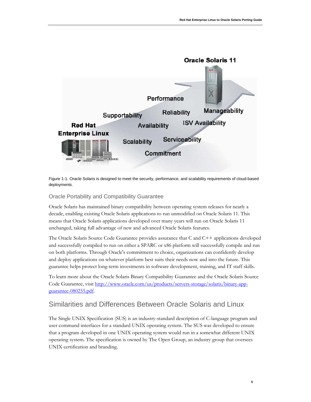

Figure 1-1. Oracle Solaris is designed to meet the security, performance, and scalability requirements of cloud-based deployments.

#### <span id="page-5-0"></span>Oracle Portability and Compatibility Guarantee

Oracle Solaris has maintained binary compatibility between operating system releases for nearly a decade, enabling existing Oracle Solaris applications to run unmodified on Oracle Solaris 11. This means that Oracle Solaris applications developed over many years will run on Oracle Solaris 11 unchanged, taking full advantage of new and advanced Oracle Solaris features.

The Oracle Solaris Source Code Guarantee provides assurance that  $C$  and  $C_{++}$  applications developed and successfully compiled to run on either a SPARC or x86 platform will successfully compile and run on both platforms. Through Oracle's commitment to choice, organizations can confidently develop and deploy applications on whatever platform best suits their needs now and into the future. This guarantee helps protect long-term investments in software development, training, and IT staff skills.

To learn more about the Oracle Solaris Binary Compatibility Guarantee and the Oracle Solaris Source Code Guarantee, visit [http://www.oracle.com/us/products/servers-storage/solaris/binary-app](http://www.oracle.com/us/products/servers-storage/solaris/binary-app-guarantee-080255.pdf)[guarantee-080255.pdf.](http://www.oracle.com/us/products/servers-storage/solaris/binary-app-guarantee-080255.pdf)

### <span id="page-5-1"></span>Similarities and Differences Between Oracle Solaris and Linux

The Single UNIX Specification (SUS) is an industry-standard description of C-language program and user command interfaces for a standard UNIX operating system. The SUS was developed to ensure that a program developed in one UNIX operating system would run in a somewhat different UNIX operating system. The specification is owned by The Open Group, an industry group that oversees UNIX certification and branding.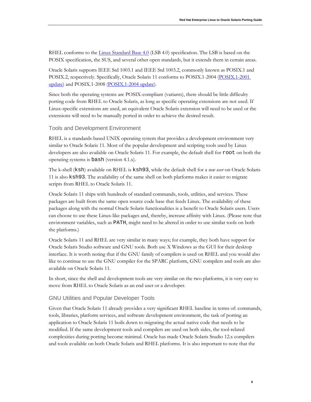RHEL conforms to the **Linux Standard Base 4.0** (LSB 4.0) specification. The LSB is based on the POSIX specification, the SUS, and several other open standards, but it extends them in certain areas.

Oracle Solaris supports IEEE Std 1003.1 and IEEE Std 1003.2, commonly known as POSIX.1 and POSIX.2, respectively. Specifically, Oracle Solaris 11 conforms to POSIX.1-2004 [\(POSIX.1-2001](http://www.opengroup.org/sib/details.tpl?id=1003.1_2004)  [update\)](http://www.opengroup.org/sib/details.tpl?id=1003.1_2004) and POSIX.1-2008 [\(POSIX.1-2004 update\)](http://pubs.opengroup.org/onlinepubs/9699919799/mindex.html).

Since both the operating systems are POSIX-compliant (variants), there should be little difficulty porting code from RHEL to Oracle Solaris, as long as specific operating extensions are not used. If Linux-specific extensions are used, an equivalent Oracle Solaris extension will need to be used or the extensions will need to be manually ported in order to achieve the desired result.

#### <span id="page-6-0"></span>Tools and Development Environment

RHEL is a standards-based UNIX operating system that provides a development environment very similar to Oracle Solaris 11. Most of the popular development and scripting tools used by Linux developers are also available on Oracle Solaris 11. For example, the default shell for root on both the operating systems is bash (version 4.1.x).

The k-shell (ksh) available on RHEL is ksh93, while the default shell for a *new user* on Oracle Solaris 11 is also ksh93. The availability of the same shell on both platforms makes it easier to migrate scripts from RHEL to Oracle Solaris 11.

Oracle Solaris 11 ships with hundreds of standard commands, tools, utilities, and services. These packages are built from the same open source code base that feeds Linux. The availability of these packages along with the normal Oracle Solaris functionalities is a benefit to Oracle Solaris users. Users can choose to use these Linux-like packages and, thereby, increase affinity with Linux. (Please note that environment variables, such as PATH, might need to be altered in order to use similar tools on both the platforms.)

Oracle Solaris 11 and RHEL are very similar in many ways; for example, they both have support for Oracle Solaris Studio software and GNU tools. Both use X Windows as the GUI for their desktop interface. It is worth noting that if the GNU family of compilers is used on RHEL and you would also like to continue to use the GNU compiler for the SPARC platform, GNU compilers and tools are also available on Oracle Solaris 11.

In short, since the shell and development tools are very similar on the two platforms, it is very easy to move from RHEL to Oracle Solaris as an end user or a developer.

#### <span id="page-6-1"></span>GNU Utilities and Popular Developer Tools

Given that Oracle Solaris 11 already provides a very significant RHEL baseline in terms of: commands, tools, libraries, platform services, and software development environment, the task of porting an application to Oracle Solaris 11 boils down to migrating the actual native code that needs to be modified. If the same development tools and compilers are used on both sides, the tool-related complexities during porting become minimal. Oracle has made Oracle Solaris Studio 12.x compilers and tools available on both Oracle Solaris and RHEL platforms. It is also important to note that the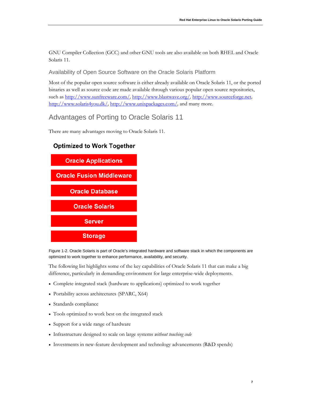GNU Compiler Collection (GCC) and other GNU tools are also available on both RHEL and Oracle Solaris 11.

### <span id="page-7-0"></span>Availability of Open Source Software on the Oracle Solaris Platform

Most of the popular open source software is either already available on Oracle Solaris 11, or the ported binaries as well as source code are made available through various popular open source repositories, such as<http://www.sunfreeware.com/>*,* <http://www.blastwave.org/>*,* [http://www.sourceforge.net](http://www.sourceforge.net/)*,*  <http://www.solaris4you.dk/>*,* <http://www.unixpackages.com/>*,* and many more.

### <span id="page-7-1"></span>Advantages of Porting to Oracle Solaris 11

There are many advantages moving to Oracle Solaris 11.



### **Optimized to Work Together**

Figure 1-2. Oracle Solaris is part of Oracle's integrated hardware and software stack in which the components are optimized to work together to enhance performance, availability, and security.

The following list highlights some of the key capabilities of Oracle Solaris 11 that can make a big difference, particularly in demanding environment for large enterprise-wide deployments.

- Complete integrated stack (hardware to applications) optimized to work together
- Portability across architectures (SPARC, X64)
- Standards compliance
- Tools optimized to work best on the integrated stack
- Support for a wide range of hardware
- Infrastructure designed to scale on large systems *without touching code*
- Investments in new-feature development and technology advancements (R&D spends)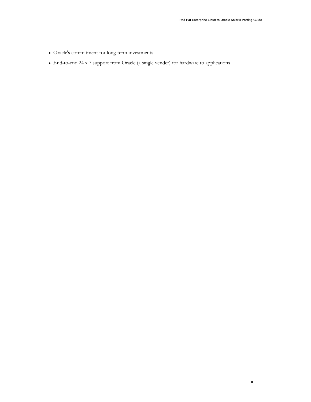**8**

- Oracle's commitment for long-term investments
- End-to-end 24 x 7 support from Oracle (a single vender) for hardware to applications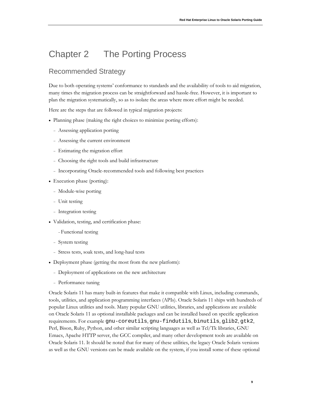# Chapter 2 The Porting Process

### <span id="page-9-0"></span>Recommended Strategy

Due to both operating systems' conformance to standards and the availability of tools to aid migration, many times the migration process can be straightforward and hassle-free. However, it is important to plan the migration systematically, so as to isolate the areas where more effort might be needed.

Here are the steps that are followed in typical migration projects:

- Planning phase (making the right choices to minimize porting efforts):
	- <sup>−</sup> Assessing application porting
	- <sup>−</sup> Assessing the current environment
	- <sup>−</sup> Estimating the migration effort
	- <sup>−</sup> Choosing the right tools and build infrastructure
	- <sup>−</sup> Incorporating Oracle-recommended tools and following best practices
- Execution phase (porting):
	- <sup>−</sup> Module-wise porting
	- <sup>−</sup> Unit testing
	- <sup>−</sup> Integration testing
- Validation, testing, and certification phase:
	- <sup>−</sup>Functional testing
	- <sup>−</sup> System testing
	- <sup>−</sup> Stress tests, soak tests, and long-haul tests
- Deployment phase (getting the most from the new platform):
	- <sup>−</sup> Deployment of applications on the new architecture
	- <sup>−</sup> Performance tuning

Oracle Solaris 11 has many built-in features that make it compatible with Linux, including commands, tools, utilities, and application programming interfaces (APIs). Oracle Solaris 11 ships with hundreds of popular Linux utilities and tools. Many popular GNU utilities, libraries, and applications are available on Oracle Solaris 11 as optional installable packages and can be installed based on specific application requirements. For example gnu-coreutils, gnu-findutils, binutils, glib2, gtk2, Perl, Bison, Ruby, Python, and other similar scripting languages as well as Tcl/Tk libraries, GNU Emacs, Apache HTTP server, the GCC compiler, and many other development tools are available on Oracle Solaris 11. It should be noted that for many of these utilities, the legacy Oracle Solaris versions as well as the GNU versions can be made available on the system, if you install some of these optional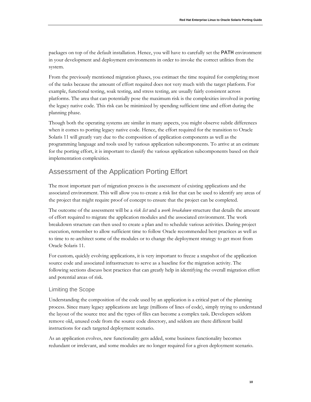packages on top of the default installation. Hence, you will have to carefully set the PATH environment in your development and deployment environments in order to invoke the correct utilities from the system.

From the previously mentioned migration phases, you estimaet the time required for completing most of the tasks because the amount of effort required does not very much with the target platform. For example, functional testing, soak testing, and stress testing, are usually fairly consistent across platforms. The area that can potentially pose the maximum risk is the complexities involved in porting the legacy native code. This risk can be minimized by spending sufficient time and effort during the planning phase.

Though both the operating systems are similar in many aspects, you might observe subtle differences when it comes to porting legacy native code. Hence, the effort required for the transition to Oracle Solaris 11 will greatly vary due to the composition of application components as well as the programming language and tools used by various application subcomponents. To arrive at an estimate for the porting effort, it is important to classify the various application subcomponents based on their implementation complexities.

## <span id="page-10-0"></span>Assessment of the Application Porting Effort

The most important part of migration process is the assessment of existing applications and the associated environment. This will allow you to create a risk list that can be used to identify any areas of the project that might require proof of concept to ensure that the project can be completed.

The outcome of the assessment will be a *risk list* and a *work breakdown* structure that details the amount of effort required to migrate the application modules and the associated environment. The work breakdown structure can then used to create a plan and to schedule various activities. During project execution, remember to allow sufficient time to follow Oracle recommended best practices as well as to time to re-architect some of the modules or to change the deployment strategy to get most from Oracle Solaris 11.

For custom*,* quickly evolving applications, it is very important to freeze a snapshot of the application source code and associated infrastructure to serve as a baseline for the migration activity. The following sections discuss best practices that can greatly help in identifying the overall migration effort and potential areas of risk.

### <span id="page-10-1"></span>Limiting the Scope

Understanding the composition of the code used by an application is a critical part of the planning process. Since many legacy applications are large (millions of lines of code), simply trying to understand the layout of the source tree and the types of files can become a complex task. Developers seldom remove old, unused code from the source code directory, and seldom are there different build instructions for each targeted deployment scenario.

As an application evolves, new functionality gets added, some business functionality becomes redundant or irrelevant, and some modules are no longer required for a given deployment scenario.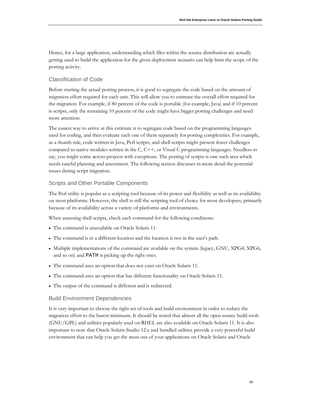Hence, for a large application, understanding which files within the source distribution are actually getting used to build the application for the given deployment scenario can help limit the scope of the porting activity.

#### <span id="page-11-0"></span>Classification of Code

Before starting the actual porting process, it is good to segregate the code based on the amount of migration effort required for each unit. This will allow you to estimate the overall effort required for the migration. For example, if 80 percent of the code is portable (for example, Java) and if 10 percent is scripts, only the remaining 10 percent of the code might have bigger porting challenges and need more attention.

The easiest way to arrive at this estimate is to segregate code based on the programming languages used for coding, and then evaluate each one of them separately for porting complexities. For example, as a thumb rule, code written in Java, Perl scripts, and shell scripts might present fewer challenges compared to native modules written in the C, C++, or Visual C programming languages. Needless to say, you might come across projects with exceptions. The porting of scripts is one such area which needs careful planning and assessment. The following section discusses in more detail the potential issues during script migration.

#### <span id="page-11-1"></span>Scripts and Other Portable Components

The Perl utility is popular as a scripting tool because of its power and flexibility as well as its availability on most platforms. However, the shell is still the scripting tool of choice for most developers, primarily because of its availability across a variety of platforms and environments.

When assessing shell scripts, check each command for the following conditions:

- The command is unavailable on Oracle Solaris 11.
- The command is in a different location and the location is not in the user's path.
- Multiple implementations of the command are available on the system (legacy, GNU, XPG4, XPG6, and so on) and PATH is picking up the right ones.
- The command uses an option that does not exist on Oracle Solaris 11.
- The command uses an option that has different functionality on Oracle Solaris 11.
- The output of the command is different and is redirected.

#### <span id="page-11-2"></span>Build Environment Dependencies

It is very important to choose the right set of tools and build environment in order to reduce the migration effort to the barest minimum. It should be noted that almost all the open source build tools (GNU/GPL) and utilities popularly used on RHEL are also available on Oracle Solaris 11. It is also important to note that Oracle Solaris Studio 12.x and bundled utilities provide a very powerful build environment that can help you get the most out of your applications on Oracle Solaris and Oracle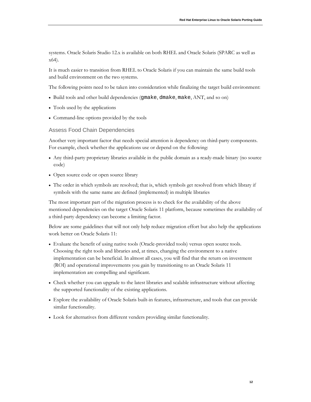systems. Oracle Solaris Studio 12.x is available on both RHEL and Oracle Solaris (SPARC as well as x64).

It is much easier to transition from RHEL to Oracle Solaris if you can maintain the same build tools and build environment on the two systems.

The following points need to be taken into consideration while finalizing the target build environment:

- Build tools and other build dependencies (gmake, dmake, make, ANT, and so on)
- Tools used by the applications
- Command-line options provided by the tools

#### <span id="page-12-0"></span>Assess Food Chain Dependencies

Another very important factor that needs special attention is dependency on third-party components. For example, check whether the applications use or depend on the following:

- Any third-party proprietary libraries available in the public domain as a ready-made binary (no source code)
- Open source code or open source library
- The order in which symbols are resolved; that is, which symbols get resolved from which library if symbols with the same name are defined (implemented) in multiple libraries

The most important part of the migration process is to check for the availability of the above mentioned dependencies on the target Oracle Solaris 11 platform, because sometimes the availability of a third-party dependency can become a limiting factor.

Below are some guidelines that will not only help reduce migration effort but also help the applications work better on Oracle Solaris 11:

- Evaluate the benefit of using native tools (Oracle-provided tools) versus open source tools. Choosing the right tools and libraries and, at times, changing the environment to a native implementation can be beneficial. In almost all cases, you will find that the return on investment (ROI) and operational improvements you gain by transitioning to an Oracle Solaris 11 implementation are compelling and significant.
- Check whether you can upgrade to the latest libraries and scalable infrastructure without affecting the supported functionality of the existing applications.
- Explore the availability of Oracle Solaris built-in features, infrastructure, and tools that can provide similar functionality.
- Look for alternatives from different venders providing similar functionality.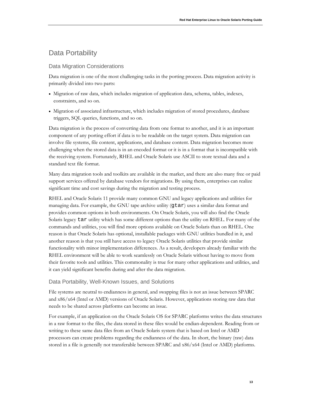## <span id="page-13-0"></span>Data Portability

#### <span id="page-13-1"></span>Data Migration Considerations

Data migration is one of the most challenging tasks in the porting process. Data migration activity is primarily divided into two parts:

- Migration of raw data, which includes migration of application data, schema, tables, indexes, constraints, and so on.
- Migration of associated infrastructure, which includes migration of stored procedures, database triggers, SQL queries, functions, and so on.

Data migration is the process of converting data from one format to another, and it is an important component of any porting effort if data is to be readable on the target system. Data migration can involve file systems, file content, applications, and database content. Data migration becomes more challenging when the stored data is in an encoded format or it is in a format that is incompatible with the receiving system. Fortunately, RHEL and Oracle Solaris use ASCII to store textual data and a standard text file format.

Many data migration tools and toolkits are available in the market, and there are also many free or paid support services offered by database vendors for migrations. By using them, enterprises can realize significant time and cost savings during the migration and testing process.

RHEL and Oracle Solaris 11 provide many common GNU and legacy applications and utilities for managing data. For example, the GNU tape archive utility (gtar) uses a similar data format and provides common options in both environments. On Oracle Solaris, you will also find the Oracle Solaris legacy tar utility which has some different options than the utility on RHEL. For many of the commands and utilities, you will find more options available on Oracle Solaris than on RHEL. One reason is that Oracle Solaris has optional, installable packages with GNU utilities bundled in it, and another reason is that you still have access to legacy Oracle Solaris utilities that provide similar functionality with minor implementation differences. As a result, developers already familiar with the RHEL environment will be able to work seamlessly on Oracle Solaris without having to move from their favorite tools and utilities. This commonality is true for many other applications and utilities, and it can yield significant benefits during and after the data migration.

#### <span id="page-13-2"></span>Data Portability, Well-Known Issues, and Solutions

File systems are neutral to endianness in general, and swapping files is not an issue between SPARC and x86/x64 (Intel or AMD) versions of Oracle Solaris. However, applications storing raw data that needs to be shared across platforms can become an issue.

For example, if an application on the Oracle Solaris OS for SPARC platforms writes the data structures in a raw format to the files, the data stored in these files would be endian-dependent. Reading from or writing to these same data files from an Oracle Solaris system that is based on Intel or AMD processors can create problems regarding the endianness of the data. In short, the binary (raw) data stored in a file is generally not transferable between SPARC and x86/x64 (Intel or AMD) platforms.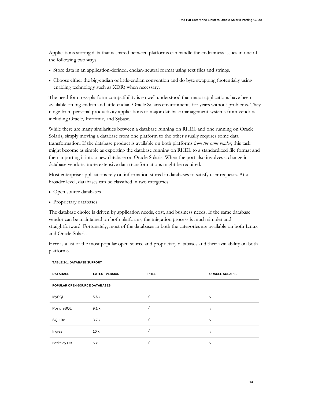Applications storing data that is shared between platforms can handle the endianness issues in one of the following two ways:

- Store data in an application-defined, endian-neutral format using text files and strings.
- Choose either the big-endian or little-endian convention and do byte swapping (potentially using enabling technology such as XDR) when necessary.

The need for cross-platform compatibility is so well understood that major applications have been available on big-endian and little-endian Oracle Solaris environments for years without problems. They range from personal productivity applications to major database management systems from vendors including Oracle, Informix, and Sybase.

While there are many similarities between a database running on RHEL and one running on Oracle Solaris, simply moving a database from one platform to the other usually requires some data transformation. If the database product is available on both platforms *from the same vendor*, this task might become as simple as exporting the database running on RHEL to a standardized file format and then importing it into a new database on Oracle Solaris. When the port also involves a change in database vendors, more extensive data transformations might be required.

Most enterprise applications rely on information stored in databases to satisfy user requests. At a broader level, databases can be classified in two categories:

- Open source databases
- Proprietary databases

The database choice is driven by application needs, cost, and business needs. If the same database vendor can be maintained on both platforms, the migration process is much simpler and straightforward. Fortunately, most of the databases in both the categories are available on both Linux and Oracle Solaris.

Here is a list of the most popular open source and proprietary databases and their availability on both platforms.

| <b>DATABASE</b>               | <b>LATEST VERSION</b> | <b>RHEL</b> | <b>ORACLE SOLARIS</b> |  |
|-------------------------------|-----------------------|-------------|-----------------------|--|
| POPULAR OPEN-SOURCE DATABASES |                       |             |                       |  |
| <b>MySQL</b>                  | 5.6.x                 |             |                       |  |
| PostgreSQL                    | 9.1.x                 |             |                       |  |
| SQLLite                       | 3.7.x                 |             |                       |  |
| Ingres                        | 10.x                  |             |                       |  |
| <b>Berkeley DB</b>            | 5.x                   |             |                       |  |

**TABLE 2-1. DATABASE SUPPORT**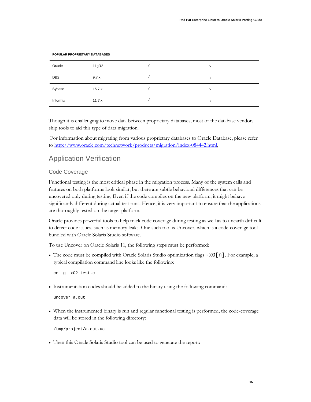| POPULAR PROPRIETARY DATABASES |        |  |  |
|-------------------------------|--------|--|--|
| Oracle                        | 11gR2  |  |  |
| DB <sub>2</sub>               | 9.7.x  |  |  |
| Sybase                        | 15.7.x |  |  |
| Informix                      | 11.7.x |  |  |

Though it is challenging to move data between proprietary databases, most of the database vendors ship tools to aid this type of data migration.

For information about migrating from various proprietary databases to Oracle Database, please refer to [http://www.oracle.com/technetwork/products/migration/index-084442.html.](http://www.oracle.com/technetwork/products/migration/index-084442.html)

## <span id="page-15-0"></span>Application Verification

#### <span id="page-15-1"></span>Code Coverage

Functional testing is the most critical phase in the migration process. Many of the system calls and features on both platforms look similar, but there are subtle behavioral differences that can be uncovered only during testing. Even if the code compiles on the new platform, it might behave significantly different during actual test runs. Hence, it is very important to ensure that the applications are thoroughly tested on the target platform.

Oracle provides powerful tools to help track code coverage during testing as well as to unearth difficult to detect code issues, such as memory leaks. One such tool is Uncover, which is a code-coverage tool bundled with Oracle Solaris Studio software.

To use Uncover on Oracle Solaris 11, the following steps must be performed:

• The code must be compiled with Oracle Solaris Studio optimization flags  $-xO[n]$ . For example, a typical compilation command line looks like the following:

cc -g -xO2 test.c

• Instrumentation codes should be added to the binary using the following command:

uncover a.out

• When the instrumented binary is run and regular functional testing is performed, the code-coverage data will be stored in the following directory:

/tmp/project/a.out.uc

• Then this Oracle Solaris Studio tool can be used to generate the report: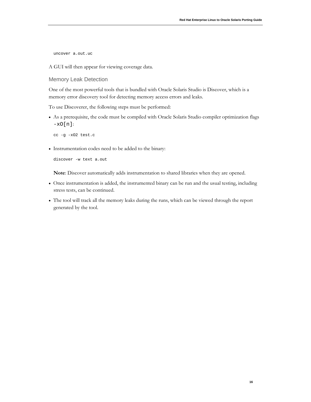uncover a.out.uc

A GUI will then appear for viewing coverage data.

```
Memory Leak Detection
```
One of the most powerful tools that is bundled with Oracle Solaris Studio is Discover, which is a memory error discovery tool for detecting memory access errors and leaks.

To use Discoverer, the following steps must be performed:

• As a prerequisite, the code must be compiled with Oracle Solaris Studio compiler optimization flags  $-xO[n]$ :

cc -g -xO2 test.c

• Instrumentation codes need to be added to the binary:

discover -w text a.out

**Note**: Discover automatically adds instrumentation to shared libraries when they are opened.

- Once instrumentation is added, the instrumented binary can be run and the usual testing, including stress tests, can be continued.
- The tool will track all the memory leaks during the runs, which can be viewed through the report generated by the tool.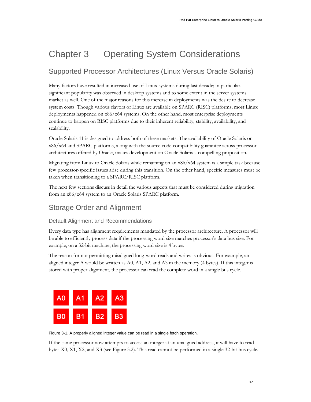# Chapter 3 Operating System Considerations

# <span id="page-17-0"></span>Supported Processor Architectures (Linux Versus Oracle Solaris)

Many factors have resulted in increased use of Linux systems during last decade; in particular, significant popularity was observed in desktop systems and to some extent in the server systems market as well. One of the major reasons for this increase in deployments was the desire to decrease system costs. Though various flavors of Linux are available on SPARC (RISC) platforms, most Linux deployments happened on x86/x64 systems. On the other hand, most enterprise deployments continue to happen on RISC platforms due to their inherent reliability, stability, availability, and scalability.

Oracle Solaris 11 is designed to address both of these markets. The availability of Oracle Solaris on x86/x64 and SPARC platforms, along with the source code compatibility guarantee across processor architectures offered by Oracle, makes development on Oracle Solaris a compelling proposition.

Migrating from Linux to Oracle Solaris while remaining on an x86/x64 system is a simple task because few processor-specific issues arise during this transition. On the other hand, specific measures must be taken when transitioning to a SPARC/RISC platform.

The next few sections discuss in detail the various aspects that must be considered during migration from an x86/x64 system to an Oracle Solaris SPARC platform.

## <span id="page-17-1"></span>Storage Order and Alignment

### <span id="page-17-2"></span>Default Alignment and Recommendations

Every data type has alignment requirements mandated by the processor architecture. A processor will be able to efficiently process data if the processing word size matches processor's data bus size. For example, on a 32-bit machine, the processing word size is 4 bytes.

The reason for not permitting misaligned long-word reads and writes is obvious. For example, an aligned integer A would be written as  $A0$ ,  $A1$ ,  $A2$ , and  $A3$  in the memory (4 bytes). If this integer is stored with proper alignment, the processor can read the complete word in a single bus cycle.



Figure 3-1. A properly aligned integer value can be read in a single fetch operation.

If the same processor now attempts to access an integer at an unaligned address, it will have to read bytes X0, X1, X2, and X3 (see Figure 3.2). This read cannot be performed in a single 32-bit bus cycle.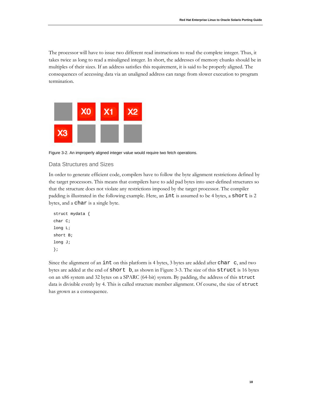The processor will have to issue two different read instructions to read the complete integer. Thus, it takes twice as long to read a misaligned integer. In short, the addresses of memory chunks should be in multiples of their sizes. If an address satisfies this requirement, it is said to be properly aligned. The consequences of accessing data via an unaligned address can range from slower execution to program termination.



Figure 3-2. An improperly aligned integer value would require two fetch operations.

#### <span id="page-18-0"></span>Data Structures and Sizes

In order to generate efficient code, compilers have to follow the byte alignment restrictions defined by the target processors. This means that compilers have to add pad bytes into user-defined structures so that the structure does not violate any restrictions imposed by the target processor. The compiler padding is illustrated in the following example. Here, an int is assumed to be 4 bytes, a short is 2 bytes, and a char is a single byte.

```
struct mydata { 
char C;
long L;
short B;
long J;
};
```
Since the alignment of an int on this platform is 4 bytes, 3 bytes are added after char c, and two bytes are added at the end of short b, as shown in Figure 3-3. The size of this struct is 16 bytes on an x86 system and 32 bytes on a SPARC (64-bit) system. By padding, the address of this struct data is divisible evenly by 4. This is called structure member alignment. Of course, the size of struct has grown as a consequence.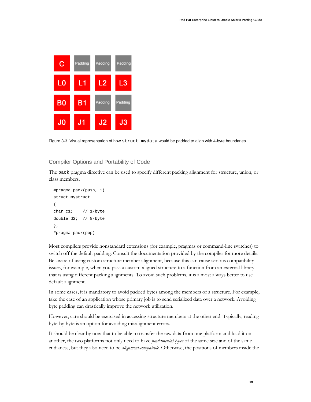

Figure 3-3. Visual representation of how struct mydata would be padded to align with 4-byte boundaries.

#### <span id="page-19-0"></span>Compiler Options and Portability of Code

The pack pragma directive can be used to specify different packing alignment for structure, union, or class members.

```
#pragma pack(push, 1)
struct mystruct
{
char c1; // 1-byte
double d2; // 8-byte
};
#pragma pack(pop)
```
Most compilers provide nonstandard extensions (for example, pragmas or command-line switches) to switch off the default padding. Consult the documentation provided by the compiler for more details. Be aware of using custom structure member alignment, because this can cause serious compatibility issues, for example, when you pass a custom-aligned structure to a function from an external library that is using different packing alignments. To avoid such problems, it is almost always better to use default alignment.

In some cases, it is mandatory to avoid padded bytes among the members of a structure. For example, take the case of an application whose primary job is to send serialized data over a network. Avoiding byte padding can drastically improve the network utilization.

However, care should be exercised in accessing structure members at the other end. Typically, reading byte-by-byte is an option for avoiding misalignment errors.

It should be clear by now that to be able to transfer the raw data from one platform and load it on another, the two platforms not only need to have *fundamental types* of the same size and of the same endianess, but they also need to be *alignment-compatible*. Otherwise, the positions of members inside the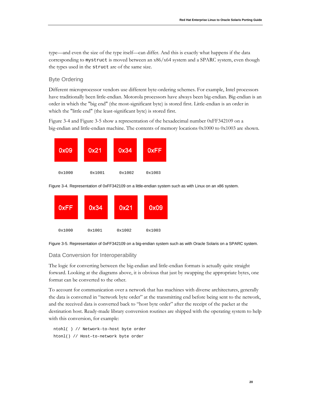type—and even the size of the type itself—can differ. And this is exactly what happens if the data corresponding to mystruct is moved between an x86/x64 system and a SPARC system, even though the types used in the struct are of the same size.

#### <span id="page-20-0"></span>Byte Ordering

Different microprocessor vendors use different byte-ordering schemes. For example, Intel processors have traditionally been little-endian. Motorola processors have always been big-endian. Big-endian is an order in which the "big end" (the most-significant byte) is stored first. Little-endian is an order in which the "little end" (the least-significant byte) is stored first.

Figure 3-4 and Figure 3-5 show a representation of the hexadecimal number 0xFF342109 on a big-endian and little-endian machine. The contents of memory locations 0x1000 to 0x1003 are shown.



Figure 3-4. Representation of 0xFF342109 on a little-endian system such as with Linux on an x86 system.



Figure 3-5. Representation of 0xFF342109 on a big-endian system such as with Oracle Solaris on a SPARC system.

#### <span id="page-20-1"></span>Data Conversion for Interoperability

The logic for converting between the big-endian and little-endian formats is actually quite straight forward. Looking at the diagrams above, it is obvious that just by swapping the appropriate bytes, one format can be converted to the other.

To account for communication over a network that has machines with diverse architectures, generally the data is converted in "network byte order" at the transmitting end before being sent to the network, and the received data is converted back to "host byte order" after the receipt of the packet at the destination host. Ready-made library conversion routines are shipped with the operating system to help with this conversion, for example:

ntohl( ) // Network-to-host byte order htonl() // Host–to-network byte order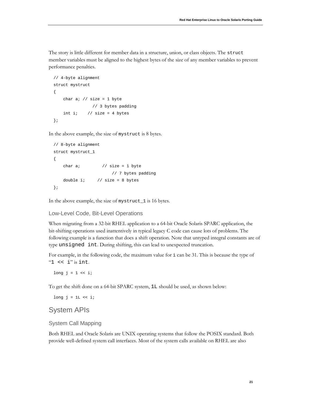The story is little different for member data in a structure, union, or class objects. The struct member variables must be aligned to the highest bytes of the size of any member variables to prevent performance penalties.

```
// 4-byte alignment
struct mystruct 
{
    char a; // size = 1 byte
                // 3 bytes padding
    int i; // size = 4 bytes};
```
In the above example, the size of mystruct is 8 bytes.

```
// 8-byte alignment
struct mystruct_1
{
    char a; \frac{1}{2} // size = 1 byte
                         // 7 bytes padding
    double i; // size = 8 bytes};
```
In the above example, the size of mystruct\_1 is 16 bytes.

<span id="page-21-0"></span>Low-Level Code, Bit-Level Operations

When migrating from a 32-bit RHEL application to a 64-bit Oracle Solaris SPARC application, the bit-shifting operations used inattentively in typical legacy C code can cause lots of problems. The following example is a function that does a shift operation. Note that untyped integral constants are of type unsigned int. During shifting, this can lead to unexpected truncation.

For example, in the following code, the maximum value for i can be 31. This is because the type of " $1$  <<  $i$ " is int.

long  $j = 1$  << i;

To get the shift done on a 64-bit SPARC system, 1L should be used, as shown below:

<span id="page-21-1"></span>long  $j = 1$ L << i;

### System APIs

<span id="page-21-2"></span>System Call Mapping

Both RHEL and Oracle Solaris are UNIX operating systems that follow the POSIX standard. Both provide well-defined system call interfaces. Most of the system calls available on RHEL are also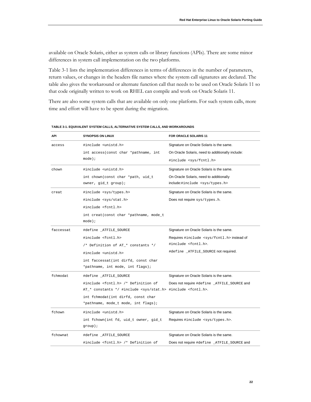available on Oracle Solaris, either as system calls or library functions (APIs). There are some minor differences in system call implementation on the two platforms.

Table 3-1 lists the implementation differences in terms of differences in the number of parameters, return values, or changes in the headers file names where the system call signatures are declared. The table also gives the workaround or alternate function call that needs to be used on Oracle Solaris 11 so that code originally written to work on RHEL can compile and work on Oracle Solaris 11.

There are also some system calls that are available on only one platform. For such system calls, more time and effort will have to be spent during the migration.

| <b>API</b> | <b>SYNOPSIS ON LINUX</b>                                                       | <b>FOR ORACLE SOLARIS 11</b>                       |
|------------|--------------------------------------------------------------------------------|----------------------------------------------------|
| access     | #include <unistd.h></unistd.h>                                                 | Signature on Oracle Solaris is the same.           |
|            | int access (const char *pathname, int                                          | On Oracle Solaris, need to additionally include:   |
|            | $mode$ );                                                                      | #include <sys fcntl.h=""></sys>                    |
| chown      | #include <unistd.h></unistd.h>                                                 | Signature on Oracle Solaris is the same.           |
|            | int chown(const char *path, uid_t                                              | On Oracle Solaris, need to additionally            |
|            | owner, $gid_t$ group);                                                         | include:#include <sys types.h=""></sys>            |
| creat      | #include <sys types.h=""></sys>                                                | Signature on Oracle Solaris is the same.           |
|            | #include <sys stat.h=""></sys>                                                 | Does not require sys/types.h.                      |
|            | #include <fcntl.h></fcntl.h>                                                   |                                                    |
|            | int creat(const char *pathname, mode_t                                         |                                                    |
|            | $mode$ );                                                                      |                                                    |
| faccessat  | #define _ATFILE_SOURCE                                                         | Signature on Oracle Solaris is the same.           |
|            | #include <fcntl.h></fcntl.h>                                                   | Requires #include <sys fcntl.h="">instead of</sys> |
|            | /* Definition of AT_* constants */                                             | #include <fcntl.h>.</fcntl.h>                      |
|            | #include <unistd.h></unistd.h>                                                 | #define _ATFILE_SOURCE not required.               |
|            | int faccessat(int dirfd, const char                                            |                                                    |
|            | *pathname, int mode, int flags);                                               |                                                    |
| fchmodat   | #define _ATFILE_SOURCE                                                         | Signature on Oracle Solaris is the same.           |
|            | #include <fcntl.h> /* Definition of</fcntl.h>                                  | Does not require #define _ATFILE_SOURCE and        |
|            | AT_* constants */ #include <sys stat.h=""> #include <fcntl.h>.</fcntl.h></sys> |                                                    |
|            | int fchmodat(int dirfd, const char                                             |                                                    |
|            | *pathname, mode_t mode, int flags);                                            |                                                    |
| fchown     | #include <unistd.h></unistd.h>                                                 | Signature on Oracle Solaris is the same.           |
|            | int fchown(int fd, uid_t owner, gid_t                                          | Requires #include <sys types.h="">.</sys>          |
|            | $group)$ ;                                                                     |                                                    |
| fchownat   | #define _ATFILE_SOURCE                                                         | Signature on Oracle Solaris is the same.           |
|            | #include <fcntl.h> /* Definition of</fcntl.h>                                  | Does not require #define _ATFILE_SOURCE and        |

**TABLE 3-1. EQUIVALENT SYSTEM CALLS, ALTERNATIVE SYSTEM CALLS, AND WORKAROUNDS**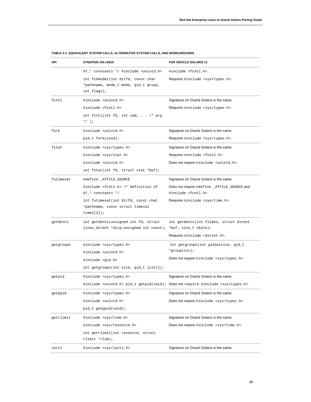| API       | <b>SYNOPSIS ON LINUX</b>                                                                              | FOR ORACLE SOLARIS 11                                                              |
|-----------|-------------------------------------------------------------------------------------------------------|------------------------------------------------------------------------------------|
|           | AT_* constants */ #include <unistd.h></unistd.h>                                                      | #include <fcntl.h>.</fcntl.h>                                                      |
|           | int fchmodat(int dirfd, const char<br>*pathname, mode_t mode, gid_t group,<br>int flags);             | Requires #include <sys types.h="">.</sys>                                          |
| fcntl     | #include <unistd.h></unistd.h>                                                                        | Signature on Oracle Solaris is the same.                                           |
|           | #include <fcntl.h></fcntl.h>                                                                          | Requires #include <sys types.h="">.</sys>                                          |
|           | int fentl(int fd, int cmd,  /* arg<br>$*$ $\left\langle \right\rangle$ ;                              |                                                                                    |
| fork      | #include <unistd.h></unistd.h>                                                                        | Signature on Oracle Solaris is the same.                                           |
|           | pid_t fork(void);                                                                                     | Requires #include <sys types.h="">.</sys>                                          |
| fstat     | #include <sys types.h=""></sys>                                                                       | Signature on Oracle Solaris is the same.                                           |
|           | #include <sys stat.h=""></sys>                                                                        | Requires #include <fcntl.h>.</fcntl.h>                                             |
|           | #include <unistd.h></unistd.h>                                                                        | Does not require #include <unistd.h>.</unistd.h>                                   |
|           | int fstat(int fd, struct stat *buf);                                                                  |                                                                                    |
| futimesat | #define _ATFILE_SOURCE                                                                                | Signature on Oracle Solaris is the same.                                           |
|           | #include <fcntl.h> /* Definition of</fcntl.h>                                                         | Does not require #define _ATFILE_SOURCE and                                        |
|           | AT_* constants */                                                                                     | #include <fcntl.h>.</fcntl.h>                                                      |
|           | int futimesat(int dirfd, const chat<br>*pathname, const struct timeval<br>times $[2]$ );              | Requires #include <sys time.h="">.</sys>                                           |
| getdents  | int getdents (unsigned int fd, struct<br>linux_dirent *dirp,unsigned int count); *buf, size_t nbyte); | int getdents(int fildes, struct dirent<br>Requires #include <dirent.h>.</dirent.h> |
| getgroups | #include <sys types.h=""></sys>                                                                       | int getgroups(int gidsetsize, gid_t                                                |
|           | #include <unistd.h></unistd.h>                                                                        | *grouplist);                                                                       |
|           | #include <grp.h></grp.h>                                                                              | Does not require #include <sys types.h="">.</sys>                                  |
|           | int getgroups(int size, gid_t list[]);                                                                |                                                                                    |
| getpid    | #include <sys types.h=""></sys>                                                                       | Signature on Oracle Solaris is the same.                                           |
|           | #include <unistd.h> pid_t getpid(void); Does not require #include <sys types.h="">.</sys></unistd.h>  |                                                                                    |
| getppid   | #include <sys types.h=""></sys>                                                                       | Signature on Oracle Solaris is the same.                                           |
|           | #include <unistd.h></unistd.h>                                                                        | Does not require #include <sys types.h="">.</sys>                                  |
|           | pid_t getppid(void);                                                                                  |                                                                                    |
| getrlimit | #include <sys time.h=""></sys>                                                                        | Signature on Oracle Solaris is the same.                                           |
|           | #include <sys resource.h=""></sys>                                                                    | Does not require #include <sys time.h="">.</sys>                                   |
|           | int getrlimit(int resource, struct<br>rlimit *rlim);                                                  |                                                                                    |
| ioctl     | #include <sys ioctl.h=""></sys>                                                                       | Signature on Oracle Solaris is the same.                                           |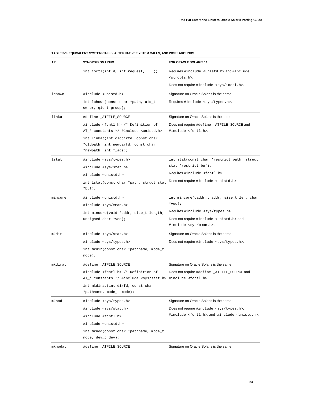| API     | <b>SYNOPSIS ON LINUX</b>                                                                           | FOR ORACLE SOLARIS 11                                                                   |
|---------|----------------------------------------------------------------------------------------------------|-----------------------------------------------------------------------------------------|
|         | int ioctl(int d, int request, $\ldots$ );                                                          | Requires #include <unistd.h> and #include<br/><stropts.h>.</stropts.h></unistd.h>       |
|         |                                                                                                    | Does not require #include <sys ioctl.h="">.</sys>                                       |
| lchown  | #include <unistd.h></unistd.h>                                                                     | Signature on Oracle Solaris is the same.                                                |
|         | int lchown(const char *path, uid_t<br>owner, gid_t group);                                         | Requires #include <sys types.h="">.</sys>                                               |
| linkat  | #define _ATFILE_SOURCE                                                                             | Signature on Oracle Solaris is the same.                                                |
|         | #include <fcntl.h> /* Definition of<br/>AT_* constants */ #include <unistd.h></unistd.h></fcntl.h> | Does not require #define _ATFILE_SOURCE and<br>#include <fcntl.h>.</fcntl.h>            |
|         | int linkat(int olddirfd, const char<br>*oldpath, int newdirfd, const char<br>*newpath, int flags); |                                                                                         |
| lstat   | #include <sys types.h=""><br/>#include <sys stat.h=""></sys></sys>                                 | int stat(const char *restrict path, struct<br>stat *restrict buf);                      |
|         | #include <unistd.h></unistd.h>                                                                     | Requires #include <fcntl.h>.</fcntl.h>                                                  |
|         | int lstat(const char *path, struct stat<br>$*$ buf);                                               | Does not require #include <unistd.h>.</unistd.h>                                        |
| mincore | #include <unistd.h></unistd.h>                                                                     | int mincore(caddr_t addr, size_t len, char                                              |
|         | #include <sys mman.h=""></sys>                                                                     | $*vec)$ ;                                                                               |
|         | int mincore(void *addr, size_t length,                                                             | Requires #include <sys types.h="">.</sys>                                               |
|         | unsigned char *vec);                                                                               | Does not require #include <unistd.h> and<br/>#include <sys mman.h="">.</sys></unistd.h> |
| mkdir   | #include <sys stat.h=""></sys>                                                                     | Signature on Oracle Solaris is the same.                                                |
|         | #include <sys types.h=""></sys>                                                                    | Does not require #include <sys types.h="">.</sys>                                       |
|         | int mkdir(const char *pathname, mode_t<br>mode);                                                   |                                                                                         |
| mkdirat | #define _ATFILE_SOURCE                                                                             | Signature on Oracle Solaris is the same.                                                |
|         | #include <fcntl.h> /* Definition of</fcntl.h>                                                      | Does not require #define _ATFILE_SOURCE and                                             |
|         | AT_* constants */ #include <sys stat.h=""> #include <fcntl.h>.</fcntl.h></sys>                     |                                                                                         |
|         | int mkdirat(int dirfd, const char<br>*pathname, mode_t mode);                                      |                                                                                         |
| mknod   | #include <sys types.h=""></sys>                                                                    | Signature on Oracle Solaris is the same.                                                |
|         | #include <sys stat.h=""></sys>                                                                     | Does not require #include <sys types.h="">,</sys>                                       |
|         | #include <fcntl.h></fcntl.h>                                                                       | #include <fcntl.h>,and #include <unistd.h>.</unistd.h></fcntl.h>                        |
|         | #include <unistd.h></unistd.h>                                                                     |                                                                                         |
|         | int mknod(const char *pathname, mode_t                                                             |                                                                                         |
|         | mode, dev_t dev);                                                                                  |                                                                                         |
| mknodat | #define _ATFILE_SOURCE                                                                             | Signature on Oracle Solaris is the same.                                                |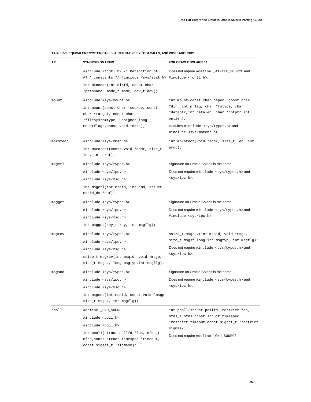| API      | <b>SYNOPSIS ON LINUX</b>                                                                                                                                                                                       | FOR ORACLE SOLARIS 11                                                                                                                                                                                                        |
|----------|----------------------------------------------------------------------------------------------------------------------------------------------------------------------------------------------------------------|------------------------------------------------------------------------------------------------------------------------------------------------------------------------------------------------------------------------------|
|          | #include <fcntl.h> /* Definition of<br/>AT_* constants */ #include <sys stat.h=""> #include <fcntl.h>.<br/>int mknodat(int dirfd, const char<br/>*pathname, mode_t mode, dev_t dev);</fcntl.h></sys></fcntl.h> | Does not require #define _ATFILE_SOURCE and                                                                                                                                                                                  |
| mount    | #include <sys mount.h=""><br/>int mount (const char *source, const<br/>char *target, const char<br/>*filesystemtype, unsigned long<br/>mountflags, const void *data);</sys>                                    | int mount (const char *spec, const char<br>*dir, int mflag, char *fstype, char<br>*dataptr, int datalen, char *optptr, int<br>optlen);<br>Requires #include <sys types.h=""> and<br/>#include <sys mntent.h="">.</sys></sys> |
| mprotect | #include <sys mman.h=""><br/>int mprotect(const void *addr, size_t<br/>len, int <math>prot);</math></sys>                                                                                                      | int mprotect(void *addr, size_t len, int<br>$prot)$ ;                                                                                                                                                                        |
| msgctl   | #include <sys types.h=""><br/>#include <sys ipc.h=""><br/>#include <sys msg.h=""><br/>int msgctl(int msqid, int cmd, struct<br/><math>msqid_ds *buf);</math></sys></sys></sys>                                 | Signature on Oracle Solaris is the same.<br>Does not require #include <sys types.h=""> and<br/><sys ipc.h="">.</sys></sys>                                                                                                   |
| msgget   | #include <sys types.h=""><br/>#include <sys ipc.h=""><br/>#include <sys msg.h=""><br/>int msgget(key_t key, int msgflg);</sys></sys></sys>                                                                     | Signature on Oracle Solaris is the same.<br>Does not require #include <sys types.h=""> and<br/>#include <sys ipc.h="">.</sys></sys>                                                                                          |
| msgrcv   | #include <sys types.h=""><br/>#include <sys ipc.h=""><br/>#include <sys msg.h=""><br/>ssize_t msgrcv(int msqid, void *msgp,<br/>size_t msgsz, long msgtyp, int msgflg);</sys></sys></sys>                      | ssize_t msgrcv(int msqid, void *msgp,<br>size_t msgsz,long int msgtyp, int msgflg);<br>Does not require #include <sys types.h=""> and<br/><sys ipc.h="">.</sys></sys>                                                        |
| msgsnd   | #include <sys types.h=""><br/>#include <sys ipc.h=""><br/>#include <sys msg.h=""><br/>int msgsnd(int msqid, const void *msgp,<br/>size_t msgsz, int msgflg);</sys></sys></sys>                                 | Signature on Oracle Solaris is the same.<br>Does not require #include <sys types.h=""> and<br/><sys ipc.h="">.</sys></sys>                                                                                                   |
| ppoll    | #define _GNU_SOURCE<br>#include <poll.h><br/>#include <poll.h><br/>int ppoll(struct pollfd *fds, nfds_t<br/>nfds, const struct timespec *timeout,<br/>const sigset_t *sigmask);</poll.h></poll.h>              | int ppoll(struct pollfd *restrict fds,<br>nfds_t nfds, const struct timespec<br>*restrict timeout, const sigset_t *restrict<br>$signask)$ ;<br>Does not require #define _GNU_SOURCE.                                         |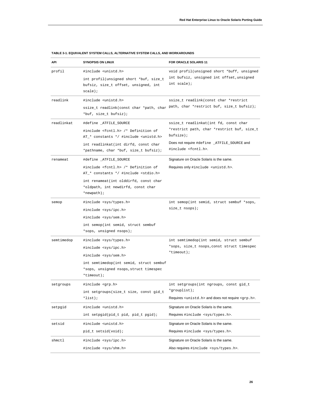| API        | <b>SYNOPSIS ON LINUX</b>                                                                                                                                                                                                   | FOR ORACLE SOLARIS 11                                                                                                                                                               |
|------------|----------------------------------------------------------------------------------------------------------------------------------------------------------------------------------------------------------------------------|-------------------------------------------------------------------------------------------------------------------------------------------------------------------------------------|
| profil     | #include <unistd.h><br/>int profil(unsigned short *buf, size_t<br/>bufsiz, size_t offset, unsigned, int<br/>scale);</unistd.h>                                                                                             | void profil(unsigned short *buff, unsigned<br>int bufsiz, unsigned int offset, unsigned<br>int scale);                                                                              |
| readlink   | #include <unistd.h><br/>*buf, size_t bufsiz);</unistd.h>                                                                                                                                                                   | ssize_t readlink(const char *restrict<br>ssize_t readlink(const char *path, char path, char *restrict buf, size_t bufsiz);                                                          |
| readlinkat | #define _ATFILE_SOURCE<br>#include <fcntl.h> /* Definition of<br/>AT_* constants */ #include <unistd.h><br/>int readlinkat(int dirfd, const char<br/>*pathname, char *buf, size_t bufsiz);</unistd.h></fcntl.h>            | ssize_t readlinkat(int fd, const char<br>*restrict path, char *restrict buf, size_t<br>$butsize$ );<br>Does not require #define _ATFILE_SOURCE and<br>#include <fcntl.h>.</fcntl.h> |
| renameat   | #define _ATFILE_SOURCE<br>#include <fcntl.h> /* Definition of<br/>AT_* constants */ #include <stdio.h><br/>int renameat(int olddirfd, const char<br/>*oldpath, int newdirfd, const char<br/>*newpath);</stdio.h></fcntl.h> | Signature on Oracle Solaris is the same.<br>Requires only #include <unistd.h>.</unistd.h>                                                                                           |
| semop      | #include <sys types.h=""><br/>#include <sys ipc.h=""><br/>#include <sys sem.h=""><br/>int semop(int semid, struct sembuf<br/>*sops, unsigned nsops);</sys></sys></sys>                                                     | int semop(int semid, struct sembuf *sops,<br>$size_t$ nsops);                                                                                                                       |
| semtimedop | #include <sys types.h=""><br/>#include <sys ipc.h=""><br/>#include <sys sem.h=""><br/>int semtimedop(int semid, struct sembuf<br/>*sops, unsigned nsops, struct timespec<br/>*timeout);</sys></sys></sys>                  | int semtimedop(int semid, struct sembuf<br>*sops, size_t nsops, const struct timespec<br>*timeout);                                                                                 |
| setgroups  | #include <grp.h><br/>int setgroups(size_t size, const gid_t<br/><math>*list)</math>;</grp.h>                                                                                                                               | int setgroups (int ngroups, const gid_t<br>*grouplist);<br>Requires <unistd.h> and does not require <grp.h>.</grp.h></unistd.h>                                                     |
| setpgid    | #include <unistd.h><br/>int setpgid(pid_t pid, pid_t pgid);</unistd.h>                                                                                                                                                     | Signature on Oracle Solaris is the same.<br>Requires #include <sys types.h="">.</sys>                                                                                               |
| setsid     | #include <unistd.h><br/>pid_t setsid(void);</unistd.h>                                                                                                                                                                     | Signature on Oracle Solaris is the same.<br>Requires #include <sys types.h="">.</sys>                                                                                               |
| shmctl     | #include <sys ipc.h=""><br/>#include <sys shm.h=""></sys></sys>                                                                                                                                                            | Signature on Oracle Solaris is the same.<br>Also requires #include <sys types.h="">.</sys>                                                                                          |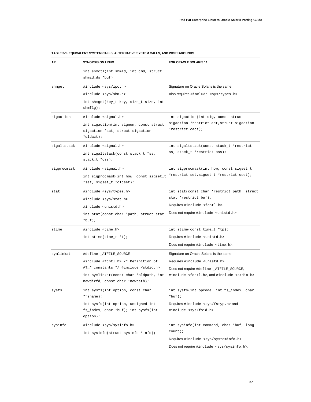| API         | <b>SYNOPSIS ON LINUX</b>                                                                | FOR ORACLE SOLARIS 11                                           |
|-------------|-----------------------------------------------------------------------------------------|-----------------------------------------------------------------|
|             | int shmctl(int shmid, int cmd, struct<br>shmid_ds *buf);                                |                                                                 |
| shmget      | #include <sys ipc.h=""></sys>                                                           | Signature on Oracle Solaris is the same.                        |
|             | #include <sys shm.h=""></sys>                                                           | Also requires #include <sys types.h="">.</sys>                  |
|             | int shmget(key_t key, size_t size, int<br>shmfly;                                       |                                                                 |
| sigaction   | #include <signal.h></signal.h>                                                          | int sigaction(int sig, const struct                             |
|             | int sigaction(int signum, const struct<br>sigaction *act, struct sigaction<br>*oldact); | sigaction *restrict act, struct sigaction<br>*restrict oact);   |
| sigaltstack | #include <signal.h></signal.h>                                                          | int sigaltstack(const stack_t *restrict                         |
|             | int sigaltstack(const stack_t *ss,                                                      | ss, stack_t *restrict oss);                                     |
|             | stack_t *oss);                                                                          |                                                                 |
| sigprocmask | #include <signal.h></signal.h>                                                          | int sigprocmask(int how, const sigset_t                         |
|             | int sigprocmask(int how, const sigset_t<br>*set, sigset_t *oldset);                     | *restrict set, sigset_t *restrict oset);                        |
| stat        | #include <sys types.h=""></sys>                                                         | int stat(const char *restrict path, struct                      |
|             | #include <sys stat.h=""></sys>                                                          | stat *restrict buf);                                            |
|             | #include <unistd.h></unistd.h>                                                          | Requires #include <fcntl.h>.</fcntl.h>                          |
|             | int stat(const char *path, struct stat<br>$*but)$ ;                                     | Does not require #include <unistd.h>.</unistd.h>                |
| stime       | #include <time.h></time.h>                                                              | int stime(const time_t *tp);                                    |
|             | int stime(time_t *t);                                                                   | Requires #include <unistd.h>.</unistd.h>                        |
|             |                                                                                         | Does not require #include <time.h>.</time.h>                    |
| symlinkat   | #define _ATFILE_SOURCE                                                                  | Signature on Oracle Solaris is the same.                        |
|             | #include <fcntl.h> /* Definition of</fcntl.h>                                           | Requires#include <unistd.h>.</unistd.h>                         |
|             | AT_* constants */ #include <stdio.h></stdio.h>                                          | Does not require #define _ATFILE_SOURCE,                        |
|             | int symlinkat(const char *oldpath, int<br>newdirfd, const char *newpath);               | #include <fcntl.h>, and #include <stdio.h>.</stdio.h></fcntl.h> |
| sysfs       | int sysfs(int option, const char<br>$*$ fsname $)$ ;                                    | int sysfs(int opcode, int fs_index, char<br>$*$ buf);           |
|             | int sysfs(int option, unsigned int                                                      | Requires #include <sys fstyp.h=""> and</sys>                    |
|             | fs_index, char *buf); int sysfs(int<br>$option)$ ;                                      | #include <sys fsid.h="">.</sys>                                 |
| sysinfo     | #include <sys sysinfo.h=""></sys>                                                       | int sysinfo(int command, char *buf, long                        |
|             | int sysinfo(struct sysinfo *info);                                                      | $count$ );                                                      |
|             |                                                                                         | Requires #include <sys systeminfo.h="">.</sys>                  |
|             |                                                                                         | Does not require #include <sys sysinfo.h="">.</sys>             |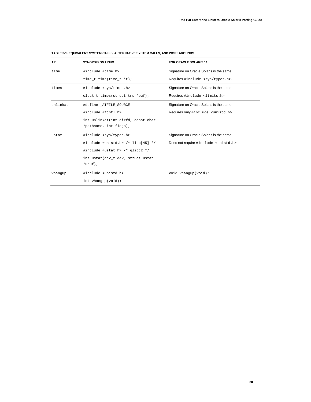| <b>API</b> | <b>SYNOPSIS ON LINUX</b>                                   | <b>FOR ORACLE SOLARIS 11</b>                     |
|------------|------------------------------------------------------------|--------------------------------------------------|
| time       | #include <time.h></time.h>                                 | Signature on Oracle Solaris is the same.         |
|            | time_t time(time_t *t);                                    | Requires #include <sys types.h="">.</sys>        |
| times      | #include <sys times.h=""></sys>                            | Signature on Oracle Solaris is the same.         |
|            | clock t times (struct tms *buf);                           | Requires #include <limits.h>.</limits.h>         |
| unlinkat   | #define ATFILE SOURCE                                      | Signature on Oracle Solaris is the same.         |
|            | #include <fcntl.h></fcntl.h>                               | Requires only #include <unistd.h>.</unistd.h>    |
|            | int unlinkat(int dirfd, const char                         |                                                  |
|            | *pathname, int flags);                                     |                                                  |
| ustat      | #include <sys types.h=""></sys>                            | Signature on Oracle Solaris is the same.         |
|            | #include <unistd.h> <math>/*</math> libc[45] */</unistd.h> | Does not require #include <unistd.h>.</unistd.h> |
|            | #include <ustat.h> /* qlibc2 */</ustat.h>                  |                                                  |
|            | int ustat(dev_t dev, struct ustat                          |                                                  |
|            | $*$ ubuf);                                                 |                                                  |
| vhanqup    | #include <unistd.h></unistd.h>                             | void vhangup(void);                              |
|            | $int \ vhanqup(void)$ ;                                    |                                                  |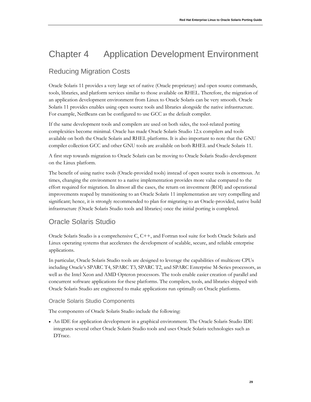# Chapter 4 Application Development Environment

# <span id="page-29-0"></span>Reducing Migration Costs

Oracle Solaris 11 provides a very large set of native (Oracle proprietary) and open source commands, tools, libraries, and platform services similar to those available on RHEL. Therefore, the migration of an application development environment from Linux to Oracle Solaris can be very smooth. Oracle Solaris 11 provides enables using open source tools and libraries alongside the native infrastructure. For example, NetBeans can be configured to use GCC as the default compiler.

If the same development tools and compilers are used on both sides, the tool-related porting complexities become minimal. Oracle has made Oracle Solaris Studio 12.x compilers and tools available on both the Oracle Solaris and RHEL platforms. It is also important to note that the GNU compiler collection GCC and other GNU tools are available on both RHEL and Oracle Solaris 11.

A first step towards migration to Oracle Solaris can be moving to Oracle Solaris Studio development on the Linux platform.

The benefit of using native tools (Oracle-provided tools) instead of open source tools is enormous. At times, changing the environment to a native implementation provides more value compared to the effort required for migration. In almost all the cases, the return on investment (ROI) and operational improvements reaped by transitioning to an Oracle Solaris 11 implementation are very compelling and significant; hence, it is strongly recommended to plan for migrating to an Oracle-provided, native build infrastructure (Oracle Solaris Studio tools and libraries) once the initial porting is completed.

## <span id="page-29-1"></span>Oracle Solaris Studio

Oracle Solaris Studio is a comprehensive C, C++, and Fortran tool suite for both Oracle Solaris and Linux operating systems that accelerates the development of scalable, secure, and reliable enterprise applications.

In particular, Oracle Solaris Studio tools are designed to leverage the capabilities of multicore CPUs including Oracle's SPARC T4, SPARC T3, SPARC T2, and SPARC Enterprise M-Series processors, as well as the Intel Xeon and AMD Opteron processors. The tools enable easier creation of parallel and concurrent software applications for these platforms. The compilers, tools, and libraries shipped with Oracle Solaris Studio are engineered to make applications run optimally on Oracle platforms.

### <span id="page-29-2"></span>Oracle Solaris Studio Components

The components of Oracle Solaris Studio include the following:

• An IDE for application development in a graphical environment. The Oracle Solaris Studio IDE integrates several other Oracle Solaris Studio tools and uses Oracle Solaris technologies such as DTrace.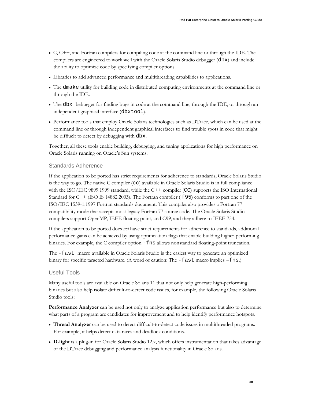- C, C++, and Fortran compilers for compiling code at the command line or through the IDE. The compilers are engineered to work well with the Oracle Solaris Studio debugger (dbx) and include the ability to optimize code by specifying compiler options.
- Libraries to add advanced performance and multithreading capabilities to applications.
- The dmake utility for building code in distributed computing environments at the command line or through the IDE.
- The dbx bebugger for finding bugs in code at the command line, through the IDE, or through an independent graphical interface (dbxtool).
- Performance tools that employ Oracle Solaris technologies such as DTrace, which can be used at the command line or through independent graphical interfaces to find trouble spots in code that might be diffiuclt to detect by debugging with dbx.

Together, all these tools enable building, debugging, and tuning applications for high performance on Oracle Solaris running on Oracle's Sun systems.

#### <span id="page-30-0"></span>Standards Adherence

If the application to be ported has strict requirements for adherence to standards, Oracle Solaris Studio is the way to go. The native C compiler (cc) available in Oracle Solaris Studio is in full compliance with the ISO/IEC 9899:1999 standard, while the C++ compiler (CC) supports the ISO International Standard for C++ (ISO IS 14882:2003). The Fortran compiler ( f 95) conforms to part one of the ISO/IEC 1539-1:1997 Fortran standards document. This compiler also provides a Fortran 77 compatibility mode that accepts most legacy Fortran 77 source code. The Oracle Solaris Studio compilers support OpenMP, IEEE floating point, and C99, and they adhere to IEEE 754.

If the application to be ported does *not* have strict requirements for adherence to standards, additional performance gains can be achieved by using optimization flags that enable building higher-performing binaries. For example, the C compiler option -fns allows nonstandard floating-point truncation.

The -fast macro available in Oracle Solaris Studio is the easiest way to generate an optimized binary for specific targeted hardware. (A word of caution: The -fast macro implies –fns.)

#### <span id="page-30-1"></span>Useful Tools

Many useful tools are available on Oracle Solaris 11 that not only help generate high-performing binaries but also help isolate difficult-to-detect code issues, for example, the following Oracle Solaris Studio tools:

**Performance Analyzer** can be used not only to analyze application performance but also to determine what parts of a program are candidates for improvement and to help identify performance hotspots.

- **Thread Analyzer** can be used to detect difficult-to-detect code issues in multithreaded programs. For example, it helps detect data races and deadlock conditions.
- **D-light** is a plug-in for Oracle Solaris Studio 12.x, which offers instrumentation that takes advantage of the DTrace debugging and performance analysis functionality in Oracle Solaris.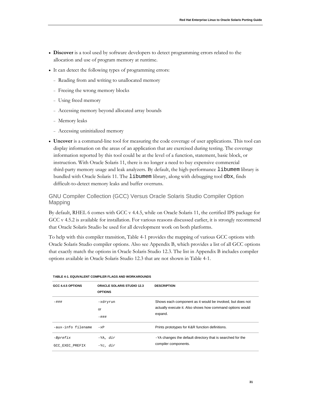- **Discover** is a tool used by software developers to detect programming errors related to the allocation and use of program memory at runtime.
- It can detect the following types of programming errors:
	- <sup>−</sup> Reading from and writing to unallocated memory
	- <sup>−</sup> Freeing the wrong memory blocks
	- <sup>−</sup> Using freed memory
	- <sup>−</sup> Accessing memory beyond allocated array bounds
	- <sup>−</sup> Memory leaks
	- <sup>−</sup> Accessing uninitialized memory
- **Uncover** is a command-line tool for measuring the code coverage of user applications. This tool can display information on the areas of an application that are exercised during testing. The coverage information reported by this tool could be at the level of a function, statement, basic block, or instruction. With Oracle Solaris 11, there is no longer a need to buy expensive commercial third-party memory usage and leak analyzers. By default, the high-performance libumem library is bundled with Oracle Solaris 11. The libumem library, along with debugging tool dbx, finds difficult-to-detect memory leaks and buffer overruns.

### <span id="page-31-0"></span>GNU Compiler Collection (GCC) Versus Oracle Solaris Studio Compiler Option Mapping

By default, RHEL 6 comes with GCC v 4.4.5, while on Oracle Solaris 11, the certified IPS package for GCC v 4.5.2 is available for installation. For various reasons discussed earlier, it is strongly recommend that Oracle Solaris Studio be used for all development work on both platforms.

To help with this compiler transition, Table 4-1 provides the mapping of various GCC options with Oracle Solaris Studio compiler options. Also see Appendix B, which provides a list of all GCC options that exactly match the options in Oracle Solaris Studio 12.3. The list in Appendix B includes compiler options available in Oracle Solaris Studio 12.3 that are not shown in Table 4-1.

| GCC 4.4.5 OPTIONS           | <b>ORACLE SOLARIS STUDIO 12.3</b><br><b>OPTIONS</b> | <b>DESCRIPTION</b>                                                                                                                |
|-----------------------------|-----------------------------------------------------|-----------------------------------------------------------------------------------------------------------------------------------|
| $-$ ###                     | -xdryrun<br>or<br>$-$ ###                           | Shows each component as it would be invoked, but does not<br>actually execute it. Also shows how command options would<br>expand. |
| -aux-info filename          | $-xP$                                               | Prints prototypes for K&R function definitions.                                                                                   |
| -Bprefix<br>GCC EXEC PREFIX | $-YA$ , $dir$<br>$-yc, dir$                         | -YA changes the default directory that is searched for the<br>compiler components.                                                |

#### **TABLE 4-1. EQUIVALENT COMPILER FLAGS AND WORKAROUNDS**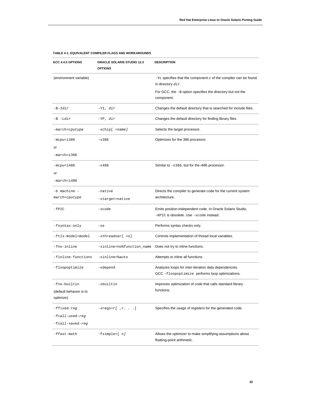| GCC 4.4.5 OPTIONS                    | <b>ORACLE SOLARIS STUDIO 12.3</b><br><b>OPTIONS</b> | <b>DESCRIPTION</b>                                                                                       |
|--------------------------------------|-----------------------------------------------------|----------------------------------------------------------------------------------------------------------|
| (environment variable)               |                                                     | $-yc$ specifies that the component $c$ of the compiler can be found<br>in directory dir.                 |
|                                      |                                                     | For GCC, the $-B$ option specifies the directory but not the                                             |
|                                      |                                                     | component.                                                                                               |
| -B-Idir                              | -YI, dir                                            | Changes the default directory that is searched for include files.                                        |
| -B -Ldir                             | -YP, dir                                            | Changes the default directory for finding library files.                                                 |
| -march=cputype                       | $-xchip[ = name]$                                   | Selects the target processor.                                                                            |
| -mcpu=i386                           | $-x386$                                             | Optimizes for the 386 processor.                                                                         |
| or                                   |                                                     |                                                                                                          |
| -march=i386                          |                                                     |                                                                                                          |
| -mcpu=i486                           | $-x486$                                             | Similar to $-x386$ , but for the i486 processor.                                                         |
| or                                   |                                                     |                                                                                                          |
| -march=i486                          |                                                     |                                                                                                          |
| -b machine -                         | -native                                             | Directs the compiler to generate code for the current system                                             |
| march=cputype                        | -xtarget=native                                     | architecture.                                                                                            |
| $-$ fPIC                             | -xcode                                              | Emits position-independent code. In Oracle Solaris Studio,<br>-KPIC is obsolete. Use -xcode instead.     |
| -fsyntax-only                        | $-xe$                                               | Performs syntax checks only.                                                                             |
| -ftls-model=model                    | -xthreadvar[ =o]                                    | Controls implementation of thread local variables.                                                       |
| -fno-inline                          | -xinline=no%function_name                           | Does not try to inline functions.                                                                        |
| -finline-functions                   | -xinline=%auto                                      | Attempts to inline all functions.                                                                        |
| -floopoptimize                       | -xdepend                                            | Analyzes loops for inter-iteration data dependencies.<br>GCC -floopoptimize performs loop optimizations. |
| -fno-builtin                         | -xbuiltin                                           | Improves optimization of code that calls standard library<br>functions.                                  |
| (default behavior is to<br>optimize) |                                                     |                                                                                                          |
| -ffixed-reg                          | $-$ xregs= $r$ [, $r$ .]                            | Specifies the usage of registers for the generated code.                                                 |
| -fcall-used-reg                      |                                                     |                                                                                                          |
| -fcall-saved-reg                     |                                                     |                                                                                                          |
| -ffast-math                          | -fsimple=[ n]                                       | Allows the optimizer to make simplifying assumptions about<br>floating-point arithmetic.                 |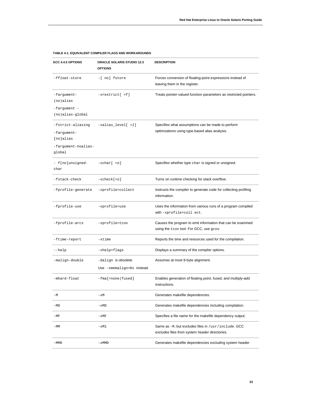| GCC 4.4.5 OPTIONS                                                              | ORACLE SOLARIS STUDIO 12.3<br><b>OPTIONS</b>       | <b>DESCRIPTION</b>                                                                                     |
|--------------------------------------------------------------------------------|----------------------------------------------------|--------------------------------------------------------------------------------------------------------|
| -ffloat-store                                                                  | -[ no] fstore                                      | Forces conversion of floating-point expressions instead of<br>leaving them in the register.            |
| -fargument-<br>$(no)$ alias<br>-fargument -<br>(no)alias-global                | $-$ xrestrict $[$ =f]                              | Treats pointer-valued function parameters as restricted pointers.                                      |
| -fstrict-aliasing<br>-fargument-<br>[no]alias<br>-fargument-noalias-<br>global | $-xalias_{level}[ = 1]$                            | Specifies what assumptions can be made to perform<br>optimizations using type-based alias analysis.    |
| - f[no]unsigned-<br>char                                                       | $-xchar[-0]$                                       | Specifies whether type char is signed or unsigned.                                                     |
| -fstack-check                                                                  | $-xcheck[-0]$                                      | Turns on runtime checking for stack overflow.                                                          |
| -fprofile-generate                                                             | -xprofile=collect                                  | Instructs the compiler to generate code for collecting profiling<br>information.                       |
| -fprofile-use                                                                  | -xprofile=use                                      | Uses the information from various runs of a program compiled<br>with-xprofile=coll ect.                |
| -fprofile-arcs                                                                 | -xprofile=tcov                                     | Causes the program to emit information that can be examined<br>using the tcov tool. For GCC, use gcov. |
| -ftime-report                                                                  | -xtime                                             | Reports the time and resources used for the compilation.                                               |
| --help                                                                         | -xhelp=flags                                       | Displays a summary of the compiler options.                                                            |
| -malign-double                                                                 | -dalign is obsolete.<br>Use -xmemalign=8s instead. | Assumes at most 8-byte alignment.                                                                      |
| -mhard-float                                                                   | -fma[=none fused]                                  | Enables generation of floating point, fused, and multiply-add<br>instructions.                         |
| $-M$                                                                           | $-xM$                                              | Generates makefile dependencies.                                                                       |
| $-MD$                                                                          | -xMD                                               | Generates makefile dependencies including compilation.                                                 |
| $-MF$                                                                          | -xMF                                               | Specifies a file name for the makefile dependency output.                                              |
| $-MM$                                                                          | -xM1                                               | Same as -M, but excludes files in /usr/include. GCC<br>excludes files from system header directories.  |
| $-MMD$                                                                         | $-xMMD$                                            | Generates makefile dependencies excluding system header                                                |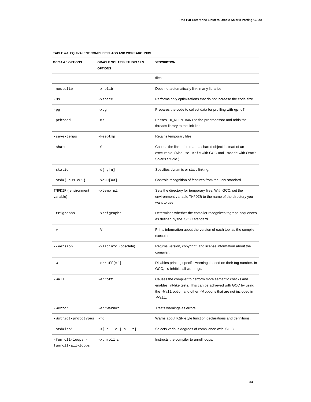| GCC 4.4.5 OPTIONS                     | <b>ORACLE SOLARIS STUDIO 12.3</b><br><b>OPTIONS</b> | <b>DESCRIPTION</b>                                                                                                                                                                                       |
|---------------------------------------|-----------------------------------------------------|----------------------------------------------------------------------------------------------------------------------------------------------------------------------------------------------------------|
|                                       |                                                     | files.                                                                                                                                                                                                   |
| -nostdlib                             | -xnolib                                             | Does not automatically link in any libraries.                                                                                                                                                            |
| $-0s$                                 | -xspace                                             | Performs only optimizations that do not increase the code size.                                                                                                                                          |
| $-pg$                                 | -xpg                                                | Prepares the code to collect data for profiling with gprof.                                                                                                                                              |
| -pthread                              | $-mt$                                               | Passes -D_REENTRANT to the preprocessor and adds the<br>threads library to the link line.                                                                                                                |
| -save-temps                           | -keeptmp                                            | Retains temporary files.                                                                                                                                                                                 |
| -shared                               | $-\mathbf{G}$                                       | Causes the linker to create a shared object instead of an<br>executable. (Also use -Kpic with GCC and -xcode with Oracle<br>Solaris Studio.)                                                             |
| -static                               | $-d[y n]$                                           | Specifies dynamic or static linking.                                                                                                                                                                     |
| $-std = \{ c99   c89 \}$              | $-xc99[-0]$                                         | Controls recognition of features from the C99 standard.                                                                                                                                                  |
| TMPDIR (environment<br>variable)      | $-x$ temp= $dir$                                    | Sets the directory for temporary files. With GCC, set the<br>environment variable TMPDIR to the name of the directory you<br>want to use.                                                                |
| -trigraphs                            | -xtrigraphs                                         | Determines whether the compiler recognizes trigraph sequences<br>as defined by the ISO C standard.                                                                                                       |
| $-\nabla$                             | $-V$                                                | Prints information about the version of each tool as the compiler<br>executes.                                                                                                                           |
| --version                             | -xlicinfo (obsolete)                                | Returns version, copyright, and license information about the<br>compiler.                                                                                                                               |
| $-w$                                  | $-errorff[t]$                                       | Disables printing specific warnings based on their tag number. In<br>GCC, -w inhibits all warnings.                                                                                                      |
| $-Wa11$                               | -erroff                                             | Causes the compiler to perform more semantic checks and<br>enables lint-like tests. This can be achieved with GCC by using<br>the -Wall option and other -W options that are not included in<br>$-Wall.$ |
| -Werror                               | -errwarn=t                                          | Treats warnings as errors.                                                                                                                                                                               |
| -Wstrict-prototypes                   | -fd                                                 | Warns about K&R-style function declarations and definitions.                                                                                                                                             |
| $-std = iso*$                         | $-X[a c s t]$                                       | Selects various degrees of compliance with ISO C.                                                                                                                                                        |
| -funroll-loops -<br>funroll-all-loops | -xunroll=n                                          | Instructs the compiler to unroll loops.                                                                                                                                                                  |

**34**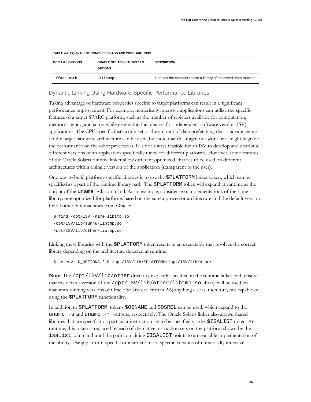| <b>GCC 4.4.5 OPTIONS</b> | <b>ORACLE SOLARIS STUDIO 12.3</b><br><b>OPTIONS</b> | <b>DESCRIPTION</b>                                                |
|--------------------------|-----------------------------------------------------|-------------------------------------------------------------------|
| -ffast-math              | -xlibmopt                                           | Enables the compiler to use a library of optimized math routines. |

#### <span id="page-35-0"></span>Dynamic Linking Using Hardware-Specific Performance Libraries

Taking advantage of hardware properties specific to target platforms can result in a significant performance improvement. For example, numerically intensive applications can utilize the specific features of a target SPARC platform, such as the number of registers available for computation, memory latency, and so on while generating the binaries for independent software vendor (ISV) applications. The CPU-specific instruction set or the amount of data prefetching that is advantageous on the target hardware architecture can be used, but note that this might not work or it might degrade the performance on the other processors. It is not always feasible for an ISV to develop and distribute different versions of an application specifically tuned for different platforms. However, some features of the Oracle Solaris runtime linker allow different optimized libraries to be used on different architectures within a single version of the application (transparent to the user).

One way to build platform-specific libraries is to use the \$PLATFORM linker token, which can be specified as a part of the runtime library path. The \$PLATFORM token will expand at runtime as the output of the uname -i command. As an example, consider two implementations of the same library: one optimized for platforms based on the sun4u processor architecture and the default version for all other Sun machines from Oracle:

```
$ find /opt/ISV -name libtmp.so
/opt/ISV/lib/sun4u/libtmp.so
/opt/ISV/lib/other/libtmp.so
```
Linking these libraries with the \$PLATFORM token results in an executable that resolves the correct library depending on the architecture detected at runtime.

\$ setenv LD\_OPTIONS '-R /opt/ISV/lib/\$PLATFORM:/opt/ISV/lib/other'

**Note**: The /opt/ISV/lib/other directory explicitly specified in the runtime linker path ensures that the default version of the /opt/ISV/lib/other/libtmp.so library will be used on machines running versions of Oracle Solaris earlier than 2.6; anything else is, therefore, not capable of using the \$PLATFORM functionality.

In addition to \$PLATFORM, tokens \$OSNAME and \$OSREL can be used, which expand to the uname  $-s$  and uname  $-r$  outputs, respectively. The Oracle Solaris linker also allows shared libraries that are specific to a particular instruction set to be specified via the \$ISALIST token. At runtime, this token is replaced by each of the native instruction sets on the platform shown by the isalist command until the path containing \$ISALIST points to an available implementation of the library. Using platform-specific or instruction set–specific versions of numerically intensive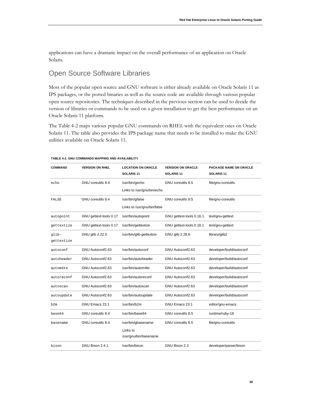applications can have a dramatic impact on the overall performance of an application on Oracle Solaris.

# Open Source Software Libraries

Most of the popular open source and GNU software is either already available on Oracle Solaris 11 as IPS packages, or the ported binaries as well as the source code are available through various popular open source repositories*.* The techniques described in the previous section can be used to decide the version of libraries or commands to be used on a given installation to get the best performance on an Oracle Solaris 11 platform.

The Table 4-2 maps various popular GNU commands on RHEL with the equivalent ones on Oracle Solaris 11. The table also provides the IPS package name that needs to be installed to make the GNU utilities available on Oracle Solaris 11.

| <b>COMMAND</b>      | <b>VERSION ON RHEL</b> | <b>LOCATION ON ORACLE</b><br>SOLARIS <sub>11</sub>      | <b>VERSION ON ORACLE</b><br>SOLARIS <sub>11</sub> | <b>PACKAGE NAME ON ORACLE</b><br>SOLARIS <sub>11</sub> |
|---------------------|------------------------|---------------------------------------------------------|---------------------------------------------------|--------------------------------------------------------|
| echo                | GNU coreutils 8.4      | /usr/bin/gecho<br>Links to /usr/gnu/bin/echo            | GNU coreutils 8.5                                 | file/gnu-coreutils                                     |
| FALSE               | GNU coreutils 8.4      | /usr/bin/gfalse<br>Links to /usr/gnu/bin/false          | GNU coreutils 8.5                                 | file/gnu-coreutils                                     |
| autopoint           | GNU gettext-tools 0.17 | /usr/bin/autopoint                                      | GNU gettext-tools 0.16.1                          | text/gnu-gettext                                       |
| qettextize          | GNU gettext-tools 0.17 | /usr/bin/gettextize                                     | GNU gettext-tools 0.16.1                          | text/gnu-gettext                                       |
| qlib-<br>gettextize | GNU glib 2.22.5        | /usr/bin/glib-gettextize                                | GNU glib 2.28.6                                   | library/glib2                                          |
| autoconf            | GNU Autoconf2.63       | /usr/bin/autoconf                                       | GNU Autoconf2.63                                  | developer/build/autoconf                               |
| autoheader          | GNU Autoconf2.63       | /usr/bin/autoheader                                     | GNU Autoconf2.63                                  | developer/build/autoconf                               |
| autom4te            | GNU Autoconf2.63       | /usr/bin/autom4te                                       | GNU Autoconf2.63                                  | developer/build/autoconf                               |
| autoreconf          | GNU Autoconf2.63       | /usr/bin/autoreconf                                     | GNU Autoconf2.63                                  | developer/build/autoconf                               |
| autoscan            | GNU Autoconf2.63       | /usr/bin/autoscan                                       | GNU Autoconf2.63                                  | developer/build/autoconf                               |
| autoupdate          | GNU Autoconf2.63       | /usr/bin/autoupdate                                     | GNU Autoconf2.63                                  | developer/build/autoconf                               |
| b2m                 | GNU Emacs 23.1         | /usr/bin/b2m                                            | GNU Emacs 23.1                                    | editor/gnu-emacs                                       |
| base64              | GNU coreutils 8.4      | /usr/bin/base64                                         | GNU coreutils 8.5                                 | runtime/ruby-18                                        |
| basename            | GNU coreutils 8.4      | /usr/bin/gbasename<br>Links to<br>/usr/gnu/bin/basename | GNU coreutils 8.5                                 | file/gnu-coreutils                                     |
| bison               | GNU Bison 2.4.1        | /usr/bin/bison                                          | GNU Bison 2.3                                     | developer/parser/bison                                 |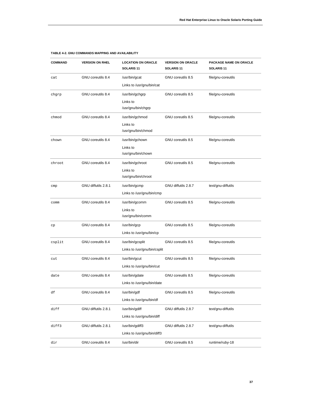| <b>COMMAND</b> | <b>VERSION ON RHEL</b> | <b>LOCATION ON ORACLE</b><br>SOLARIS <sub>11</sub> | <b>VERSION ON ORACLE</b><br>SOLARIS <sub>11</sub> | PACKAGE NAME ON ORACLE<br>SOLARIS <sub>11</sub> |
|----------------|------------------------|----------------------------------------------------|---------------------------------------------------|-------------------------------------------------|
| cat            | GNU coreutils 8.4      | /usr/bin/gcat                                      | GNU coreutils 8.5                                 | file/gnu-coreutils                              |
|                |                        | Links to /usr/gnu/bin/cat                          |                                                   |                                                 |
| chgrp          | GNU coreutils 8.4      | /usr/bin/gchgrp                                    | GNU coreutils 8.5                                 | file/gnu-coreutils                              |
|                |                        | Links to                                           |                                                   |                                                 |
|                |                        | /usr/gnu/bin/chgrp                                 |                                                   |                                                 |
| chmod          | GNU coreutils 8.4      | /usr/bin/gchmod                                    | GNU coreutils 8.5                                 | file/gnu-coreutils                              |
|                |                        | Links to                                           |                                                   |                                                 |
|                |                        | /usr/gnu/bin/chmod                                 |                                                   |                                                 |
| chown          | GNU coreutils 8.4      | /usr/bin/gchown                                    | GNU coreutils 8.5                                 | file/gnu-coreutils                              |
|                |                        | Links to                                           |                                                   |                                                 |
|                |                        | /usr/gnu/bin/chown                                 |                                                   |                                                 |
| chroot.        | GNU coreutils 8.4      | /usr/bin/gchroot                                   | GNU coreutils 8.5                                 | file/gnu-coreutils                              |
|                |                        | Links to                                           |                                                   |                                                 |
|                |                        | /usr/gnu/bin/chroot                                |                                                   |                                                 |
| cmp            | GNU diffutils 2.8.1    | /usr/bin/gcmp                                      | GNU diffutils 2.8.7                               | text/gnu-diffutils                              |
|                |                        | Links to /usr/gnu/bin/cmp                          |                                                   |                                                 |
| comm           | GNU coreutils 8.4      | /usr/bin/gcomm                                     | GNU coreutils 8.5                                 | file/gnu-coreutils                              |
|                |                        | Links to                                           |                                                   |                                                 |
|                |                        | /usr/gnu/bin/comm                                  |                                                   |                                                 |
| сp             | GNU coreutils 8.4      | /usr/bin/gcp                                       | GNU coreutils 8.5                                 | file/gnu-coreutils                              |
|                |                        | Links to /usr/gnu/bin/cp                           |                                                   |                                                 |
| csplit         | GNU coreutils 8.4      | /usr/bin/gcsplit                                   | GNU coreutils 8.5                                 | file/gnu-coreutils                              |
|                |                        | Links to /usr/gnu/bin/csplit                       |                                                   |                                                 |
| cut            | GNU coreutils 8.4      | /usr/bin/gcut                                      | GNU coreutils 8.5                                 | file/gnu-coreutils                              |
|                |                        | Links to /usr/gnu/bin/cut                          |                                                   |                                                 |
| date           | GNU coreutils 8.4      | /usr/bin/gdate                                     | GNU coreutils 8.5                                 | file/gnu-coreutils                              |
|                |                        | Links to /usr/gnu/bin/date                         |                                                   |                                                 |
| df             | GNU coreutils 8.4      | /usr/bin/gdf                                       | GNU coreutils 8.5                                 | file/gnu-coreutils                              |
|                |                        | Links to /usr/gnu/bin/df                           |                                                   |                                                 |
| diff           | GNU diffutils 2.8.1    | /usr/bin/gdiff                                     | GNU diffutils 2.8.7                               | text/gnu-diffutils                              |
|                |                        | Links to /usr/gnu/bin/diff                         |                                                   |                                                 |
| diff3          | GNU diffutils 2.8.1    | /usr/bin/gdiff3                                    | GNU diffutils 2.8.7                               | text/gnu-diffutils                              |
|                |                        | Links to /usr/gnu/bin/diff3                        |                                                   |                                                 |
| dir            | GNU coreutils 8.4      | /usr/bin/dir                                       | GNU coreutils 8.5                                 | runtime/ruby-18                                 |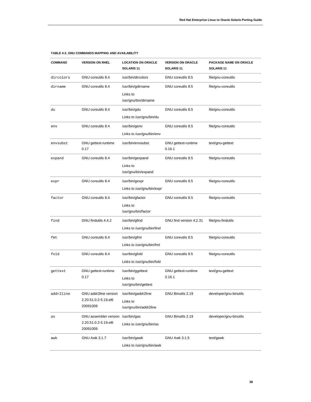| <b>COMMAND</b> | <b>VERSION ON RHEL</b>                                                 | <b>LOCATION ON ORACLE</b><br>SOLARIS <sub>11</sub>        | <b>VERSION ON ORACLE</b><br><b>SOLARIS 11</b> | PACKAGE NAME ON ORACLE<br>SOLARIS <sub>11</sub> |
|----------------|------------------------------------------------------------------------|-----------------------------------------------------------|-----------------------------------------------|-------------------------------------------------|
| dircolors      | GNU coreutils 8.4                                                      | /usr/bin/dircolors                                        | GNU coreutils 8.5                             | file/gnu-coreutils                              |
| dirname        | GNU coreutils 8.4                                                      | /usr/bin/gdirname<br>Links to<br>/usr/gnu/bin/dirname     | GNU coreutils 8.5                             | file/gnu-coreutils                              |
| du             | GNU coreutils 8.4                                                      | /usr/bin/gdu<br>Links to /usr/gnu/bin/du                  | GNU coreutils 8.5                             | file/gnu-coreutils                              |
| env            | GNU coreutils 8.4                                                      | /usr/bin/genv<br>Links to /usr/gnu/bin/env                | GNU coreutils 8.5                             | file/gnu-coreutils                              |
| envsubst       | GNU gettext-runtime<br>0.17                                            | /usr/bin/envsubst                                         | GNU gettext-runtime<br>0.16.1                 | text/gnu-gettext                                |
| expand         | GNU coreutils 8.4                                                      | /usr/bin/gexpand<br>Links to<br>/usr/gnu/bin/expand       | GNU coreutils 8.5                             | file/gnu-coreutils                              |
| expr           | GNU coreutils 8.4                                                      | /usr/bin/gexpr<br>Links to /usr/gnu/bin/expr              | GNU coreutils 8.5                             | file/gnu-coreutils                              |
| factor         | GNU coreutils 8.4                                                      | /usr/bin/gfactor<br>Links to<br>/usr/gnu/bin/factor       | GNU coreutils 8.5                             | file/gnu-coreutils                              |
| find           | GNU findutils 4.4.2                                                    | /usr/bin/gfind<br>Links to /usr/gnu/bin/find              | GNU find version 4.2.31                       | file/gnu-findutils                              |
| fmt            | GNU coreutils 8.4                                                      | /usr/bin/gfmt<br>Links to /usr/gnu/bin/fmt                | GNU coreutils 8.5                             | file/gnu-coreutils                              |
| fold           | GNU coreutils 8.4                                                      | /usr/bin/gfold<br>Links to /usr/gnu/bin/fold              | GNU coreutils 8.5                             | file/gnu-coreutils                              |
| gettext        | GNU gettext-runtime<br>0.17                                            | /usr/bin/ggettext<br>Links to<br>/usr/gnu/bin/gettext     | GNU gettext-runtime<br>0.16.1                 | text/gnu-gettext                                |
| addr2line      | GNU addr2line version<br>2.20.51.0.2-5.19.el6<br>20091009              | /usr/bin/gaddr2line<br>Links to<br>/usr/gnu/bin/addr2line | GNU Binutils 2.19                             | developer/gnu-binutils                          |
| as             | GNU assembler version /usr/bin/gas<br>2.20.51.0.2-5.19.el6<br>20091009 | Links to /usr/gnu/bin/as                                  | GNU Binutils 2.19                             | developer/gnu-binutils                          |
| awk            | <b>GNU Awk 3.1.7</b>                                                   | /usr/bin/gawk<br>Links to /usr/gnu/bin/awk                | GNU Awk 3.1.5                                 | text/gawk                                       |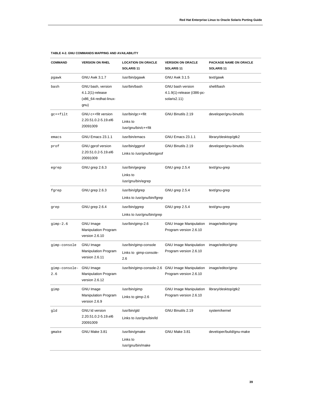| <b>COMMAND</b>       | <b>VERSION ON RHEL</b>                                                 | <b>LOCATION ON ORACLE</b><br>SOLARIS <sub>11</sub>     | <b>VERSION ON ORACLE</b><br>SOLARIS <sub>11</sub>                     | PACKAGE NAME ON ORACLE<br><b>SOLARIS 11</b> |
|----------------------|------------------------------------------------------------------------|--------------------------------------------------------|-----------------------------------------------------------------------|---------------------------------------------|
| pgawk                | <b>GNU Awk 3.1.7</b>                                                   | /usr/bin/pgawk                                         | GNU Awk 3.1.5                                                         | text/gawk                                   |
| bash                 | GNU bash, version<br>4.1.2(1)-release<br>(x86_64-redhat-linux-<br>gnu) | /usr/bin/bash                                          | <b>GNU</b> bash version<br>4.1.9(1)-release (i386-pc-<br>solaris2.11) | shell/bash                                  |
| gc++filt             | GNU c++filt version<br>2.20.51.0.2-5.19.el6<br>20091009                | /usr/bin/gc++filt<br>Links to<br>/usr/gnu/bin/c++filt  | GNU Binutils 2.19                                                     | developer/gnu-binutils                      |
| emacs                | <b>GNU Emacs 23.1.1</b>                                                | /usr/bin/emacs                                         | <b>GNU Emacs 23.1.1</b>                                               | library/desktop/gtk2                        |
| prof                 | GNU gprof version<br>2.20.51.0.2-5.19.el6<br>20091009                  | /usr/bin/ggprof<br>Links to /usr/gnu/bin/gprof         | GNU Binutils 2.19                                                     | developer/gnu-binutils                      |
| egrep                | GNU grep 2.6.3                                                         | /usr/bin/gegrep<br>Links to<br>/usr/gnu/bin/egrep      | GNU grep 2.5.4                                                        | text/gnu-grep                               |
| fgrep                | GNU grep 2.6.3                                                         | /usr/bin/gfgrep<br>Links to /usr/gnu/bin/fgrep         | GNU grep 2.5.4                                                        | text/gnu-grep                               |
| grep                 | GNU grep 2.6.4                                                         | /usr/bin/ggrep<br>Links to /usr/gnu/bin/grep           | GNU grep 2.5.4                                                        | text/gnu-grep                               |
| $gimp-2.6$           | <b>GNU Image</b><br>Manipulation Program<br>version 2.6.10             | /usr/bin/gimp-2.6                                      | <b>GNU Image Manipulation</b><br>Program version 2.6.10               | image/editor/gimp                           |
| gimp-console         | <b>GNU Image</b><br>Manipulation Program<br>version 2.6.11             | /usr/bin/gimp-console<br>Links to gimp-console-<br>2.6 | <b>GNU Image Manipulation</b><br>Program version 2.6.10               | image/editor/gimp                           |
| gimp-console-<br>2.6 | <b>GNU Image</b><br>Manipulation Program<br>version 2.6.12             | /usr/bin/gimp-console-2.6 GNU Image Manipulation       | Program version 2.6.10                                                | image/editor/gimp                           |
| gimp                 | <b>GNU Image</b><br>Manipulation Program<br>version 2.6.9              | /usr/bin/gimp<br>Links to gimp-2.6                     | <b>GNU Image Manipulation</b><br>Program version 2.6.10               | library/desktop/gtk2                        |
| gld                  | GNU Id version<br>2.20.51.0.2-5.19.el6<br>20091009                     | /usr/bin/gld<br>Links to /usr/gnu/bin/ld               | GNU Binutils 2.19                                                     | system/kernel                               |
| gmake                | GNU Make 3.81                                                          | /usr/bin/gmake<br>Links to<br>/usr/gnu/bin/make        | GNU Make 3.81                                                         | developer/build/gnu-make                    |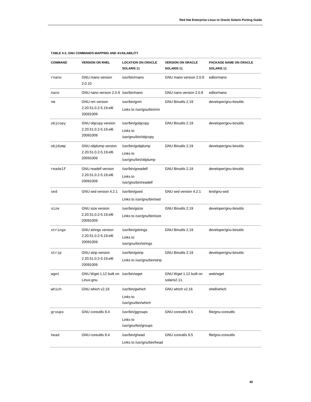| <b>COMMAND</b> | <b>VERSION ON RHEL</b>                                         | <b>LOCATION ON ORACLE</b><br>SOLARIS <sub>11</sub>    | <b>VERSION ON ORACLE</b><br>SOLARIS <sub>11</sub> | PACKAGE NAME ON ORACLE<br>SOLARIS <sub>11</sub> |
|----------------|----------------------------------------------------------------|-------------------------------------------------------|---------------------------------------------------|-------------------------------------------------|
| rnano          | <b>GNU</b> mano version<br>2.0.10                              | /usr/bin/rnano                                        | GNU mano version 2.0.9                            | editor/nano                                     |
| nano           | GNU nano version 2.0.9 /usr/bin/nano                           |                                                       | GNU nano version 2.0.9                            | editor/nano                                     |
| nm             | GNU nm version<br>2.20.51.0.2-5.19.el6<br>20091009             | /usr/bin/gnm<br>Links to /usr/gnu/bin/nm              | GNU Binutils 2.19                                 | developer/gnu-binutils                          |
| objcopy        | GNU objcopy version<br>2.20.51.0.2-5.19.el6<br>20091009        | /usr/bin/gobjcopy<br>Links to<br>/usr/gnu/bin/objcopy | GNU Binutils 2.19                                 | developer/gnu-binutils                          |
| objdump        | GNU objdump version<br>2.20.51.0.2-5.19.el6<br>20091009        | /usr/bin/gobjdump<br>Links to<br>/usr/gnu/bin/objdump | GNU Binutils 2.19                                 | developer/gnu-binutils                          |
| readelf        | <b>GNU</b> readelf version<br>2.20.51.0.2-5.19.el6<br>20091009 | /usr/bin/greadelf<br>Links to<br>/usr/gnu/bin/readelf | GNU Binutils 2.19                                 | developer/gnu-binutils                          |
| sed            | GNU sed version 4.2.1                                          | /usr/bin/gsed<br>Links to /usr/gnu/bin/sed            | GNU sed version 4.2.1                             | text/gnu-sed                                    |
| size           | GNU size version<br>2.20.51.0.2-5.19.el6<br>20091009           | /usr/bin/gsize<br>Links to /usr/gnu/bin/size          | GNU Binutils 2.19                                 | developer/gnu-binutils                          |
| strings        | GNU strings version<br>2.20.51.0.2-5.19.el6<br>20091009        | /usr/bin/gstrings<br>Links to<br>/usr/gnu/bin/strings | GNU Binutils 2.19                                 | developer/gnu-binutils                          |
| strip          | GNU strip version<br>2.20.51.0.2-5.19.el6<br>20091009          | /usr/bin/gstrip<br>Links to /usr/gnu/bin/strip        | GNU Binutils 2.19                                 | developer/gnu-binutils                          |
| wget           | GNU Wget 1.12 built on /usr/bin/wget<br>Linux-gnu.             |                                                       | GNU Wget 1.12 built on<br>solaris2.11.            | web/wget                                        |
| which          | GNU which v2.19                                                | /usr/bin/gwhich<br>Links to<br>/usr/gnu/bin/which     | GNU which v2.16                                   | shell/which                                     |
| qroups         | GNU coreutils 8.4                                              | /usr/bin/ggroups<br>Links to<br>/usr/gnu/bin/groups   | GNU coreutils 8.5                                 | file/gnu-coreutils                              |
| head           | GNU coreutils 8.4                                              | /usr/bin/ghead<br>Links to /usr/gnu/bin/head          | GNU coreutils 8.5                                 | file/gnu-coreutils                              |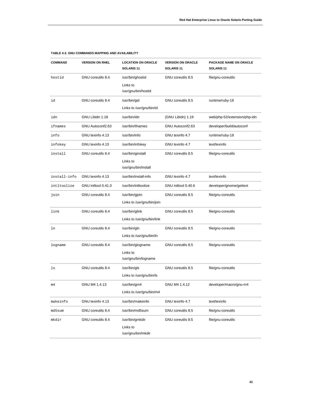| <b>COMMAND</b> | <b>VERSION ON RHEL</b> | <b>LOCATION ON ORACLE</b><br>SOLARIS <sub>11</sub>    | <b>VERSION ON ORACLE</b><br>SOLARIS <sub>11</sub> | PACKAGE NAME ON ORACLE<br>SOLARIS <sub>11</sub> |
|----------------|------------------------|-------------------------------------------------------|---------------------------------------------------|-------------------------------------------------|
| hostid         | GNU coreutils 8.4      | /usr/bin/ghostid<br>Links to<br>/usr/gnu/bin/hostid   | GNU coreutils 8.5                                 | file/gnu-coreutils                              |
| id             | GNU coreutils 8.4      | /usr/bin/gid<br>Links to /usr/gnu/bin/id              | GNU coreutils 8.5                                 | runtime/ruby-18                                 |
| idn            | GNU Libidn 1.18        | /usr/bin/idn                                          | (GNU Libidn) 1.19                                 | web/php-52/extension/php-idn                    |
| ifnames        | GNU Autoconf2.63       | /usr/bin/ifnames                                      | GNU Autoconf2.63                                  | developer/build/autoconf                        |
| info           | GNU texinfo 4.13       | /usr/bin/info                                         | GNU texinfo 4.7                                   | runtime/ruby-18                                 |
| infokey        | GNU texinfo 4.13       | /usr/bin/infokey                                      | GNU texinfo 4.7                                   | text/texinfo                                    |
| install        | GNU coreutils 8.4      | /usr/bin/ginstall<br>Links to<br>/usr/gnu/bin/install | GNU coreutils 8.5                                 | file/gnu-coreutils                              |
| install-info   | GNU texinfo 4.13       | /usr/bin/install-info                                 | GNU texinfo 4.7                                   | text/texinfo                                    |
| intltoolize    | GNU intltool 0.41.0    | /usr/bin/intltoolize                                  | GNU intltool 0.40.6                               | developer/gnome/gettext                         |
| join           | GNU coreutils 8.4      | /usr/bin/gjoin<br>Links to /usr/gnu/bin/join          | GNU coreutils 8.5                                 | file/gnu-coreutils                              |
| link           | GNU coreutils 8.4      | /usr/bin/glink<br>Links to /usr/gnu/bin/link          | GNU coreutils 8.5                                 | file/gnu-coreutils                              |
| ln             | GNU coreutils 8.4      | /usr/bin/gln<br>Links to /usr/gnu/bin/ln              | GNU coreutils 8.5                                 | file/gnu-coreutils                              |
| logname        | GNU coreutils 8.4      | /usr/bin/glogname<br>Links to<br>/usr/gnu/bin/logname | GNU coreutils 8.5                                 | file/gnu-coreutils                              |
| ls             | GNU coreutils 8.4      | /usr/bin/gls<br>Links to /usr/gnu/bin/ls              | GNU coreutils 8.5                                 | file/gnu-coreutils                              |
| m4             | GNU M4 1.4.13          | /usr/bin/gm4<br>Links to /usr/gnu/bin/m4              | GNU M4 1.4.12                                     | developer/macro/gnu-m4                          |
| makeinfo       | GNU texinfo 4.13       | /usr/bin/makeinfo                                     | GNU texinfo 4.7                                   | text/texinfo                                    |
| md5sum         | GNU coreutils 8.4      | /usr/bin/md5sum                                       | GNU coreutils 8.5                                 | file/gnu-coreutils                              |
| mkdir          | GNU coreutils 8.4      | /usr/bin/gmkdir<br>Links to<br>/usr/gnu/bin/mkdir     | GNU coreutils 8.5                                 | file/gnu-coreutils                              |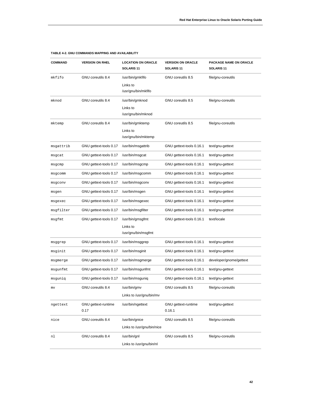| <b>COMMAND</b> | <b>VERSION ON RHEL</b>             | <b>LOCATION ON ORACLE</b><br>SOLARIS <sub>11</sub>  | <b>VERSION ON ORACLE</b><br>SOLARIS <sub>11</sub> | PACKAGE NAME ON ORACLE<br>SOLARIS <sub>11</sub> |
|----------------|------------------------------------|-----------------------------------------------------|---------------------------------------------------|-------------------------------------------------|
| mkfifo         | GNU coreutils 8.4                  | /usr/bin/gmkfifo<br>Links to<br>/usr/gnu/bin/mkfifo | GNU coreutils 8.5                                 | file/gnu-coreutils                              |
| mknod          | GNU coreutils 8.4                  | /usr/bin/gmknod<br>Links to<br>/usr/gnu/bin/mknod   | GNU coreutils 8.5                                 | file/gnu-coreutils                              |
| mktemp         | GNU coreutils 8.4                  | /usr/bin/gmktemp<br>Links to<br>/usr/gnu/bin/mktemp | GNU coreutils 8.5                                 | file/gnu-coreutils                              |
| msgattrib      | GNU gettext-tools 0.17             | /usr/bin/msgattrib                                  | GNU gettext-tools 0.16.1                          | text/gnu-gettext                                |
| msgcat         | GNU gettext-tools 0.17             | /usr/bin/msgcat                                     | GNU gettext-tools 0.16.1                          | text/gnu-gettext                                |
| msgcmp         | GNU gettext-tools 0.17             | /usr/bin/msgcmp                                     | GNU gettext-tools 0.16.1                          | text/gnu-gettext                                |
| msgcomm        | GNU gettext-tools 0.17             | /usr/bin/msgcomm                                    | GNU gettext-tools 0.16.1                          | text/gnu-gettext                                |
| msgconv        | GNU gettext-tools 0.17             | /usr/bin/msgconv                                    | GNU gettext-tools 0.16.1                          | text/gnu-gettext                                |
| msgen          | GNU gettext-tools 0.17             | /usr/bin/msgen                                      | GNU gettext-tools 0.16.1                          | text/gnu-gettext                                |
| msgexec        | GNU gettext-tools 0.17             | /usr/bin/msgexec                                    | GNU gettext-tools 0.16.1                          | text/gnu-gettext                                |
| msgfilter      | GNU gettext-tools 0.17             | /usr/bin/msgfilter                                  | GNU gettext-tools 0.16.1                          | text/gnu-gettext                                |
| msgfmt         | GNU gettext-tools 0.17             | /usr/bin/gmsgfmt<br>Links to<br>/usr/gnu/bin/msgfmt | GNU gettext-tools 0.16.1                          | text/locale                                     |
| msggrep        | GNU gettext-tools 0.17             | /usr/bin/msggrep                                    | GNU gettext-tools 0.16.1                          | text/gnu-gettext                                |
| msginit        | GNU gettext-tools 0.17             | /usr/bin/msginit                                    | GNU gettext-tools 0.16.1                          | text/gnu-gettext                                |
| msgmerge       | GNU gettext-tools 0.17             | /usr/bin/msgmerge                                   | GNU gettext-tools 0.16.1                          | developer/gnome/gettext                         |
| msgunfmt       | GNU gettext-tools 0.17             | /usr/bin/msgunfmt                                   | GNU gettext-tools 0.16.1                          | text/gnu-gettext                                |
| msguniq        | GNU gettext-tools 0.17             | /usr/bin/msguniq                                    | GNU gettext-tools 0.16.1                          | text/gnu-gettext                                |
| mv             | GNU coreutils 8.4                  | /usr/bin/gmv<br>Links to /usr/gnu/bin/mv            | GNU coreutils 8.5                                 | file/gnu-coreutils                              |
| ngettext       | <b>GNU</b> gettext-runtime<br>0.17 | /usr/bin/ngettext                                   | GNU gettext-runtime<br>0.16.1                     | text/gnu-gettext                                |
| nice           | GNU coreutils 8.4                  | /usr/bin/gnice<br>Links to /usr/gnu/bin/nice        | GNU coreutils 8.5                                 | file/gnu-coreutils                              |
| nl             | GNU coreutils 8.4                  | /usr/bin/gnl<br>Links to /usr/gnu/bin/nl            | GNU coreutils 8.5                                 | file/gnu-coreutils                              |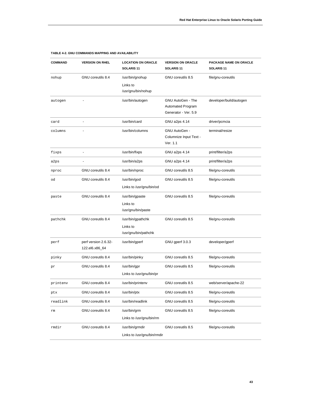| <b>COMMAND</b> | <b>VERSION ON RHEL</b>                 | <b>LOCATION ON ORACLE</b><br>SOLARIS <sub>11</sub>    | <b>VERSION ON ORACLE</b><br>SOLARIS <sub>11</sub>              | PACKAGE NAME ON ORACLE<br>SOLARIS <sub>11</sub> |
|----------------|----------------------------------------|-------------------------------------------------------|----------------------------------------------------------------|-------------------------------------------------|
| nohup          | GNU coreutils 8.4                      | /usr/bin/gnohup<br>Links to<br>/usr/gnu/bin/nohup     | GNU coreutils 8.5                                              | file/gnu-coreutils                              |
| autogen        |                                        | /usr/bin/autogen                                      | GNU AutoGen - The<br>Automated Program<br>Generator - Ver. 5.9 | developer/build/autogen                         |
| card           |                                        | /usr/bin/card                                         | GNU a2ps 4.14                                                  | driver/pcmcia                                   |
| columns        |                                        | /usr/bin/columns                                      | GNU AutoGen -<br>Columnize Input Text -<br>Ver. 1.1            | terminal/resize                                 |
| fixps          |                                        | /usr/bin/fixps                                        | GNU a2ps 4.14                                                  | print/filter/a2ps                               |
| a2ps           |                                        | /usr/bin/a2ps                                         | GNU a2ps 4.14                                                  | print/filter/a2ps                               |
| nproc          | GNU coreutils 8.4                      | /usr/bin/nproc                                        | GNU coreutils 8.5                                              | file/gnu-coreutils                              |
| od             | GNU coreutils 8.4                      | /usr/bin/god<br>Links to /usr/gnu/bin/od              | GNU coreutils 8.5                                              | file/gnu-coreutils                              |
| paste          | GNU coreutils 8.4                      | /usr/bin/gpaste<br>Links to<br>/usr/gnu/bin/paste     | GNU coreutils 8.5                                              | file/gnu-coreutils                              |
| pathchk        | GNU coreutils 8.4                      | /usr/bin/gpathchk<br>Links to<br>/usr/gnu/bin/pathchk | GNU coreutils 8.5                                              | file/gnu-coreutils                              |
| perf           | perf version 2.6.32-<br>122.el6.x86_64 | /usr/bin/gperf                                        | GNU gperf 3.0.3                                                | developer/gperf                                 |
| pinky          | GNU coreutils 8.4                      | /usr/bin/pinky                                        | GNU coreutils 8.5                                              | file/gnu-coreutils                              |
| pr             | GNU coreutils 8.4                      | /usr/bin/gpr<br>Links to /usr/gnu/bin/pr              | GNU coreutils 8.5                                              | file/gnu-coreutils                              |
| printenv       | GNU coreutils 8.4                      | /usr/bin/printenv                                     | GNU coreutils 8.5                                              | web/server/apache-22                            |
| ptx            | GNU coreutils 8.4                      | /usr/bin/ptx                                          | GNU coreutils 8.5                                              | file/gnu-coreutils                              |
| readlink       | GNU coreutils 8.4                      | /usr/bin/readlink                                     | GNU coreutils 8.5                                              | file/gnu-coreutils                              |
| rm             | GNU coreutils 8.4                      | /usr/bin/grm<br>Links to /usr/gnu/bin/rm              | GNU coreutils 8.5                                              | file/gnu-coreutils                              |
| rmdir          | GNU coreutils 8.4                      | /usr/bin/grmdir<br>Links to /usr/gnu/bin/rmdir        | GNU coreutils 8.5                                              | file/gnu-coreutils                              |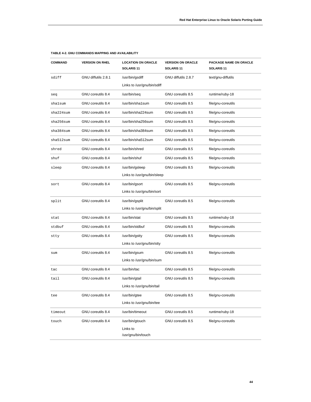| <b>COMMAND</b> | <b>VERSION ON RHEL</b> | <b>LOCATION ON ORACLE</b><br>SOLARIS <sub>11</sub> | <b>VERSION ON ORACLE</b><br>SOLARIS <sub>11</sub> | PACKAGE NAME ON ORACLE<br>SOLARIS 11 |
|----------------|------------------------|----------------------------------------------------|---------------------------------------------------|--------------------------------------|
| sdiff          | GNU diffutils 2.8.1    | /usr/bin/gsdiff                                    | GNU diffutils 2.8.7                               | text/gnu-diffutils                   |
|                |                        | Links to /usr/gnu/bin/sdiff                        |                                                   |                                      |
| seq            | GNU coreutils 8.4      | /usr/bin/seq                                       | GNU coreutils 8.5                                 | runtime/ruby-18                      |
| shalsum        | GNU coreutils 8.4      | /usr/bin/sha1sum                                   | GNU coreutils 8.5                                 | file/gnu-coreutils                   |
| sha224sum      | GNU coreutils 8.4      | /usr/bin/sha224sum                                 | GNU coreutils 8.5                                 | file/gnu-coreutils                   |
| sha256sum      | GNU coreutils 8.4      | /usr/bin/sha256sum                                 | GNU coreutils 8.5                                 | file/gnu-coreutils                   |
| sha384sum      | GNU coreutils 8.4      | /usr/bin/sha384sum                                 | GNU coreutils 8.5                                 | file/gnu-coreutils                   |
| sha512sum      | GNU coreutils 8.4      | /usr/bin/sha512sum                                 | GNU coreutils 8.5                                 | file/gnu-coreutils                   |
| shred          | GNU coreutils 8.4      | /usr/bin/shred                                     | GNU coreutils 8.5                                 | file/gnu-coreutils                   |
| shuf           | GNU coreutils 8.4      | /usr/bin/shuf                                      | GNU coreutils 8.5                                 | file/gnu-coreutils                   |
| sleep          | GNU coreutils 8.4      | /usr/bin/gsleep                                    | GNU coreutils 8.5                                 | file/gnu-coreutils                   |
|                |                        | Links to /usr/gnu/bin/sleep                        |                                                   |                                      |
| sort           | GNU coreutils 8.4      | /usr/bin/gsort                                     | GNU coreutils 8.5                                 | file/gnu-coreutils                   |
|                |                        | Links to /usr/gnu/bin/sort                         |                                                   |                                      |
| split          | GNU coreutils 8.4      | /usr/bin/gsplit                                    | GNU coreutils 8.5                                 | file/gnu-coreutils                   |
|                |                        | Links to /usr/gnu/bin/split                        |                                                   |                                      |
| stat           | GNU coreutils 8.4      | /usr/bin/stat                                      | GNU coreutils 8.5                                 | runtime/ruby-18                      |
| stdbuf         | GNU coreutils 8.4      | /usr/bin/stdbuf                                    | GNU coreutils 8.5                                 | file/gnu-coreutils                   |
| stty           | GNU coreutils 8.4      | /usr/bin/gstty                                     | GNU coreutils 8.5                                 | file/gnu-coreutils                   |
|                |                        | Links to /usr/gnu/bin/stty                         |                                                   |                                      |
| sum            | GNU coreutils 8.4      | /usr/bin/gsum                                      | GNU coreutils 8.5                                 | file/gnu-coreutils                   |
|                |                        | Links to /usr/gnu/bin/sum                          |                                                   |                                      |
| tac            | GNU coreutils 8.4      | /usr/bin/tac                                       | GNU coreutils 8.5                                 | file/gnu-coreutils                   |
| tail           | GNU coreutils 8.4      | /usr/bin/gtail                                     | GNU coreutils 8.5                                 | file/gnu-coreutils                   |
|                |                        | Links to /usr/gnu/bin/tail                         |                                                   |                                      |
| tee            | GNU coreutils 8.4      | /usr/bin/gtee                                      | GNU coreutils 8.5                                 | file/gnu-coreutils                   |
|                |                        | Links to /usr/gnu/bin/tee                          |                                                   |                                      |
| timeout        | GNU coreutils 8.4      | /usr/bin/timeout                                   | GNU coreutils 8.5                                 | runtime/ruby-18                      |
| touch          | GNU coreutils 8.4      | /usr/bin/gtouch                                    | GNU coreutils 8.5                                 | file/gnu-coreutils                   |
|                |                        | Links to                                           |                                                   |                                      |
|                |                        | /usr/gnu/bin/touch                                 |                                                   |                                      |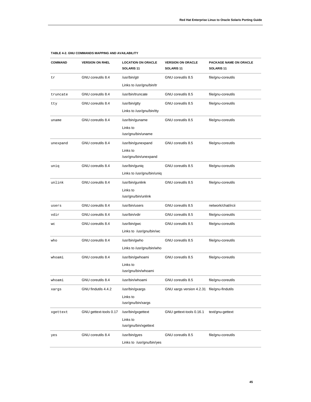| <b>COMMAND</b> | <b>VERSION ON RHEL</b> | <b>LOCATION ON ORACLE</b><br>SOLARIS <sub>11</sub> | <b>VERSION ON ORACLE</b><br>SOLARIS <sub>11</sub> | PACKAGE NAME ON ORACLE<br>SOLARIS <sub>11</sub> |
|----------------|------------------------|----------------------------------------------------|---------------------------------------------------|-------------------------------------------------|
| tr             | GNU coreutils 8.4      | /usr/bin/gtr                                       | GNU coreutils 8.5                                 | file/gnu-coreutils                              |
|                |                        | Links to /usr/gnu/bin/tr                           |                                                   |                                                 |
| truncate       | GNU coreutils 8.4      | /usr/bin/truncate                                  | GNU coreutils 8.5                                 | file/gnu-coreutils                              |
| tty            | GNU coreutils 8.4      | /usr/bin/gtty                                      | GNU coreutils 8.5                                 | file/gnu-coreutils                              |
|                |                        | Links to /usr/gnu/bin/tty                          |                                                   |                                                 |
| uname          | GNU coreutils 8.4      | /usr/bin/guname                                    | GNU coreutils 8.5                                 | file/gnu-coreutils                              |
|                |                        | Links to                                           |                                                   |                                                 |
|                |                        | /usr/gnu/bin/uname                                 |                                                   |                                                 |
| unexpand       | GNU coreutils 8.4      | /usr/bin/gunexpand                                 | GNU coreutils 8.5                                 | file/gnu-coreutils                              |
|                |                        | Links to<br>/usr/gnu/bin/unexpand                  |                                                   |                                                 |
|                | GNU coreutils 8.4      |                                                    | GNU coreutils 8.5                                 |                                                 |
| uniq           |                        | /usr/bin/guniq<br>Links to /usr/gnu/bin/uniq       |                                                   | file/gnu-coreutils                              |
|                |                        |                                                    |                                                   |                                                 |
| unlink         | GNU coreutils 8.4      | /usr/bin/gunlink<br>Links to                       | GNU coreutils 8.5                                 | file/gnu-coreutils                              |
|                |                        | /usr/gnu/bin/unlink                                |                                                   |                                                 |
| users          | GNU coreutils 8.4      | /usr/bin/users                                     | GNU coreutils 8.5                                 | network/chat/ircii                              |
| vdir           | GNU coreutils 8.4      | /usr/bin/vdir                                      | GNU coreutils 8.5                                 | file/gnu-coreutils                              |
| WC             | GNU coreutils 8.4      | /usr/bin/gwc                                       | GNU coreutils 8.5                                 | file/gnu-coreutils                              |
|                |                        | Links to /usr/gnu/bin/wc                           |                                                   |                                                 |
| who            | GNU coreutils 8.4      | /usr/bin/gwho                                      | GNU coreutils 8.5                                 | file/gnu-coreutils                              |
|                |                        | Links to /usr/gnu/bin/who                          |                                                   |                                                 |
| whoami         | GNU coreutils 8.4      | /usr/bin/gwhoami                                   | GNU coreutils 8.5                                 | file/gnu-coreutils                              |
|                |                        | Links to                                           |                                                   |                                                 |
|                |                        | /usr/gnu/bin/whoami                                |                                                   |                                                 |
| whoami         | GNU coreutils 8.4      | /usr/bin/whoami                                    | GNU coreutils 8.5                                 | file/gnu-coreutils                              |
| xargs          | GNU findutils 4.4.2    | /usr/bin/gxargs                                    | GNU xargs version 4.2.31 file/gnu-findutils       |                                                 |
|                |                        | Links to                                           |                                                   |                                                 |
|                |                        |                                                    |                                                   |                                                 |
| xgettext       | GNU gettext-tools 0.17 | /usr/bin/gxgettext                                 | GNU gettext-tools 0.16.1                          | text/gnu-gettext                                |
|                |                        | /usr/gnu/bin/xgettext                              |                                                   |                                                 |
|                |                        |                                                    |                                                   |                                                 |
|                |                        | Links to /usr/gnu/bin/yes                          |                                                   |                                                 |
| yes            | GNU coreutils 8.4      | /usr/gnu/bin/xargs<br>Links to<br>/usr/bin/gyes    | GNU coreutils 8.5                                 | file/gnu-coreutils                              |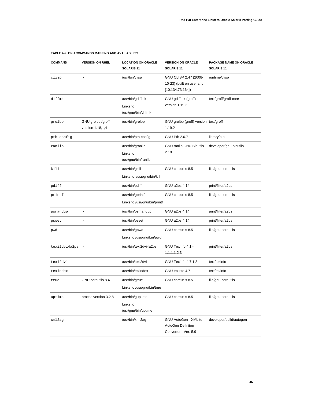| <b>COMMAND</b>  | <b>VERSION ON RHEL</b>                | <b>LOCATION ON ORACLE</b><br>SOLARIS <sub>11</sub>  | <b>VERSION ON ORACLE</b><br>SOLARIS <sub>11</sub>                     | <b>PACKAGE NAME ON ORACLE</b><br>SOLARIS <sub>11</sub> |
|-----------------|---------------------------------------|-----------------------------------------------------|-----------------------------------------------------------------------|--------------------------------------------------------|
| clisp           |                                       | /usr/bin/clisp                                      | GNU CLISP 2.47 (2008-<br>10-23) (built on userland<br>[10.134.73.164] | runtime/clisp                                          |
| diffmk          |                                       | /usr/bin/gdiffmk<br>Links to<br>/usr/gnu/bin/diffmk | GNU gdiffmk (groff)<br>version 1.19.2                                 | text/groff/groff-core                                  |
| grolbp          | GNU grolbp /groff<br>version 1.18,1,4 | /usr/bin/grolbp                                     | GNU grolbp (groff) version text/groff<br>1.19.2                       |                                                        |
| pth-config      |                                       | /usr/bin/pth-config                                 | GNU Pth 2.0.7                                                         | library/pth                                            |
| ranlib          |                                       | /usr/bin/granlib<br>Links to<br>/usr/gnu/bin/ranlib | <b>GNU ranlib GNU Binutils</b><br>2.19                                | developer/gnu-binutils                                 |
| kill            |                                       | /usr/bin/gkill<br>Links to /usr/gnu/bin/kill        | GNU coreutils 8.5                                                     | file/gnu-coreutils                                     |
| pdiff           |                                       | /usr/bin/pdiff                                      | GNU a2ps 4.14                                                         | print/filter/a2ps                                      |
| printf          |                                       | /usr/bin/gprintf<br>Links to /usr/gnu/bin/printf    | GNU coreutils 8.5                                                     | file/gnu-coreutils                                     |
| psmandup        |                                       | /usr/bin/psmandup                                   | GNU a2ps 4.14                                                         | print/filter/a2ps                                      |
| psset           |                                       | /usr/bin/psset                                      | GNU a2ps 4.14                                                         | print/filter/a2ps                                      |
| pwd             |                                       | /usr/bin/gpwd<br>Links to /usr/gnu/bin/pwd          | GNU coreutils 8.5                                                     | file/gnu-coreutils                                     |
| texi2dvi4a2ps - |                                       | /usr/bin/texi2dvi4a2ps                              | GNU Texinfo 4.1 -<br>1.1.1.1.2.3                                      | print/filter/a2ps                                      |
| texi2dvi        |                                       | /usr/bin/texi2dvi                                   | GNU Texinfo 4.7 1.3                                                   | text/texinfo                                           |
| texindex        |                                       | /usr/bin/texindex                                   | GNU texinfo 4.7                                                       | text/texinfo                                           |
| true            | GNU coreutils 8.4                     | /usr/bin/gtrue<br>Links to /usr/gnu/bin/true        | GNU coreutils 8.5                                                     | file/gnu-coreutils                                     |
| uptime          | procps version 3.2.8                  | /usr/bin/guptime<br>Links to<br>/usr/gnu/bin/uptime | GNU coreutils 8.5                                                     | file/gnu-coreutils                                     |
| xml2aq          |                                       | /usr/bin/xml2ag                                     | GNU AutoGen - XML to<br>AutoGen Definiton<br>Converter - Ver. 5.9     | developer/build/autogen                                |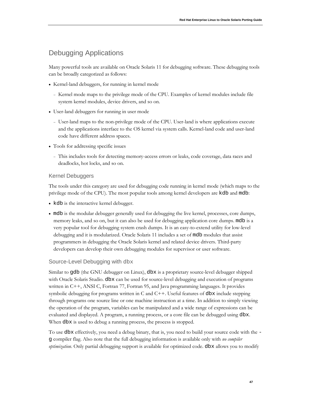# Debugging Applications

Many powerful tools are available on Oracle Solaris 11 for debugging software. These debugging tools can be broadly categorized as follows:

- Kernel-land debuggers, for running in kernel mode
	- <sup>−</sup> Kernel mode maps to the privilege mode of the CPU. Examples of kernel modules include file system kernel modules, device drivers, and so on.
- User-land debuggers for running in user mode
	- <sup>−</sup> User-land maps to the non-privilege mode of the CPU. User-land is where applications execute and the applications interface to the OS kernel via system calls. Kernel-land code and user-land code have different address spaces.
- Tools for addressing specific issues
	- <sup>−</sup> This includes tools for detecting memory-access errors or leaks, code coverage, data races and deadlocks, hot locks, and so on.

## Kernel Debuggers

The tools under this category are used for debugging code running in kernel mode (which maps to the privilege mode of the CPU). The most popular tools among kernel developers are kdb and mdb:

- kdb is the interactive kernel debugger.
- mdb is the modular debugger generally used for debugging the live kernel, processes, core dumps, memory leaks, and so on, but it can also be used for debugging application core dumps. mdb is a very popular tool for debugging system crash dumps. It is an easy-to-extend utility for low-level debugging and it is modularized. Oracle Solaris 11 includes a set of mdb modules that assist programmers in debugging the Oracle Solaris kernel and related device drivers. Third-party developers can develop their own debugging modules for supervisor or user software.

# Source-Level Debugging with dbx

Similar to gdb (the GNU debugger on Linux), dbx is a proprietary source-level debugger shipped with Oracle Solaris Studio. dbx can be used for source-level debugging and execution of programs written in C++, ANSI C, Fortran 77, Fortran 95, and Java programming languages. It provides symbolic debugging for programs written in C and  $C++$ . Useful features of dbx include stepping through programs one source line or one machine instruction at a time. In addition to simply viewing the operation of the program, variables can be manipulated and a wide range of expressions can be evaluated and displayed. A program, a running process, or a core file can be debugged using dbx. When dbx is used to debug a running process, the process is stopped.

To use dbx effectively, you need a debug binary, that is, you need to build your source code with the g compiler flag. Also note that the full debugging information is available only with *no compiler optimization*. Only partial debugging support is available for optimized code. dbx allows you to modify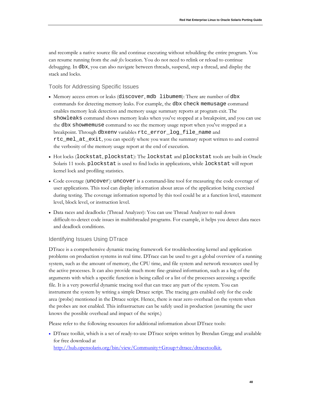and recompile a native source file and continue executing without rebuilding the entire program. You can resume running from the *code fix* location. You do not need to relink or reload to continue debugging. In dbx, you can also navigate between threads, suspend, step a thread, and display the stack and locks.

Tools for Addressing Specific Issues

- Memory access errors or leaks (discover, mdb libumem): There are number of dbx commands for detecting memory leaks. For example, the dbx check memusage command enables memory leak detection and memory usage summary reports at program exit. The showleaks command shows memory leaks when you've stopped at a breakpoint, and you can use the dbx showmemuse command to see the memory usage report when you've stopped at a breakpoint. Through dbxenv variables rtc\_error\_log\_file\_name and rtc\_mel\_at\_exit, you can specify where you want the summary report written to and control the verbosity of the memory usage report at the end of execution.
- Hot locks (lockstat, plockstat): The lockstat and plockstat tools are built-in Oracle Solaris 11 tools. plockstat is used to find locks in applications, while lockstat will report kernel lock and profiling statistics.
- Code coverage (uncover): uncover is a command-line tool for measuring the code coverage of user applications. This tool can display information about areas of the application being exercised during testing. The coverage information reported by this tool could be at a function level, statement level, block level, or instruction level.
- Data races and deadlocks (Thread Analyzer): You can use Thread Analyzer to nail down difficult-to-detect code issues in multithreaded programs. For example, it helps you detect data races and deadlock conditions.

# Identifying Issues Using DTrace

DTrace is a comprehensive dynamic tracing framework for troubleshooting kernel and application problems on production systems in real time. DTrace can be used to get a global overview of a running system, such as the amount of memory, the CPU time, and file system and network resources used by the active processes. It can also provide much more fine-grained information, such as a log of the arguments with which a specific function is being called or a list of the processes accessing a specific file. It is a very powerful dynamic tracing tool that can trace any part of the system. You can instrument the system by writing a simple Dtrace script. The tracing gets enabled only for the code area (probe) mentioned in the Dtrace script. Hence, there is near zero overhead on the system when the probes are not enabled. This infrastructure can be safely used in production (assuming the user knows the possible overhead and impact of the script.)

Please refer to the following resources for additional information about DTrace tools:

• DTrace toolkit, which is a set of ready-to-use DTrace scripts written by Brendan Gregg and available for free download at

[http://hub.opensolaris.org/bin/view/Community+Group+dtrace/dtracetoolkit.](http://hub.opensolaris.org/bin/view/Community+Group+dtrace/dtracetoolkit)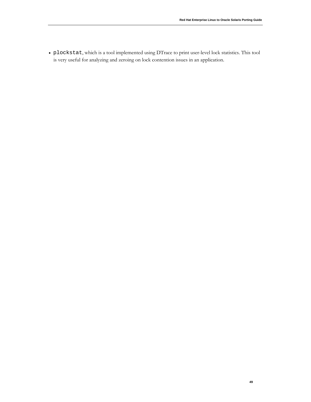• plockstat, which is a tool implemented using DTrace to print user-level lock statistics. This tool is very useful for analyzing and zeroing on lock contention issues in an application.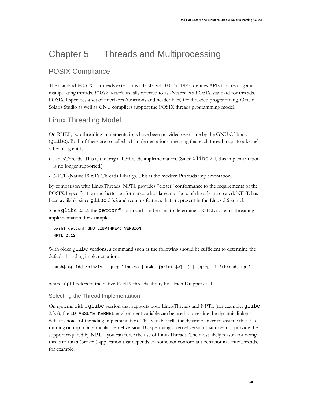# Chapter 5 Threads and Multiprocessing

# POSIX Compliance

The standard POSIX.1c threads extensions (IEEE Std 1003.1c-1995) defines APIs for creating and manipulating threads. *POSIX threads*, usually referred to as *Pthreads*, is a POSIX standard for threads. POSIX.1 specifies a set of interfaces (functions and header files) for threaded programming. Oracle Solaris Studio as well as GNU compilers support the POSIX threads programming model.

# Linux Threading Model

On RHEL, two threading implementations have been provided over time by the GNU C library (glibc). Both of these are so-called 1:1 implementations, meaning that each thread maps to a kernel scheduling entity:

- LinuxThreads. This is the original Pthreads implementation. (Since glibc 2.4, this implementation is no longer supported.)
- NPTL (Native POSIX Threads Library). This is the modern Pthreads implementation.

By comparison with LinuxThreads, NPTL provides "closer" conformance to the requirements of the POSIX.1 specification and better performance when large numbers of threads are created. NPTL has been available since glibc 2.3.2 and requires features that are present in the Linux 2.6 kernel.

Since glibc 2.3.2, the getconf command can be used to determine a RHEL system's threading implementation, for example:

bash\$ getconf GNU\_LIBPTHREAD\_VERSION NPTL 2.12

With older glibc versions, a command such as the following should be sufficient to determine the default threading implementation:

bash\$ \$( ldd /bin/ls | grep libc.so | awk '{print \$3}' ) | egrep -i 'threads|nptl'

where npt1 refers to the native POSIX threads library by Ulrich Drepper et al.

# Selecting the Thread Implementation

On systems with a glibc version that supports both LinuxThreads and NPTL (for example, glibc 2.3.x), the LD\_ASSUME\_KERNEL environment variable can be used to override the dynamic linker's default choice of threading implementation. This variable tells the dynamic linker to assume that it is running on top of a particular kernel version. By specifying a kernel version that does not provide the support required by NPTL, you can force the use of LinuxThreads. The most likely reason for doing this is to run a (broken) application that depends on some nonconformant behavior in LinuxThreads, for example: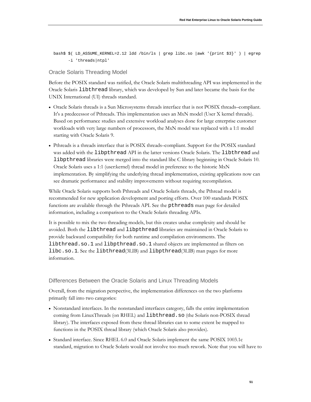bash\$ \$( LD\_ASSUME\_KERNEL=2.12 ldd /bin/ls | grep libc.so |awk '{print \$3}' ) | egrep -i 'threads|ntpl'

# Oracle Solaris Threading Model

Before the POSIX standard was ratified, the Oracle Solaris multithreading API was implemented in the Oracle Solaris libthread library, which was developed by Sun and later became the basis for the UNIX International (UI) threads standard.

- Oracle Solaris threads is a Sun Microsystems threads interface that is not POSIX threads–compliant. It's a predecessor of Pthreads. This implementation uses an MxN model (User X kernel threads). Based on performance studies and extensive workload analyses done for large enterprise customer workloads with very large numbers of processors, the MxN model was replaced with a 1:1 model starting with Oracle Solaris 9.
- Pthreads is a threads interface that is POSIX threads–compliant. Support for the POSIX standard was added with the libpthread API in the latter versions Oracle Solaris. The libthread and libpthread libraries were merged into the standard libc C library beginning in Oracle Solaris 10. Oracle Solaris uses a 1:1 (user:kernel) thread model in preference to the historic MxN implementation. By simplifying the underlying thread implementation, existing applications now can see dramatic performance and stability improvements without requiring recompilation.

While Oracle Solaris supports both Pthreads and Oracle Solaris threads, the Pthread model is recommended for new application development and porting efforts. Over 100 standards POSIX functions are available through the Pthreads API. See the pthreads man page for detailed information, including a comparison to the Oracle Solaris threading APIs.

It is possible to mix the two threading models, but this creates undue complexity and should be avoided. Both the libthread and libpthread libraries are maintained in Oracle Solaris to provide backward compatibility for both runtime and compilation environments. The libthread.so.1 and libpthread.so.1 shared objects are implemented as filters on libc.so.1. See the libthread(3LIB) and libpthread(3LIB) man pages for more information.

# Differences Between the Oracle Solaris and Linux Threading Models

Overall, from the migration perspective, the implementation differences on the two platforms primarily fall into two categories:

- Nonstandard interfaces. In the nonstandard interfaces category, falls the entire implementation coming from LinuxThreads (on RHEL) and libthread.so (the Solaris non-POSIX thread library). The interfaces exposed from these thread libraries can to some extent be mapped to functions in the POSIX thread library (which Oracle Solaris also provides).
- Standard interface. Since RHEL 6.0 and Oracle Solaris implement the same POSIX 1003.1c standard, migration to Oracle Solaris would not involve too much rework. Note that you will have to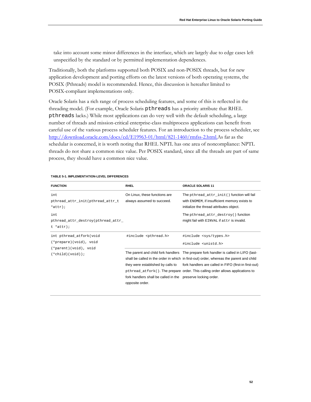take into account some minor differences in the interface, which are largely due to edge cases left unspecified by the standard or by permitted implementation dependences.

Traditionally, both the platforms supported both POSIX and non-POSIX threads, but for new application development and porting efforts on the latest versions of both operating systems, the POSIX (Pthreads) model is recommended. Hence, this discussion is hereafter limited to POSIX-compliant implementations only.

Oracle Solaris has a rich range of process scheduling features, and some of this is reflected in the threading model. (For example, Oracle Solaris pthreads has a priority attribute that RHEL pthreads lacks.) While most applications can do very well with the default scheduling, a large number of threads and mission-critical enterprise-class multiprocess applications can benefit from careful use of the various process scheduler features. For an introduction to the process scheduler, see [http://download.oracle.com/docs/cd/E19963-01/html/821-1460/rmfss-2.html.](http://download.oracle.com/docs/cd/E19963-01/html/821-1460/rmfss-2.html)As far as the schedular is concerned, it is worth noting that RHEL NPTL has one area of noncompliance: NPTL threads do not share a common nice value. Per POSIX standard, since all the threads are part of same process, they should have a common nice value.

| <b>FUNCTION</b>                                                                                  | <b>RHEL</b>                                                                                                          | <b>ORACLE SOLARIS 11</b>                                                                                                                                                                                                           |
|--------------------------------------------------------------------------------------------------|----------------------------------------------------------------------------------------------------------------------|------------------------------------------------------------------------------------------------------------------------------------------------------------------------------------------------------------------------------------|
| int<br>pthread_attr_init(pthread_attr_t<br>$*attr$ ;                                             | On Linux, these functions are<br>always assumed to succeed.                                                          | The pthread_attr_init() function will fail<br>with ENOMEM, if insufficient memory exists to<br>initialize the thread attributes object.                                                                                            |
| int.<br>pthread_attr_destroy(pthread_attr_<br>$t * attr)$ ;                                      |                                                                                                                      | The pthread_attr_destroy() function<br>might fail with EINVAL if attr is invalid.                                                                                                                                                  |
| int pthread_atfork(void<br>(*prepare)(void), void<br>(*parent)(void), void<br>$(*child)(void));$ | #include <pthread.h></pthread.h>                                                                                     | #include <sys types.h=""><br/>#include <unistd.h><br/>The parent and child fork handlers The prepare fork handler is called in LIFO (last-</unistd.h></sys>                                                                        |
|                                                                                                  | they were established by calls to<br>fork handlers shall be called in the preserve locking order.<br>opposite order. | shall be called in the order in which in first-out) order, whereas the parent and child<br>fork handlers are called in FIFO (first-in first-out)<br>pthread_atfork(). The prepare order. This calling order allows applications to |

#### **TABLE 5-1. IMPLEMENTATION-LEVEL DIFFERENCES**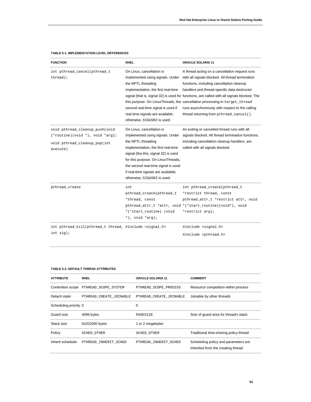| <b>FUNCTION</b>                                                   | RHEL                                 | ORACLE SOLARIS 11                                                                           |
|-------------------------------------------------------------------|--------------------------------------|---------------------------------------------------------------------------------------------|
| int pthread_cancel(pthread_t                                      | On Linux, cancellation is            | A thread acting on a cancellation request runs                                              |
| thread);                                                          | implemented using signals. Under     | with all signals blocked. All thread termination                                            |
|                                                                   | the NPTL threading                   | functions, including cancellation cleanup                                                   |
|                                                                   | implementation, the first real-time  | handlers and thread-specific data destructor                                                |
|                                                                   |                                      | signal (that is, signal 32) is used for functions, are called with all signals blocked. The |
|                                                                   |                                      | this purpose. On LinuxThreads, the cancellation processing in target_thread                 |
|                                                                   | second real-time signal is used if   | runs asynchronously with respect to the calling                                             |
|                                                                   | real-time signals are available;     | thread returning from pthread_cancel().                                                     |
|                                                                   | otherwise, SIGUSR2 is used.          |                                                                                             |
| void pthread_cleanup_push(void                                    | On Linux, cancellation is            | An exiting or cancelled thread runs with all                                                |
| $(*\text{routine})(\text{void } *), \text{ void } *\text{arg});$  | implemented using signals. Under     | signals blocked. All thread termination functions,                                          |
| void pthread_cleanup_pop(int                                      | the NPTL threading                   | including cancellation cleanup handlers, are                                                |
| execute)                                                          | implementation, the first real-time  | called with all signals blocked.                                                            |
|                                                                   | signal (tha this, signal 32) is used |                                                                                             |
|                                                                   | for this purpose. On LinuxThreads,   |                                                                                             |
|                                                                   | the second real-time signal is used  |                                                                                             |
|                                                                   | if real-time signals are available;  |                                                                                             |
|                                                                   | otherwise, SIGUSR2 is used.          |                                                                                             |
| pthread_create                                                    | int                                  | int pthread_create(pthread_t                                                                |
|                                                                   | pthread_create(pthread_t             | *restrict thread, const                                                                     |
|                                                                   | *thread, const                       | pthread_attr_t *restrict attr, void                                                         |
|                                                                   |                                      | pthread_attr_t *attr, void *(*start_routine)(void*), void                                   |
|                                                                   | *(*start routine) (void              | *restrict arg);                                                                             |
|                                                                   | *), void *arg);                      |                                                                                             |
| int pthread_kill(pthread_t thread, #include <signal.h></signal.h> |                                      | #include <signal.h></signal.h>                                                              |
| int sig);                                                         |                                      | #include <pthread.h></pthread.h>                                                            |

## **TABLE 5-1. IMPLEMENTATION-LEVEL DIFFERENCES**

#### **TABLE 5-2. DEFAULT THREAD ATTRIBUTES**

| <b>ATTRIBUTE</b>      | <b>RHEL</b>             | <b>ORACLE SOLARIS 11</b> | <b>COMMENT</b>                                                             |
|-----------------------|-------------------------|--------------------------|----------------------------------------------------------------------------|
| Contention scope      | PTHREAD SCOPE SYSTEM    | PTHREAD_SCOPE_PROCESS    | Resource competition within process                                        |
| Detach state          | PTHREAD CREATE JOINABLE | PTHREAD CREATE JOINABLE  | Joinable by other threads                                                  |
| Scheduling priority 0 |                         | $\Omega$                 |                                                                            |
| Guard size            | 4096 bytes              | PAGESIZE                 | Size of quard area for thread's stack                                      |
| Stack size            | 0x201000 bytes          | 1 or 2 megabytes         |                                                                            |
| Policy                | SCHED OTHER             | SCHED OTHER              | Traditional time-sharing policy thread                                     |
| Inherit scheduler     | PTHREAD INHERIT SCHED   | PTHREAD INHERIT SCHED    | Scheduling policy and parameters are<br>inherited from the creating thread |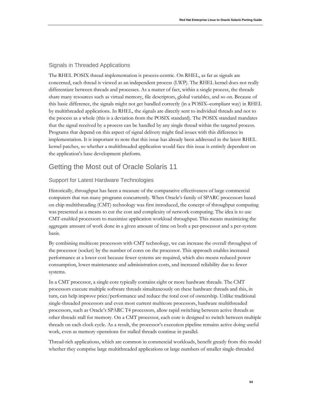# Signals in Threaded Applications

The RHEL POSIX thread implementation is process-centric. On RHEL, as far as signals are concerned, each thread is viewed as an independent process (LWP). The RHEL kernel does not really differentiate between threads and processes. As a matter of fact, within a single process, the threads share many resources such as virtual memory, file descriptors, global variables, and so on. Because of this basic difference, the signals might not get handled correctly (in a POSIX–compliant way) in RHEL by multithreaded applications. In RHEL, the signals are directly sent to individual threads and not to the process as a whole (this is a deviation from the POSIX standard). The POSIX standard mandates that the signal received by a process can be handled by any single thread within the targeted process. Programs that depend on this aspect of signal delivery might find issues with this difference in implementation. It is important to note that this issue has already been addressed in the latest RHEL kernel patches, so whether a multithreaded application would face this issue is entirely dependent on the application's base development platform.

# Getting the Most out of Oracle Solaris 11

# Support for Latest Hardware Technologies

Historically, throughput has been a measure of the comparative effectiveness of large commercial computers that run many programs concurrently. When Oracle's family of SPARC processors based on chip multithreading (CMT) technology was first introduced, the concept of throughput computing was presented as a means to cut the cost and complexity of network computing. The idea is to use CMT-enabled processors to maximize application workload throughput. This means maximizing the aggregate amount of work done in a given amount of time on both a per-processor and a per-system basis.

By combining multicore processors with CMT technology, we can increase the overall throughput of the processor (socket) by the number of cores on the processor. This approach enables increased performance at a lower cost because fewer systems are required, which also means reduced power consumption, lower maintenance and administration costs, and increased reliability due to fewer systems.

In a CMT processor, a single core typically contains eight or more hardware threads. The CMT processors execute multiple software threads simultaneously on these hardware threads and this, in turn, can help improve price/performance and reduce the total cost of ownership. Unlike traditional single-threaded processors and even most current multicore processors, hardware multithreaded processors, such as Oracle's SPARC T4 processors, allow rapid switching between active threads as other threads stall for memory. On a CMT processor, each core is designed to switch between multiple threads on each clock cycle. As a result, the processor's execution pipeline remains active doing useful work, even as memory operations for stalled threads continue in parallel.

Thread-rich applications, which are common in commercial workloads, benefit greatly from this model whether they comprise large multithreaded applications or large numbers of smaller single-threaded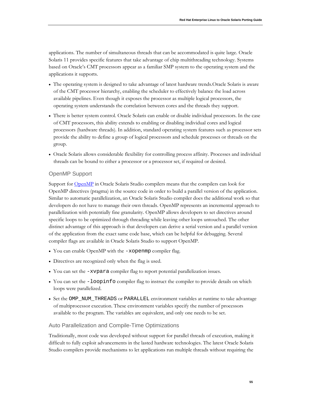applications. The number of simultaneous threads that can be accommodated is quite large. Oracle Solaris 11 provides specific features that take advantage of chip multithreading technology. Systems based on Oracle's CMT processors appear as a familiar SMP system to the operating system and the applications it supports.

- The operating system is designed to take advantage of latest hardware trends.Oracle Solaris is aware of the CMT processor hierarchy, enabling the scheduler to effectively balance the load across available pipelines. Even though it exposes the processor as multiple logical processors, the operating system understands the correlation between cores and the threads they support.
- There is better system control. Oracle Solaris can enable or disable individual processors. In the case of CMT processors, this ability extends to enabling or disabling individual cores and logical processors (hardware threads). In addition, standard operating system features such as processor sets provide the ability to define a group of logical processors and schedule processes or threads on the group.
- Oracle Solaris allows considerable flexibility for controlling process affinity. Processes and individual threads can be bound to either a processor or a processor set, if required or desired.

# OpenMP Support

Support for **OpenMP** in Oracle Solaris Studio compilers means that the compilers can look for OpenMP directives (pragma) in the source code in order to build a parallel version of the application. Similar to automatic parallelization, an Oracle Solaris Studio compiler does the additional work so that developers do not have to manage their own threads. OpenMP represents an incremental approach to parallelization with potentially fine granularity. OpenMP allows developers to set directives around specific loops to be optimized through threading while leaving other loops untouched. The other distinct advantage of this approach is that developers can derive a serial version and a parallel version of the application from the exact same code base, which can be helpful for debugging. Several compiler flags are available in Oracle Solaris Studio to support OpenMP.

- You can enable OpenMP with the -xopenmp compiler flag.
- Directives are recognized only when the flag is used.
- You can set the  $-xvpara$  compiler flag to report potential parallelization issues.
- You can set the -loopinfo compiler flag to instruct the compiler to provide details on which loops were parallelized.
- Set the OMP\_NUM\_THREADS or PARALLEL environment variables at runtime to take advantage of multiprocessor execution. These environment variables specify the number of processors available to the program. The variables are equivalent, and only one needs to be set.

# Auto Parallelization and Compile-Time Optimizations

Traditionally, most code was developed without support for parallel threads of execution, making it difficult to fully exploit advancements in the lasted hardware technologies. The latest Oracle Solaris Studio compilers provide mechanisms to let applications run multiple threads without requiring the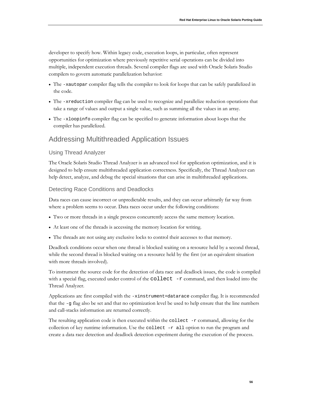developer to specify how. Within legacy code, execution loops, in particular, often represent opportunities for optimization where previously repetitive serial operations can be divided into multiple, independent execution threads. Several compiler flags are used with Oracle Solaris Studio compilers to govern automatic parallelization behavior:

- The -xautopar compiler flag tells the compiler to look for loops that can be safely parallelized in the code.
- The -xreduction compiler flag can be used to recognize and parallelize reduction operations that take a range of values and output a single value, such as summing all the values in an array.
- The -xloopinfo compiler flag can be specified to generate information about loops that the compiler has parallelized.

# Addressing Multithreaded Application Issues

# Using Thread Analyzer

The Oracle Solaris Studio Thread Analyzer is an advanced tool for application optimization, and it is designed to help ensure multithreaded application correctness. Specifically, the Thread Analyzer can help detect, analyze, and debug the special situations that can arise in multithreaded applications.

## Detecting Race Conditions and Deadlocks

Data races can cause incorrect or unpredictable results, and they can occur arbitrarily far way from where a problem seems to occur. Data races occur under the following conditions:

- Two or more threads in a single process concurrently access the same memory location.
- At least one of the threads is accessing the memory location for writing.
- The threads are not using any exclusive locks to control their accesses to that memory.

Deadlock conditions occur when one thread is blocked waiting on a resource held by a second thread, while the second thread is blocked waiting on a resource held by the first (or an equivalent situation with more threads involved).

To instrument the source code for the detection of data race and deadlock issues, the code is compiled with a special flag, executed under control of the collect -r command, and then loaded into the Thread Analyzer.

Applications are first compiled with the -xinstrument=datarace compiler flag. It is recommended that the -g flag also be set and that no optimization level be used to help ensure that the line numbers and call-stacks information are returned correctly.

The resulting application code is then executed within the collect -r command, allowing for the collection of key runtime information. Use the collect  $-r$  all option to run the program and create a data race detection and deadlock detection experiment during the execution of the process.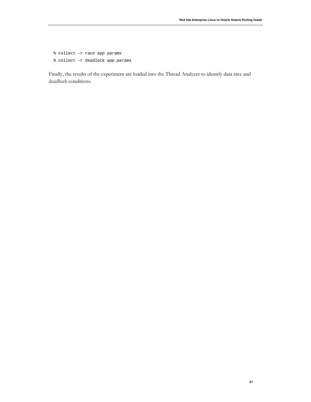% collect -r race *app params* % collect -r deadlock *app params*

Finally, the results of the experiment are loaded into the Thread Analyzer to identify data race and deadlock conditions.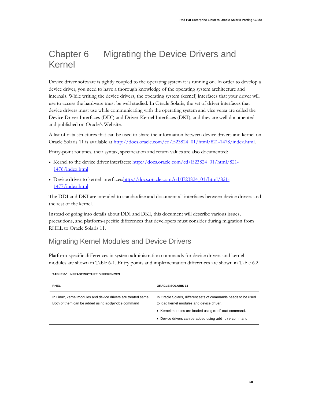# Chapter 6 Migrating the Device Drivers and Kernel

Device driver software is tightly coupled to the operating system it is running on. In order to develop a device driver, you need to have a thorough knowledge of the operating system architecture and internals. While writing the device drivers, the operating system (kernel) interfaces that your driver will use to access the hardware must be well studied. In Oracle Solaris, the set of driver interfaces that device drivers must use while communicating with the operating system and vice versa are called the Device Driver Interfaces (DDI) and Driver-Kernel Interfaces (DKI), and they are well documented and published on Oracle's Website.

A list of data structures that can be used to share the information between device drivers and kernel on Oracle Solaris 11 is available a[t http://docs.oracle.com/cd/E23824\\_01/html/821-1478/index.html.](http://docs.oracle.com/cd/E23824_01/html/821-1478/index.html)

Entry-point routines, their syntax, specification and return values are also documented:

- Kernel to the device driver interfaces[: http://docs.oracle.com/cd/E23824\\_01/html/821-](http://docs.oracle.com/cd/E23824_01/html/821-1476/index.html) [1476/index.html](http://docs.oracle.com/cd/E23824_01/html/821-1476/index.html)
- Device driver to kernel interface[s:http://docs.oracle.com/cd/E23824\\_01/html/821-](http://docs.oracle.com/cd/E23824_01/html/821-1477/index.html) [1477/index.html](http://docs.oracle.com/cd/E23824_01/html/821-1477/index.html)

The DDI and DKI are intended to standardize and document all interfaces between device drivers and the rest of the kernel.

Instead of going into details about DDI and DKI, this document will describe various issues, precautions, and platform-specific differences that developers must consider during migration from RHEL to Oracle Solaris 11.

# Migrating Kernel Modules and Device Drivers

Platform-specific differences in system administration commands for device drivers and kernel modules are shown in Table 6-1. Entry points and implementation differences are shown in Table 6.2.

| <b>RHEL</b>                                                                                                       | <b>ORACLE SOLARIS 11</b>                                                                                                                                                                                                 |
|-------------------------------------------------------------------------------------------------------------------|--------------------------------------------------------------------------------------------------------------------------------------------------------------------------------------------------------------------------|
| In Linux, kernel modules and device drivers are treated same.<br>Both of them can be added using modprobe command | In Oracle Solaris, different sets of commands needs to be used<br>to load kernel modules and device driver.<br>• Kernel modules are loaded using modload command.<br>• Device drivers can be added using add dry command |
|                                                                                                                   |                                                                                                                                                                                                                          |

#### **TABLE 6-1. INFRASTRUCTURE DIFFERENCES**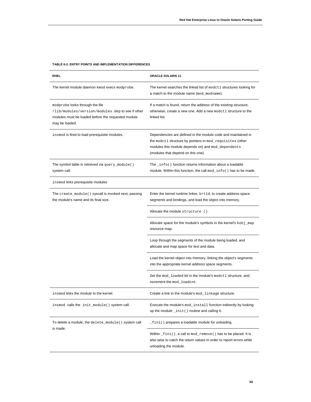#### **TABLE 6-2. ENTRY POINTS AND IMPLEMENTATION DIFFERENCES**

| RHEL                                                                                                                                                        | ORACLE SOLARIS 11                                                                                                                                                                                                      |
|-------------------------------------------------------------------------------------------------------------------------------------------------------------|------------------------------------------------------------------------------------------------------------------------------------------------------------------------------------------------------------------------|
| The kernel module daemon kmod execs modprobe.                                                                                                               | The kernel searches the linked list of modet 1 structures looking for<br>a match to the module name (mod_modname).                                                                                                     |
| modprobe looks through the file<br>/lib/modules/version/modules.dep to see if other<br>modules must be loaded before the requested module<br>may be loaded. | If a match is found, return the address of the existing structure;<br>otherwise, create a new one. Add a new modet1 structure to the<br>linked list.                                                                   |
| insmod is fired to load prerequisite modules.                                                                                                               | Dependencies are defined in the module code and maintained in<br>the modetl structure by pointers in mod_requisites (other<br>modules this module depends on) and mod_dependents<br>(modules that depend on this one). |
| The symbol table is retrieved via $query_model()$<br>system call.                                                                                           | The $\_info()$ function returns information about a loadable<br>module. Within this function, the call $mod\_info()$ has to be made.                                                                                   |
| insmod links prerequisite modules                                                                                                                           |                                                                                                                                                                                                                        |
| The create_module() syscall is invoked next, passing<br>the module's name and its final size.                                                               | Enter the kernel runtime linker, krtld, to create address space<br>segments and bindings, and load the object into memory.                                                                                             |
|                                                                                                                                                             | Allocate the module structure ().                                                                                                                                                                                      |
|                                                                                                                                                             | Allocate space for the module's symbols in the kernel's kobj_map<br>resource map.                                                                                                                                      |
|                                                                                                                                                             | Loop through the segments of the module being loaded, and<br>allocate and map space for text and data.                                                                                                                 |
|                                                                                                                                                             | Load the kernel object into memory, linking the object's segments<br>into the appropriate kernel address space segments.                                                                                               |
|                                                                                                                                                             | Set the mod_loaded bit in the module's modet1 structure, and<br>increment the mod_loadcnt.                                                                                                                             |
| insmod links the module to the kernel.                                                                                                                      | Create a link to the module's mod_linkage structure.                                                                                                                                                                   |
| insmod calls the init_module() system call.                                                                                                                 | Execute the module's mod_install function indirectly by looking<br>up the module _init() routine and calling it.                                                                                                       |
| To delete a module, the delete_module() system call<br>is made.                                                                                             | $_f$ ini() prepares a loadable module for unloading.                                                                                                                                                                   |
|                                                                                                                                                             | Within _fini(), a call to mod_remove() has to be placed. It is<br>also wise to catch the return values in order to report errors while<br>unloading the module.                                                        |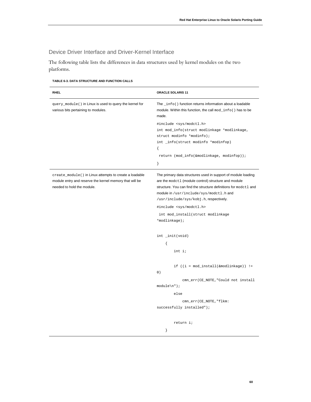# Device Driver Interface and Driver-Kernel Interface

The following table lists the differences in data structures used by kernel modules on the two platforms.

| <b>RHEL</b>                                                                                                                                     | <b>ORACLE SOLARIS 11</b>                                                                                                                                                                                                                                                                                                                                                   |
|-------------------------------------------------------------------------------------------------------------------------------------------------|----------------------------------------------------------------------------------------------------------------------------------------------------------------------------------------------------------------------------------------------------------------------------------------------------------------------------------------------------------------------------|
| query_module() in Linux is used to query the kernel for<br>various bits pertaining to modules.                                                  | The _info() function returns information about a loadable<br>module. Within this function, the call mod_info() has to be<br>made.                                                                                                                                                                                                                                          |
|                                                                                                                                                 | #include <sys modctl.h=""><br/>int mod_info(struct modlinkage *modlinkage,<br/>struct modinfo *modinfo);<br/>int _info(struct modinfo *modinfop)<br/>€<br/>return (mod_info(&amp;modlinkage, modinfop));<br/>ł</sys>                                                                                                                                                       |
| create_module() in Linux attempts to create a loadable<br>module entry and reserve the kernel memory that will be<br>needed to hold the module. | The primary data structures used in support of module loading<br>are the modet1 (module control) structure and module<br>structure. You can find the structure definitions for modet 1 and<br>module in /usr/include/sys/modctl.hand<br>/usr/include/sys/kobj.h, respectively.<br>#include <sys modctl.h=""><br/>int mod_install(struct modlinkage<br/>*modlinkage);</sys> |
|                                                                                                                                                 | int _init(void)<br>ſ<br>int i;                                                                                                                                                                                                                                                                                                                                             |
|                                                                                                                                                 | if $((i = mod_install(\&modlinkage)) !=$<br>0)<br>cmn_err(CE_NOTE, "Could not install<br>$module\n'$ ;<br>else<br>cmn_err(CE_NOTE, "flkm:<br>successfully installed");                                                                                                                                                                                                     |
|                                                                                                                                                 | return i;<br>ł                                                                                                                                                                                                                                                                                                                                                             |

## **TABLE 6-3. DATA STRUCTURE AND FUNCTION CALLS**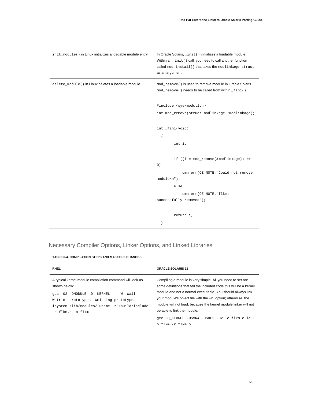| init_module() in Linux initializes a loadable module entry. | In Oracle Solaris, _init() initializes a loadable module.<br>Within an _init() call, you need to call another function<br>called mod_install() that takes the modlinkage struct<br>as an argument. |
|-------------------------------------------------------------|----------------------------------------------------------------------------------------------------------------------------------------------------------------------------------------------------|
| delete_module() in Linux deletes a loadable module.         | mod remove () is used to remove module in Oracle Solaris.<br>mod_remove() needs to be called from within _fini().                                                                                  |
|                                                             | #include <sys modctl.h=""><br/>int mod_remove(struct modlinkage *modlinkage);</sys>                                                                                                                |
|                                                             | int _fini(void)<br>€<br>int i;                                                                                                                                                                     |
|                                                             | if $((i = mod\_remove(\&modlinkage)) !=$<br>0)<br>cmn_err(CE_NOTE, "Could not remove                                                                                                               |
|                                                             | $module\n'$ ;<br>else<br>cmn_err(CE_NOTE, "flkm:                                                                                                                                                   |
|                                                             | successfully removed");<br>return i;                                                                                                                                                               |
|                                                             | }                                                                                                                                                                                                  |

# Necessary Compiler Options, Linker Options, and Linked Libraries

| <b>TABLE 6-4. COMPILATION STEPS AND MAKEFILE CHANGES</b> |  |  |
|----------------------------------------------------------|--|--|
|                                                          |  |  |

| <b>RHEL</b>                                                                                                                                                                                                                               | <b>ORACLE SOLARIS 11</b>                                                                                                                                                                                                                                                                                                                                           |
|-------------------------------------------------------------------------------------------------------------------------------------------------------------------------------------------------------------------------------------------|--------------------------------------------------------------------------------------------------------------------------------------------------------------------------------------------------------------------------------------------------------------------------------------------------------------------------------------------------------------------|
| A typical kernel module compilation command will look as<br>shown below:<br>qcc -02 -DMODULE -D KERNEL -W -Wall -<br>Wstrict-prototypes -Wmissing-prototypes -<br>isystem /lib/modules/`uname -r`/build/include<br>$-c$ flkm. $c$ -o flkm | Compiling a module is very simple. All you need to set are<br>some definitions that tell the included code this will be a kernel<br>module and not a normal executable. You should always link<br>your module's object file with the $-r$ option; otherwise, the<br>module will not load, because the kernel module linker will not<br>be able to link the module. |
|                                                                                                                                                                                                                                           | qcc -D KERNEL -DSVR4 -DSOL2 -O2 -c flkm.c ld -                                                                                                                                                                                                                                                                                                                     |
|                                                                                                                                                                                                                                           | o flkm -r flkm.o                                                                                                                                                                                                                                                                                                                                                   |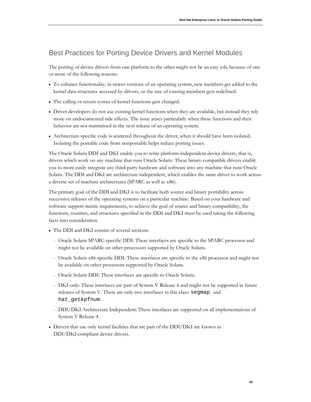# Best Practices for Porting Device Drivers and Kernel Modules

The porting of device drivers from one platform to the other might not be an easy job, because of one or more of the following reasons:

- To enhance functionality, in newer versions of an operating system, new members get added to the kernel data structures accessed by drivers, or the size of existing members gets redefined.
- The calling or return syntax of kernel functions gets changed.
- Driver developers do not use existing kernel functions when they are available, but instead they rely more on undocumented side effects. The issue arises particularly when these functions and their behavior are not maintained in the next release of an operating system.
- Architecture-specific code is scattered throughout the driver, when it should have been isolated. Isolating the portable code from nonportable helps reduce porting issues.

The Oracle Solaris DDI and DKI enable you to write platform-independent device drivers, that is, drivers which work on any machine that runs Oracle Solaris. These binary-compatible drivers enable you to more easily integrate any third-party hardware and software into any machine that runs Oracle Solaris. The DDI and DKI are architecture-independent, which enables the same driver to work across a diverse set of machine architectures (SPARC as well as x86).

The primary goal of the DDI and DKI is to facilitate both source and binary portability across successive releases of the operating systems on a particular machine. Based on your hardware and software support metric requirements, to achieve the goal of source and binary compatibility, the functions, routines, and structures specified in the DDI and DKI must be used taking the following facts into consideration.

- The DDI and DKI consist of several sections:
	- <sup>−</sup> Oracle Solaris SPARC-specific DDI: These interfaces are specific to the SPARC processor and might not be available on other processors supported by Oracle Solaris.
	- <sup>−</sup> Oracle Solaris x86-specific DDI: These interfaces are specific to the x86 processor and might not be available on other processors supported by Oracle Solaris.
	- <sup>−</sup> Oracle Solaris DDI: These interfaces are specific to Oracle Solaris.
	- <sup>−</sup> DKI-only: These interfaces are part of System V Release 4 and might not be supported in future releases of System V. There are only two interfaces in this class: segmap and hat qetkpfnum.
	- <sup>−</sup> DDI/DKI Architecture Independent: These interfaces are supported on all implementations of System V Release 4.
- Drivers that use only kernel facilities that are part of the DDI/DKI are known as DDI/DKI-compliant device drivers.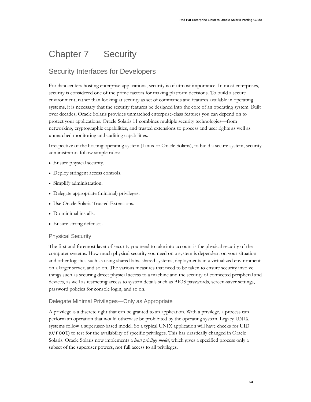# Chapter 7 Security

# Security Interfaces for Developers

For data centers hosting enterprise applications, security is of utmost importance. In most enterprises, security is considered one of the prime factors for making platform decisions. To build a secure environment, rather than looking at security as set of commands and features available in operating systems, it is necessary that the security features be designed into the core of an operating system. Built over decades, Oracle Solaris provides unmatched enterprise-class features you can depend on to protect your applications. Oracle Solaris 11 combines multiple security technologies—from networking, cryptographic capabilities, and trusted extensions to process and user rights as well as unmatched monitoring and auditing capabilities.

Irrespective of the hosting operating system (Linux or Oracle Solaris), to build a secure system, security administrators follow simple rules:

- Ensure physical security.
- Deploy stringent access controls.
- Simplify administration.
- Delegate appropriate (minimal) privileges.
- Use Oracle Solaris Trusted Extensions.
- Do minimal installs.
- Ensure strong defenses.

# Physical Security

The first and foremost layer of security you need to take into account is the physical security of the computer systems. How much physical security you need on a system is dependent on your situation and other logistics such as using shared labs, shared systems, deployments in a virtualized environment on a larger server, and so on. The various measures that need to be taken to ensure security involve things such as securing direct physical access to a machine and the security of connected peripheral and devices, as well as restricting access to system details such as BIOS passwords, screen-saver settings, password policies for console login, and so on.

# Delegate Minimal Privileges—Only as Appropriate

A privilege is a discrete right that can be granted to an application. With a privilege, a process can perform an operation that would otherwise be prohibited by the operating system. Legacy UNIX systems follow a superuser-based model. So a typical UNIX application will have checks for UID  $(0/\text{root})$  to test for the availability of specific privileges. This has drastically changed in Oracle Solaris. Oracle Solaris now implements a *least privilege model*, which gives a specified process only a subset of the superuser powers, not full access to all privileges.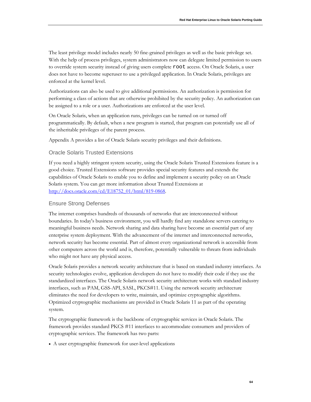The least privilege model includes nearly 50 fine-grained privileges as well as the basic privilege set. With the help of process privileges, system administrators now can delegate limited permission to users to override system security instead of giving users complete root access. On Oracle Solaris, a user does not have to become superuser to use a privileged application. In Oracle Solaris, privileges are enforced at the kernel level.

Authorizations can also be used to give additional permissions. An authorization is permission for performing a class of actions that are otherwise prohibited by the security policy. An authorization can be assigned to a role or a user. Authorizations are enforced at the user level.

On Oracle Solaris, when an application runs, privileges can be turned on or turned off programmatically. By default, when a new program is started, that program can potentially use all of the inheritable privileges of the parent process.

Appendix A provides a list of Oracle Solaris security privileges and their definitions.

## Oracle Solaris Trusted Extensions

If you need a highly stringent system security, using the Oracle Solaris Trusted Extensions feature is a good choice. Trusted Extensions software provides special security features and extends the capabilities of Oracle Solaris to enable you to define and implement a security policy on an Oracle Solaris system. You can get more information about Trusted Extensions at [http://docs.oracle.com/cd/E18752\\_01/html/819-0868.](http://docs.oracle.com/cd/E18752_01/html/819-0868)

## Ensure Strong Defenses

The internet comprises hundreds of thousands of networks that are interconnected without boundaries. In today's business environment, you will hardly find any standalone servers catering to meaningful business needs. Network sharing and data sharing have become an essential part of any enterprise system deployment. With the advancement of the internet and interconnected networks, network security has become essential. Part of almost every organizational network is accessible from other computers across the world and is, therefore, potentially vulnerable to threats from individuals who might not have any physical access.

Oracle Solaris provides a network security architecture that is based on standard industry interfaces. As security technologies evolve, application developers do not have to modify their code if they use the standardized interfaces. The Oracle Solaris network security architecture works with standard industry interfaces, such as PAM, GSS-API, SASL, PKCS#11. Using the network security architecture eliminates the need for developers to write, maintain, and optimize cryptographic algorithms. Optimized cryptographic mechanisms are provided in Oracle Solaris 11 as part of the operating system.

The cryptographic framework is the backbone of cryptographic services in Oracle Solaris. The framework provides standard PKCS #11 interfaces to accommodate consumers and providers of cryptographic services. The framework has two parts:

• A user cryptographic framework for user-level applications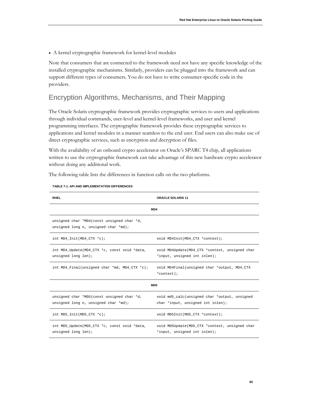• A kernel cryptographic framework for kernel-level modules

Note that consumers that are connected to the framework need not have any specific knowledge of the installed cryptographic mechanisms. Similarly, providers can be plugged into the framework and can support different types of consumers. You do not have to write consumer-specific code in the providers.

# Encryption Algorithms, Mechanisms, and Their Mapping

The Oracle Solaris cryptographic framework provides cryptographic services to users and applications through individual commands, user-level and kernel-level frameworks, and user and kernel programming interfaces. The cryptographic framework provides these cryptographic services to applications and kernel modules in a manner seamless to the end user. End users can also make use of direct cryptographic services, such as encryption and decryption of files.

With the availability of an onboard crypto accelerator on Oracle's SPARC T4 chip, all applications written to use the cryptographic framework can take advantage of this new hardware crypto accelerator without doing any additional work.

The following table lists the differences in function calls on the two platforms.

| <b>RHEL</b>                                                                        | <b>ORACLE SOLARIS 11</b>                                                           |  |
|------------------------------------------------------------------------------------|------------------------------------------------------------------------------------|--|
|                                                                                    | MD4                                                                                |  |
| unsigned char *MD4(const unsigned char *d,<br>unsigned long n, unsigned char *md); |                                                                                    |  |
| int $MD4\_Init (MD4_CTX *c);$                                                      | void MD4Init(MD4_CTX *context);                                                    |  |
| int MD4_Update(MD4_CTX *c, const void *data,<br>unsigned long len);                | void MD4Update(MD4_CTX *context, unsigned char<br>*input, unsigned int inlen);     |  |
| int MD4_Final(unsigned char *md, MD4_CTX *c);                                      | void MD4Final(unsigned char *output, MD4_CTX<br>*context);                         |  |
| MD <sub>5</sub>                                                                    |                                                                                    |  |
| unsigned char *MD5(const unsigned char *d,<br>unsigned long n, unsigned char *md); | void md5_calc(unsigned char *output, unsigned<br>char *input, unsigned int inlen); |  |
| int MD5_Init(MD5_CTX $*c$ );                                                       | void MD5Init(MD5_CTX *context);                                                    |  |
| int MD5_Update(MD5_CTX *c, const void *data,<br>unsigned long len);                | void MD5Update(MD5_CTX *context, unsigned char<br>*input, unsigned int inlen);     |  |

#### **TABLE 7-1. API AND IMPLEMENTATION DIFFERENCES**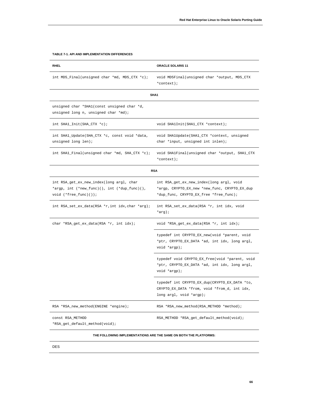| <b>RHEL</b>                                                                                                           | <b>ORACLE SOLARIS 11</b>                                                                                                            |
|-----------------------------------------------------------------------------------------------------------------------|-------------------------------------------------------------------------------------------------------------------------------------|
| int MD5_Final(unsigned char *md, MD5_CTX *c);                                                                         | void MD5Final(unsigned char *output, MD5_CTX<br>*context);                                                                          |
|                                                                                                                       | SHA1                                                                                                                                |
| unsigned char *SHA1(const unsigned char *d,<br>unsigned long n, unsigned char *md);                                   |                                                                                                                                     |
| $int$ SHA1_Init(SHA_CTX *c);                                                                                          | void SHAlInit(SHAl_CTX *context);                                                                                                   |
| int SHAl_Update(SHA_CTX *c, const void *data,<br>unsigned long len);                                                  | void SHAlUpdate(SHAl_CTX *context, unsigned<br>char *input, unsigned int inlen);                                                    |
| int SHAl_Final(unsigned char *md, SHA_CTX *c);                                                                        | void SHA1Final(unsigned char *output, SHA1_CTX<br>*context);                                                                        |
|                                                                                                                       | <b>RSA</b>                                                                                                                          |
| int RSA_get_ex_new_index(long argl, char<br>*argp, int (*new_func)(), int (*dup_func)(),<br>void $(*free\_func)())$ ; | int RSA_get_ex_new_index(long argl, void<br>*argp, CRYPTO_EX_new *new_func, CRYPTO_EX_dup<br>*dup_func, CRYPTO_EX_free *free_func); |
| int RSA_set_ex_data(RSA *r,int idx,char *arg);                                                                        | int RSA_set_ex_data(RSA *r, int idx, void<br>*arg);                                                                                 |
| char *RSA_get_ex_data(RSA *r, int idx);                                                                               | void *RSA_get_ex_data(RSA *r, int idx);                                                                                             |
|                                                                                                                       | typedef int CRYPTO_EX_new(void *parent, void<br>*ptr, CRYPTO_EX_DATA *ad, int idx, long argl,<br>void *argp);                       |
|                                                                                                                       | typedef void CRYPTO_EX_free(void *parent, void<br>*ptr, CRYPTO_EX_DATA *ad, int idx, long argl,<br>void *argp);                     |
|                                                                                                                       | typedef int CRYPTO_EX_dup(CRYPTO_EX_DATA *to,<br>CRYPTO_EX_DATA *from, void *from_d, int idx,<br>long argl, void *argp);            |
| RSA *RSA_new_method(ENGINE *engine);                                                                                  | RSA *RSA_new_method(RSA_METHOD *method);                                                                                            |
| CONSt RSA_METHOD<br>*RSA_get_default_method(void);                                                                    | RSA_METHOD *RSA_get_default_method(void);                                                                                           |
|                                                                                                                       | THE FOLLOWING IMPLEMENTATIONS ARE THE SAME ON BOTH THE PLATFORMS:                                                                   |

#### **TABLE 7-1. API AND IMPLEMENTATION DIFFERENCES**

DES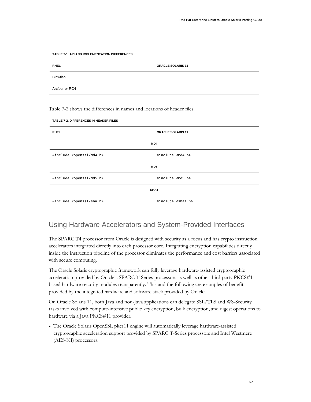| <b>RHEL</b>     | <b>ORACLE SOLARIS 11</b> |
|-----------------|--------------------------|
| <b>Blowfish</b> |                          |
| Arcfour or RC4  |                          |

**TABLE 7-1. API AND IMPLEMENTATION DIFFERENCES**

Table 7-2 shows the differences in names and locations of header files.

| <b>RHEL</b>                           | <b>ORACLE SOLARIS 11</b>   |  |
|---------------------------------------|----------------------------|--|
|                                       | MD4                        |  |
| #include <openssl md4.h=""></openssl> | #include <md4.h></md4.h>   |  |
| MD <sub>5</sub>                       |                            |  |
| #include <openssl md5.h=""></openssl> | #include <md5.h></md5.h>   |  |
| SHA <sub>1</sub>                      |                            |  |
| #include <openssl sha.h=""></openssl> | #include <shal.h></shal.h> |  |

# Using Hardware Accelerators and System-Provided Interfaces

The SPARC T4 processor from Oracle is designed with security as a focus and has crypto instruction accelerators integrated directly into each processor core. Integrating encryption capabilities directly inside the instruction pipeline of the processor eliminates the performance and cost barriers associated with secure computing.

The Oracle Solaris cryptographic framework can fully leverage hardware-assisted cryptographic acceleration provided by Oracle's SPARC T-Series processors as well as other third-party PKCS#11 based hardware security modules transparently. This and the following are examples of benefits provided by the integrated hardware and software stack provided by Oracle:

On Oracle Solaris 11, both Java and non-Java applications can delegate SSL/TLS and WS-Security tasks involved with compute-intensive public key encryption, bulk encryption, and digest operations to hardware via a Java PKCS#11 provider.

• The Oracle Solaris OpenSSL pkcs11 engine will automatically leverage hardware-assisted cryptographic acceleration support provided by SPARC T-Series processors and Intel Westmere (AES-NI) processors.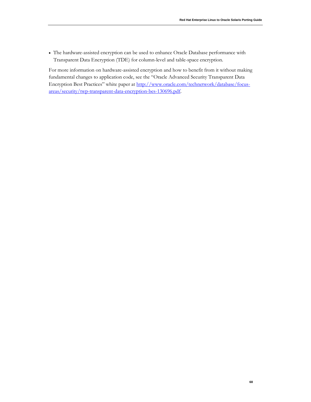• The hardware-assisted encryption can be used to enhance Oracle Database performance with Transparent Data Encryption (TDE) for column-level and table-space encryption.

For more information on hardware-assisted encryption and how to benefit from it without making fundamental changes to application code, see the "Oracle Advanced Security Transparent Data Encryption Best Practices" white paper a[t http://www.oracle.com/technetwork/database/focus](http://www.oracle.com/technetwork/database/focus-areas/security/twp-transparent-data-encryption-bes-130696.pdf)[areas/security/twp-transparent-data-encryption-bes-130696.pdf.](http://www.oracle.com/technetwork/database/focus-areas/security/twp-transparent-data-encryption-bes-130696.pdf)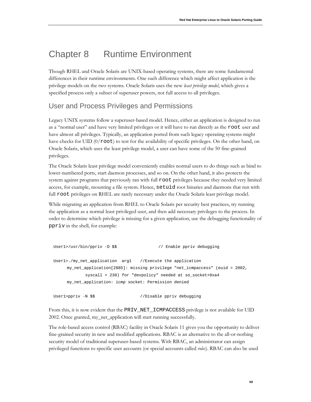# Chapter 8 Runtime Environment

Though RHEL and Oracle Solaris are UNIX-based operating systems, there are some fundamental differences in their runtime environments. One such difference which might affect application is the privilege models on the two systems. Oracle Solaris uses the new *least privilege model*, which gives a specified process only a subset of superuser powers, not full access to all privileges.

# User and Process Privileges and Permissions

Legacy UNIX systems follow a superuser-based model. Hence, either an application is designed to run as a "normal user" and have very limited privileges or it will have to run directly as the root user and have almost all privileges. Typically, an application ported from such legacy operating systems might have checks for UID  $(0/\text{root})$  to test for the availability of specific privileges. On the other hand, on Oracle Solaris, which uses the least privilege model, a user can have some of the 50 fine-grained privileges.

The Oracle Solaris least privilege model conveniently enables normal users to do things such as bind to lower-numbered ports, start daemon processes, and so on. On the other hand, it also protects the system against programs that previously ran with full root privileges because they needed very limited access, for example, mounting a file system. Hence, setuid root binaries and daemons that run with full root privileges on RHEL are rarely necessary under the Oracle Solaris least privilege model.

While migrating an application from RHEL to Oracle Solaris per security best practices, try running the application as a normal least privileged user, and then add necessary privileges to the process. In order to determine which privilege is missing for a given application, use the debugging functionality of ppriv in the shell, for example:

```
User1>/usr/bin/ppriv -D $$ // Enable ppriv debugging
User1>./my_net_application arg1 //Execute the application
     my_net_application[2885]: missing privilege "net_icmpaccess" (euid = 2002, 
           syscall = 230) for "devpolicy" needed at so_socket+0xa4
    my_net_application: icmp socket: Permission denied
User1>ppriv -N $$ //Disable ppriv debugging
```
From this, it is now evident that the PRIV\_NET\_ICMPACCESS privilege is not available for UID 2002. Once granted, my\_net\_application will start running successfully.

The role-based access control (RBAC) facility in Oracle Solaris 11 gives you the opportunity to deliver fine-grained security in new and modified applications. RBAC is an alternative to the all-or-nothing security model of traditional superuser-based systems. With RBAC, an administrator can assign privileged functions to specific user accounts (or special accounts called *roles*). RBAC can also be used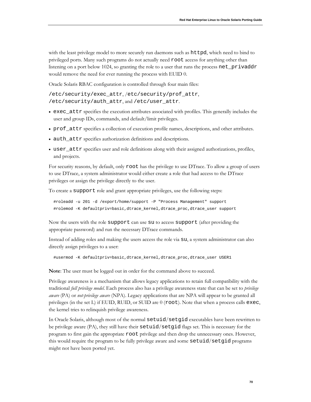with the least privilege model to more securely run daemons such as httpd, which need to bind to privileged ports. Many such programs do not actually need root access for anything other than listening on a port below 1024, so granting the role to a user that runs the process net\_privaddr would remove the need for ever running the process with EUID 0.

Oracle Solaris RBAC configuration is controlled through four main files:

/etc/security/exec\_attr, /etc/security/prof\_attr, /etc/security/auth\_attr, and /etc/user\_attr.

- exec\_attr specifies the execution attributes associated with profiles. This generally includes the user and group IDs, commands, and default/limit privileges.
- prof\_attr specifies a collection of execution profile names, descriptions, and other attributes.
- auth\_attr specifies authorization definitions and descriptions.
- user\_attr specifies user and role definitions along with their assigned authorizations, profiles, and projects.

For security reasons, by default, only root has the privilege to use DTrace. To allow a group of users to use DTrace, a system administrator would either create a role that had access to the DTrace privileges or assign the privilege directly to the user.

To create a support role and grant appropriate privileges, use the following steps:

```
#roleadd -u 201 -d /export/home/support -P "Process Management" support
#rolemod -K defaultpriv=basic,dtrace_kernel,dtrace_proc,dtrace_user support
```
Now the users with the role support can use su to access support (after providing the appropriate password) and run the necessary DTrace commands.

Instead of adding roles and making the users access the role via su, a system administrator can also directly assign privileges to a user:

#usermod -K defaultpriv=basic,dtrace\_kernel,dtrace\_proc,dtrace\_user USER1

**Note**: The user must be logged out in order for the command above to succeed.

Privilege awareness is a mechanism that allows legacy applications to retain full compatibility with the traditional *full privilege model*. Each process also has a privilege awareness state that can be set to *privilege aware* (PA) or *not-privilege aware* (NPA). Legacy applications that are NPA will appear to be granted all privileges (in the set L) if EUID, RUID, or SUID are 0 (root). Note that when a process calls exec, the kernel tries to relinquish privilege awareness.

In Oracle Solaris, although most of the normal setuid/setgid executables have been rewritten to be privilege aware (PA), they still have their setuid*/*setgid flags set. This is necessary for the program to first gain the appropriate root privilege and then drop the unnecessary ones. However, this would require the program to be fully privilege aware and some setuid*/*setgid programs might not have been ported yet.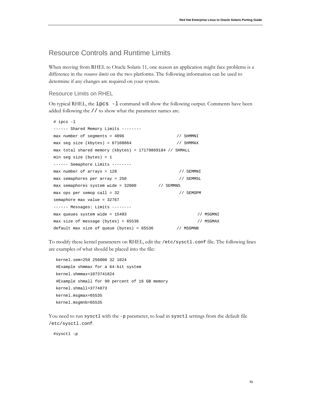# Resource Controls and Runtime Limits

When moving from RHEL to Oracle Solaris 11, one reason an application might face problems is a difference in the *resource limits* on the two platforms. The following information can be used to determine if any changes are required on your system.

#### Resource Limits on RHEL

On typical RHEL, the  $ipcs -1$  command will show the following output. Comments have been added following the // to show what the parameter names are.

| # ipcs -l                                                |           |           |
|----------------------------------------------------------|-----------|-----------|
| $-----$ Shared Memory Limits $-----$                     |           |           |
| $max$ number of segments = 4096                          | // SHMMNI |           |
| $max$ seg size (kbytes) = 67108864                       | // SHMMAX |           |
| max total shared memory (kbytes) = 17179869184 // SHMALL |           |           |
| min seg size (bytes) = $1$                               |           |           |
| $----$ Semaphore Limits $----$                           |           |           |
| $max$ number of arrays = 128                             | // SEMMNI |           |
| $max$ semaphores per array = 250                         | // SEMMSL |           |
| max semaphores system wide = 32000<br>// SEMMNS          |           |           |
| $max$ ops per semop call = 32                            | // SEMOPM |           |
| semaphore max value = $32767$                            |           |           |
| $-----$ Messages: Limits $-----$                         |           |           |
| $max$ queues system wide = 15493                         |           | // MSGMNI |
| $max$ size of message (bytes) = 65536                    |           | // MSGMAX |
| default max size of queue (bytes) = $65536$ // MSGMNB    |           |           |

To modify these kernel parameters on RHEL, edit the /etc/sysctl.conf file. The following lines are examples of what should be placed into the file:

```
kernel.sem=250 256000 32 1024
#Example shmmax for a 64-bit system
kernel.shmmax=1073741824
#Example shmall for 90 percent of 16 GB memory
kernel.shmall=3774873 
kernel.msgmax=65535
kernel.msgmnb=65535
```
You need to run sysctl with the -p parameter, to load in sysctl settings from the default file /etc/sysctl.conf.

#sysctl –p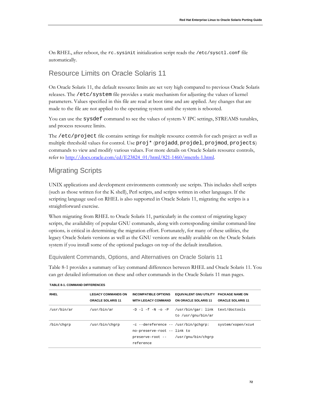On RHEL, after reboot, the rc.sysinit initialization script reads the /etc/sysctl.conf file automatically.

# Resource Limits on Oracle Solaris 11

On Oracle Solaris 11, the default resource limits are set very high compared to previous Oracle Solaris releases. The /etc/system file provides a static mechanism for adjusting the values of kernel parameters. Values specified in this file are read at boot time and are applied. Any changes that are made to the file are not applied to the operating system until the system is rebooted.

You can use the sysdef command to see the values of system-V IPC settings, STREAMS tunables, and process resource limits.

The /etc/project file contains settings for multiple resource controls for each project as well as multiple threshold values for control. Use proj\* (projadd, projdel, projmod, projects) commands to view and modify various values. For more details on Oracle Solaris resource controls, refer to [http://docs.oracle.com/cd/E23824\\_01/html/821-1460/rmctrls-1.html.](http://docs.oracle.com/cd/E23824_01/html/821-1460/rmctrls-1.html)

# Migrating Scripts

UNIX applications and development environments commonly use scripts. This includes shell scripts (such as those written for the K shell), Perl scripts, and scripts written in other languages. If the scripting language used on RHEL is also supported in Oracle Solaris 11, migrating the scripts is a straightforward exercise.

When migrating from RHEL to Oracle Solaris 11, particularly in the context of migrating legacy scripts, the availability of popular GNU commands, along with corresponding similar command-line options*,* is critical in determining the migration effort. Fortunately, for many of these utilities, the legacy Oracle Solaris versions as well as the GNU versions are readily available on the Oracle Solaris system if you install some of the optional packages on top of the default installation.

Equivalent Commands, Options, and Alternatives on Oracle Solaris 11

Table 8-1 provides a summary of key command differences between RHEL and Oracle Solaris 11. You can get detailed information on these and other commands in the Oracle Solaris 11 man pages.

| <b>RHEL</b> | <b>LEGACY COMMANDS ON</b><br><b>ORACLE SOLARIS 11</b> | <b>INCOMPATIBLE OPTIONS</b><br><b>WITH LEGACY COMMAND</b>                                            | EQUIVALENT GNU UTILITY PACKAGE NAME ON<br>ON ORACLE SOLARIS 11 | <b>ORACLE SOLARIS 11</b> |
|-------------|-------------------------------------------------------|------------------------------------------------------------------------------------------------------|----------------------------------------------------------------|--------------------------|
| /usr/bin/ar | /usr/bin/ar                                           | $-D$ $-1$ $-$ f $-N$ $-$ o $-P$                                                                      | /usr/bin/gar: link text/doctools<br>to /usr/qnu/bin/ar         |                          |
| /bin/chqrp  | /usr/bin/chqrp                                        | -c --dereference -- /usr/bin/gchgrp:<br>no-preserve-root -- link to<br>preserve-root --<br>reference | /usr/gnu/bin/chgrp                                             | system/xopen/xcu4        |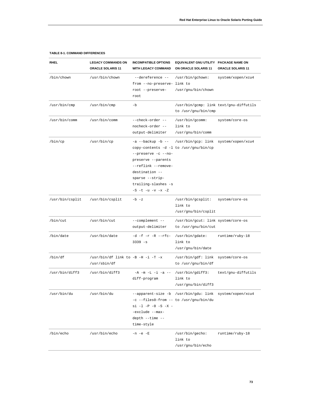| <b>RHEL</b>     | <b>LEGACY COMMANDS ON</b><br><b>ORACLE SOLARIS 11</b> | <b>INCOMPATIBLE OPTIONS</b><br><b>WITH LEGACY COMMAND</b>                                                                                                                                                        | EQUIVALENT GNU UTILITY PACKAGE NAME ON<br>ON ORACLE SOLARIS 11 | <b>ORACLE SOLARIS 11</b> |
|-----------------|-------------------------------------------------------|------------------------------------------------------------------------------------------------------------------------------------------------------------------------------------------------------------------|----------------------------------------------------------------|--------------------------|
| /bin/chown      | /usr/bin/chown                                        | --dereference --<br>from --no-preserve- link to<br>root --preserve-<br>root                                                                                                                                      | /usr/bin/gchown:<br>/usr/gnu/bin/chown                         | system/xopen/xcu4        |
| /usr/bin/cmp    | /usr/bin/cmp                                          | -b                                                                                                                                                                                                               | /usr/bin/gcmp: link text/gnu-diffutils<br>to /usr/gnu/bin/cmp  |                          |
| /usr/bin/comm   | /usr/bin/comm                                         | --check-order --<br>nocheck-order --<br>output-delimiter                                                                                                                                                         | /usr/bin/gcomm:<br>link to<br>/usr/gnu/bin/comm                | system/core-os           |
| /bin/cp         | /usr/bin/cp                                           | -a --backup -b --<br>copy-contents -d -l to /usr/gnu/bin/cp<br>--preserve -c --no-<br>preserve --parents<br>--reflink --remove-<br>destination --<br>sparse --strip-<br>trailing-slashes -s<br>-S -t -u -v -x -Z | /usr/bin/gcp: link                                             | system/xopen/xcu4        |
| /usr/bin/csplit | /usr/bin/csplit                                       | $-b - z$                                                                                                                                                                                                         | /usr/bin/gcsplit:<br>link to<br>/usr/gnu/bin/csplit            | system/core-os           |
| /bin/cut        | /usr/bin/cut                                          | --complement --<br>output-delimiter                                                                                                                                                                              | /usr/bin/gcut: link system/core-os<br>to /usr/gnu/bin/cut      |                          |
| /bin/date       | /usr/bin/date                                         | $-d-f-r-R --rfc-$<br>$3339 - s$                                                                                                                                                                                  | /usr/bin/gdate:<br>link to<br>/usr/gnu/bin/date                | runtime/ruby-18          |
| /bin/df         | /usr/bin/df link to -B -H -i -T -x<br>/usr/sbin/df    |                                                                                                                                                                                                                  | /usr/bin/gdf: link<br>to /usr/gnu/bin/df                       | system/core-os           |
| /usr/bin/diff3  | /usr/bin/diff3                                        | $-A - m - L - i - a - -$<br>diff-program                                                                                                                                                                         | /usr/bin/gdiff3:<br>link to<br>/usr/gnu/bin/diff3              | text/gnu-diffutils       |
| /usr/bin/du     | /usr/bin/du                                           | -c --files0-from -- to /usr/gnu/bin/du<br>$si$ -1 -P -0 -S -X -<br>-exclude --max-<br>depth --time --<br>time-style                                                                                              | --apparent-size -b /usr/bin/gdu: link system/xopen/xcu4        |                          |
| /bin/echo       | /usr/bin/echo                                         | -n -e -E                                                                                                                                                                                                         | /usr/bin/gecho:<br>link to<br>/usr/gnu/bin/echo                | runtime/ruby-18          |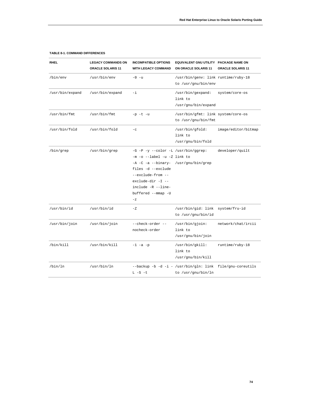| RHEL            | <b>LEGACY COMMANDS ON</b><br><b>ORACLE SOLARIS 11</b> | <b>INCOMPATIBLE OPTIONS</b><br><b>WITH LEGACY COMMAND</b>                                                                                                                                                                                     | EQUIVALENT GNU UTILITY PACKAGE NAME ON<br>ON ORACLE SOLARIS 11                  | <b>ORACLE SOLARIS 11</b> |
|-----------------|-------------------------------------------------------|-----------------------------------------------------------------------------------------------------------------------------------------------------------------------------------------------------------------------------------------------|---------------------------------------------------------------------------------|--------------------------|
| /bin/env        | /usr/bin/env                                          | $-0 - u$                                                                                                                                                                                                                                      | /usr/bin/genv: link runtime/ruby-18<br>to /usr/gnu/bin/env                      |                          |
| /usr/bin/expand | /usr/bin/expand                                       | -i                                                                                                                                                                                                                                            | /usr/bin/gexpand:<br>link to<br>/usr/gnu/bin/expand                             | system/core-os           |
| /usr/bin/fmt    | /usr/bin/fmt                                          | $-p-t-u$                                                                                                                                                                                                                                      | /usr/bin/gfmt: link system/core-os<br>to /usr/gnu/bin/fmt                       |                          |
| /usr/bin/fold   | /usr/bin/fold                                         | $-\mathbf{C}$                                                                                                                                                                                                                                 | /usr/bin/gfold:<br>link to<br>/usr/gnu/bin/fold                                 | image/editor/bitmap      |
| /bin/grep       | /usr/bin/grep                                         | -G -P -y --color -L /usr/bin/ggrep:<br>$-m$ -o $-$ label $-u$ -Z link to<br>-A -C -a --binary- /usr/gnu/bin/grep<br>files -d --exclude<br>--exclude-from --<br>exclude-dir -I --<br>include -R --line-<br>buffered --mmap -U<br>$-\mathbf{z}$ |                                                                                 | developer/quilt          |
| /usr/bin/id     | /usr/bin/id                                           | $-Z$                                                                                                                                                                                                                                          | /usr/bin/gid: link system/fru-id<br>to /usr/gnu/bin/id                          |                          |
| /usr/bin/join   | /usr/bin/join                                         | --check-order --<br>nocheck-order                                                                                                                                                                                                             | /usr/bin/gjoin:<br>link to<br>/usr/gnu/bin/join                                 | network/chat/ircii       |
| /bin/kill       | /usr/bin/kill                                         | $-1 -a -p$                                                                                                                                                                                                                                    | /usr/bin/gkill:<br>link to<br>/usr/gnu/bin/kill                                 | runtime/ruby-18          |
| /bin/ln         | /usr/bin/ln                                           | $L - S - t$                                                                                                                                                                                                                                   | --backup -b -d -i - /usr/bin/gln: link file/gnu-coreutils<br>to /usr/gnu/bin/ln |                          |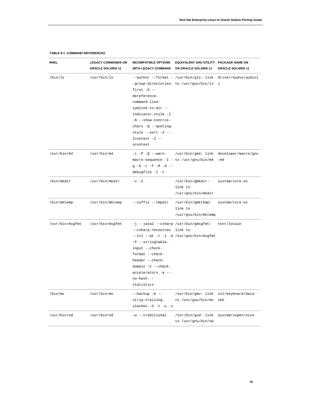| <b>RHEL</b>     | <b>LEGACY COMMANDS ON</b><br>ORACLE SOLARIS 11 | <b>INCOMPATIBLE OPTIONS</b><br><b>WITH LEGACY COMMAND</b>                                                                                                                                         | EQUIVALENT GNU UTILITY PACKAGE NAME ON<br>ON ORACLE SOLARIS 11                                         | ORACLE SOLARIS 11 |
|-----------------|------------------------------------------------|---------------------------------------------------------------------------------------------------------------------------------------------------------------------------------------------------|--------------------------------------------------------------------------------------------------------|-------------------|
| /bin/ls         | /usr/bin/ls                                    | first $-G$ --<br>dereference-<br>command-line-<br>symlink-to-dir --<br>indicator-style -I<br>-N --show-control-<br>chars $-Q$ --quoting-<br>style --sort -X --<br>$l$ context $-Z$ --<br>scontext | --author --format - /usr/bin/gls: link driver/audio/audiol<br>-group-directories- to /usr/gnu/bin/ls s |                   |
| /usr/bin/m4     | /usr/bin/m4                                    | $-i$ -P -Q --warn-<br>g -G -L -F -R -d --<br>debugfile -1 -t                                                                                                                                      | /usr/bin/gm4: link developer/macro/gnu<br>$macro-sequence -I - to /usr/gnu/bin/m4$                     | $-m4$             |
| /bin/mkdir      | /usr/bin/mkdir                                 | $-v - Z$                                                                                                                                                                                          | /usr/bin/gmkdir:<br>link to<br>/usr/gnu/bin/mkdir                                                      | system/core-os    |
| /bin/mktemp     | /usr/bin/mktemp                                | --suffix --tmpdir                                                                                                                                                                                 | /usr/bin/gmktemp:<br>link to<br>/usr/gnu/bin/mktemp                                                    | system/core-os    |
| /usr/bin/msgfmt | /usr/bin/msgfmt                                | --csharp-resources link to<br>-P --stringtable-<br>input --check-<br>format --check-<br>header --check-<br>domain -C --check-<br>accelerators -a --<br>no-hash --<br>statistics                   | -j --java2 --csharp /usr/bin/gmsgfmt:<br>--tcl --qt -r -l -d /usr/gnu/bin/msgfmt                       | text/locale       |
| /bin/mv         | /usr/bin/mv                                    | $-$ backup $-b$ $-$<br>strip-trailing-<br>slashes -S -t -u -v                                                                                                                                     | /usr/bin/gmv: link x11/keyboard/data-<br>to /usr/gnu/bin/mv                                            | xkb               |
| /usr/bin/od     | /usr/bin/od                                    | -w --traditional                                                                                                                                                                                  | /usr/bin/god: link system/xopen/xcu4<br>to /usr/gnu/bin/od                                             |                   |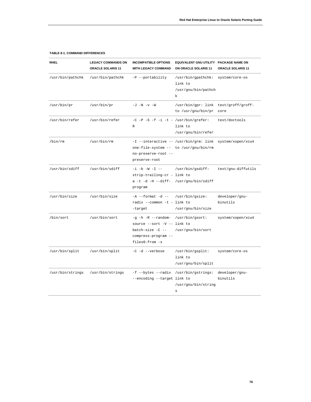| RHEL             | <b>LEGACY COMMANDS ON</b><br><b>ORACLE SOLARIS 11</b> | <b>INCOMPATIBLE OPTIONS</b><br><b>WITH LEGACY COMMAND</b>                                                            | EQUIVALENT GNU UTILITY PACKAGE NAME ON<br>ON ORACLE SOLARIS 11               | <b>ORACLE SOLARIS 11</b>   |
|------------------|-------------------------------------------------------|----------------------------------------------------------------------------------------------------------------------|------------------------------------------------------------------------------|----------------------------|
| /usr/bin/pathchk | /usr/bin/pathchk                                      | -P --portability                                                                                                     | /usr/bin/gpathchk:<br>link to<br>/usr/gnu/bin/pathch<br>k                    | system/core-os             |
| /usr/bin/pr      | /usr/bin/pr                                           | $-J - N - v - W$                                                                                                     | /usr/bin/gpr: link<br>to /usr/gnu/bin/pr                                     | text/groff/groff-<br>core  |
| /usr/bin/refer   | /usr/bin/refer                                        | $-C - P - S - f - i - t - /usr/bin/grefer$<br>$\mathbb{R}$                                                           | link to<br>/usr/gnu/bin/refer                                                | text/doctools              |
| /bin/rm          | /usr/bin/rm                                           | one-file-system -- to /usr/gnu/bin/rm<br>no-preserve-root --<br>preserve-root                                        | -I --interactive -- /usr/bin/grm: link system/xopen/xcu4                     |                            |
| /usr/bin/sdiff   | /usr/bin/sdiff                                        | $-i$ -b -W -I --<br>strip-trailing-cr - link to<br>a -t -d -H --diff-<br>program                                     | /usr/bin/gsdiff:<br>/usr/gnu/bin/sdiff                                       | text/gnu-diffutils         |
| /usr/bin/size    | /usr/bin/size                                         | $-A$ --format -d --<br>radix --common -t - link to<br>-target                                                        | /usr/bin/gsize:<br>/usr/gnu/bin/size                                         | developer/gnu-<br>binutils |
| /bin/sort        | /usr/bin/sort                                         | $-g - h - R$ --random-<br>source --sort -V -- link to<br>batch-size $-C$ --<br>compress-program --<br>files0-from -s | /usr/bin/gsort:<br>/usr/gnu/bin/sort                                         | system/xopen/xcu4          |
| /usr/bin/split   | /usr/bin/split                                        | -C -d --verbose                                                                                                      | /usr/bin/gsplit:<br>link to<br>/usr/gnu/bin/split                            | system/core-os             |
| /usr/bin/strings | /usr/bin/strings                                      | --encoding --target link to                                                                                          | -f --bytes --radix /usr/bin/gstrings:<br>/usr/gnu/bin/string<br>$\mathtt{s}$ | developer/gnu-<br>binutils |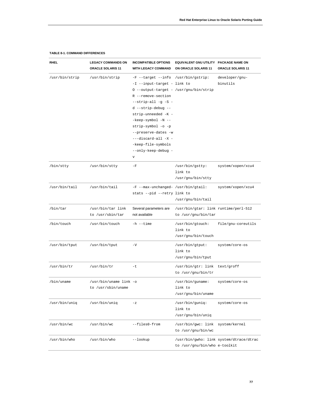| <b>RHEL</b>    | <b>LEGACY COMMANDS ON</b><br>ORACLE SOLARIS 11 | <b>INCOMPATIBLE OPTIONS</b><br><b>WITH LEGACY COMMAND</b>                                                                                                                                                                                                                                                                                          | EQUIVALENT GNU UTILITY PACKAGE NAME ON<br>ON ORACLE SOLARIS 11 | ORACLE SOLARIS 11                       |
|----------------|------------------------------------------------|----------------------------------------------------------------------------------------------------------------------------------------------------------------------------------------------------------------------------------------------------------------------------------------------------------------------------------------------------|----------------------------------------------------------------|-----------------------------------------|
| /usr/bin/strip | /usr/bin/strip                                 | -F --target --info /usr/bin/gstrip:<br>-I --input-target - link to<br>0 --output-target - /usr/gnu/bin/strip<br>R --remove-section<br>--strip-all -g -S -<br>d --strip-debug --<br>strip-unneeded -K -<br>-keep-symbol -N --<br>strip-symbol -o -p<br>--preserve-dates -w<br>---discard-all -X -<br>-keep-file-symbols<br>--only-keep-debug -<br>V |                                                                | developer/gnu-<br>binutils              |
| /bin/stty      | /usr/bin/stty                                  | $-F$                                                                                                                                                                                                                                                                                                                                               | /usr/bin/gstty:<br>link to<br>/usr/gnu/bin/stty                | system/xopen/xcu4                       |
| /usr/bin/tail  | /usr/bin/tail                                  | -F --max-unchanged- /usr/bin/gtail:<br>stats --pid --retry link to                                                                                                                                                                                                                                                                                 | /usr/gnu/bin/tail                                              | system/xopen/xcu4                       |
| /bin/tar       | /usr/bin/tar link<br>to /usr/sbin/tar          | Several parameters are<br>not available                                                                                                                                                                                                                                                                                                            | /usr/bin/gtar: link runtime/perl-512<br>to /usr/gnu/bin/tar    |                                         |
| /bin/touch     | /usr/bin/touch                                 | $-h$ $-$ time                                                                                                                                                                                                                                                                                                                                      | /usr/bin/gtouch:<br>link to<br>/usr/gnu/bin/touch              | file/gnu-coreutils                      |
| /usr/bin/tput  | /usr/bin/tput                                  | $-V$                                                                                                                                                                                                                                                                                                                                               | /usr/bin/gtput:<br>link to<br>/usr/gnu/bin/tput                | system/core-os                          |
| /usr/bin/tr    | /usr/bin/tr                                    | -t                                                                                                                                                                                                                                                                                                                                                 | /usr/bin/gtr: link text/groff<br>to /usr/gnu/bin/tr            |                                         |
| /bin/uname     | /usr/bin/uname link -o<br>to /usr/sbin/uname   |                                                                                                                                                                                                                                                                                                                                                    | /usr/bin/guname:<br>link to<br>/usr/gnu/bin/uname              | system/core-os                          |
| /usr/bin/uniq  | /usr/bin/uniq                                  | $^-\mathrm{Z}$                                                                                                                                                                                                                                                                                                                                     | /usr/bin/guniq:<br>link to<br>/usr/gnu/bin/uniq                | system/core-os                          |
| /usr/bin/wc    | /usr/bin/wc                                    | --files0-from                                                                                                                                                                                                                                                                                                                                      | /usr/bin/gwc: link<br>to /usr/gnu/bin/wc                       | system/kernel                           |
| /usr/bin/who   | /usr/bin/who                                   | --lookup                                                                                                                                                                                                                                                                                                                                           | to /usr/gnu/bin/who e-toolkit                                  | /usr/bin/gwho: link system/dtrace/dtrac |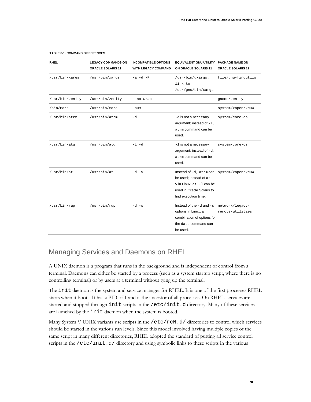| <b>RHEL</b>     | <b>LEGACY COMMANDS ON</b><br><b>ORACLE SOLARIS 11</b> | <b>INCOMPATIBLE OPTIONS</b><br><b>WITH LEGACY COMMAND</b> | <b>EQUIVALENT GNU UTILITY</b><br>ON ORACLE SOLARIS 11                                                                                                  | <b>PACKAGE NAME ON</b><br><b>ORACLE SOLARIS 11</b> |
|-----------------|-------------------------------------------------------|-----------------------------------------------------------|--------------------------------------------------------------------------------------------------------------------------------------------------------|----------------------------------------------------|
| /usr/bin/xargs  | /usr/bin/xargs                                        | $-a$ $-d$ $-P$                                            | /usr/bin/gxargs:<br>link to<br>/usr/gnu/bin/xargs                                                                                                      | file/gnu-findutils                                 |
| /usr/bin/zenity | /usr/bin/zenity                                       | --no-wrap                                                 |                                                                                                                                                        | gnome/zenity                                       |
| /bin/more       | /usr/bin/more                                         | -num                                                      |                                                                                                                                                        | system/xopen/xcu4                                  |
| /usr/bin/atrm   | /usr/bin/atrm                                         | -d                                                        | -d is not a necessary<br>argument; instead of $-1$ ,<br>atrm command can be<br>used.                                                                   | system/core-os                                     |
| /usr/bin/atq    | /usr/bin/atq                                          | -1 -d                                                     | $-1$ is not a necessary<br>argument; instead of $-d$ ,<br>at.rm command can be<br>used.                                                                | system/core-os                                     |
| /usr/bin/at     | /usr/bin/at                                           | $-d - v$                                                  | Instead of -d, atrm can system/xopen/xcu4<br>be used; instead of at -<br>v in Linux, at -1 can be<br>used in Oracle Solaris to<br>find execution time. |                                                    |
| /usr/bin/rup    | /usr/bin/rup                                          | $-d - s$                                                  | Instead of the $-d$ and $-s$<br>options in Linux, a<br>combination of options for<br>the date command can<br>be used.                                  | network/legacy-<br>remote-utilities                |

## Managing Services and Daemons on RHEL

A UNIX daemon is a program that runs in the background and is independent of control from a terminal. Daemons can either be started by a process (such as a system startup script, where there is no controlling terminal) or by users at a terminal without tying up the terminal.

The init daemon is the system and service manager for RHEL. It is one of the first processes RHEL starts when it boots. It has a PID of 1 and is the ancestor of all processes. On RHEL, services are started and stopped through init scripts in the /etc/init.d directory. Many of these services are launched by the init daemon when the system is booted.

Many System V UNIX variants use scripts in the /etc/rcN.d/ directories to control which services should be started in the various run levels. Since this model involved having multiple copies of the same script in many different directories, RHEL adopted the standard of putting all service control scripts in the /etc/init.d/ directory and using symbolic links to these scripts in the various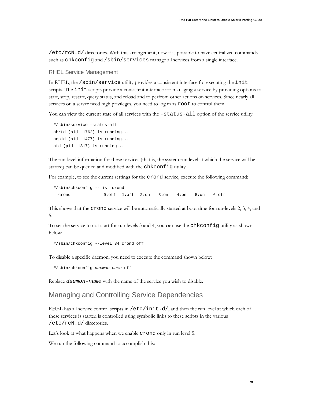/etc/rcN.d/ directories. With this arrangement, now it is possible to have centralized commands such as chkconfig and /sbin/services manage all services from a single interface.

#### RHEL Service Management

In RHEL, the /sbin/service utility provides a consistent interface for executing the init scripts. The init scripts provide a consistent interface for managing a service by providing options to start, stop, restart, query status, and reload and to perfrom other actions on services. Since nearly all services on a server need high privileges, you need to log in as root to control them.

You can view the current state of all services with the -status-all option of the service utility:

```
#/sbin/service –status-all
abrtd (pid 1762) is running...
acpid (pid 1477) is running...
atd (pid 1817) is running...
```
The run-level information for these services (that is, the system run level at which the service will be started) can be queried and modified with the chkconfig utility.

For example, to see the current settings for the crond service, execute the following command:

```
#/sbin/chkconfig --list crond
  crond 0:off 1:off 2:on 3:on 4:on 5:on 6:off
```
This shows that the crond service will be automatically started at boot time for run-levels 2, 3, 4, and 5.

To set the service to not start for run levels 3 and 4, you can use the chkconfig utility as shown below:

#/sbin/chkconfig --level 34 crond off

To disable a specific daemon, you need to execute the command shown below:

#/sbin/chkconfig *daemon-name* off

Replace *daemon-name* with the name of the service you wish to disable.

### Managing and Controlling Service Dependencies

RHEL has all service control scripts in  $/$ etc $/$ init.d $/$ , and then the run level at which each of these services is started is controlled using symbolic links to these scripts in the various /etc/rcN.d/ directories.

Let's look at what happens when we enable crond only in run level 5.

We run the following command to accomplish this: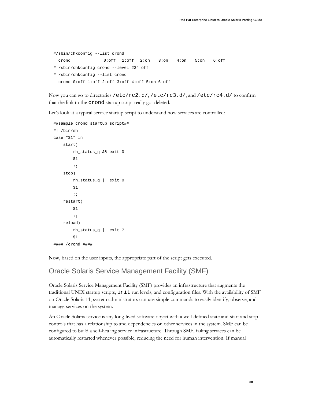```
#/sbin/chkconfig --list crond
  crond 0:off 1:off 2:on 3:on 4:on 5:on 6:off
# /sbin/chkconfig crond --level 234 off
# /sbin/chkconfig --list crond
  crond 0:off 1:off 2:off 3:off 4:off 5:on 6:off
```
Now you can go to directories /etc/rc2.d/, /etc/rc3.d/, and /etc/rc4.d/ to confirm that the link to the crond startup script really got deleted.

Let's look at a typical service startup script to understand how services are controlled:

```
##sample crond startup script##
#! /bin/sh
case "$1" in
     start)
          rh_status_q && exit 0
         $1 ;;
     stop)
          rh_status_q || exit 0
          $1
          ;;
     restart)
          $1
          ;;
     reload)
          rh_status_q || exit 7
          $1
#### /crond ####
```
Now, based on the user inputs, the appropriate part of the script gets executed.

## Oracle Solaris Service Management Facility (SMF)

Oracle Solaris Service Management Facility (SMF) provides an infrastructure that augments the traditional UNIX startup scripts, init run levels, and configuration files. With the availability of SMF on Oracle Solaris 11, system administrators can use simple commands to easily identify, observe, and manage services on the system.

An Oracle Solaris service is any long-lived software object with a well-defined state and start and stop controls that has a relationship to and dependencies on other services in the system. SMF can be configured to build a self-healing service infrastructure. Through SMF, failing services can be automatically restarted whenever possible, reducing the need for human intervention. If manual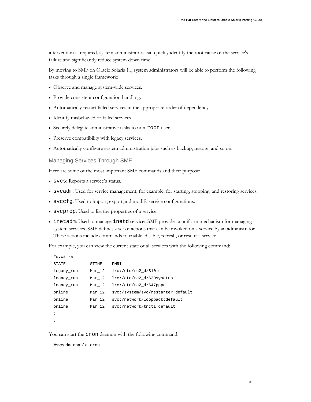intervention is required, system administrators can quickly identify the root cause of the service's failure and significantly reduce system down time.

By moving to SMF on Oracle Solaris 11, system administrators will be able to perform the following tasks through a single framework:

- Observe and manage system-wide services.
- Provide consistent configuration handling.
- Automatically restart failed services in the appropriate order of dependency.
- Identify misbehaved or failed services.
- Securely delegate administrative tasks to non-root users.
- Preserve compatibility with legacy services.
- Automatically configure system administration jobs such as backup, restore, and so on.

#### Managing Services Through SMF

Here are some of the most important SMF commands and their purpose:

- svcs: Reports a service's status.
- svcadm: Used for service management, for example, for starting, stopping, and restoring services.
- svccfg: Used to import, export,and modify service configurations.
- svcprop: Used to list the properties of a service.
- inetadm: Used to manage inetd services.SMF provides a uniform mechanism for managing system services. SMF defines a set of actions that can be invoked on a service by an administrator. These actions include commands to enable, disable, refresh, or restart a service.

For example, you can view the current state of all services with the following command:

| #svcs -a   |          |                                   |
|------------|----------|-----------------------------------|
| STATE      | STIME    | FMRI                              |
| legacy_run | $Mar_12$ | lrc://etc/rc2 d/S10lu             |
| legacy_run | Mar 12   | lrc:/etc/rc2 d/S20sysetup         |
| legacy_run | Mar 12   | lrc:/etc/rc2_d/S47pppd            |
| online     | Mar 12   | svc:/system/svc/restarter:default |
| online     | Mar 12   | svc:/network/loopback:default     |
| online     | Mar 12   | svc:/network/tnctl:default        |
| $\cdot$    |          |                                   |
|            |          |                                   |

You can start the cron daemon with the following command:

#svcadm enable cron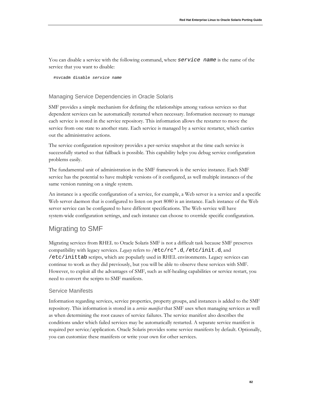You can disable a service with the following command, where *service name* is the name of the service that you want to disable:

#svcadm disable *service name*

### Managing Service Dependencies in Oracle Solaris

SMF provides a simple mechanism for defining the relationships among various services so that dependent services can be automatically restarted when necessary. Information necessary to manage each service is stored in the service repository. This information allows the restarter to move the service from one state to another state. Each service is managed by a service restarter, which carries out the administrative actions.

The service configuration repository provides a per-service snapshot at the time each service is successfully started so that fallback is possible. This capability helps you debug service configuration problems easily.

The fundamental unit of administration in the SMF framework is the service instance. Each SMF service has the potential to have multiple versions of it configured, as well multiple instances of the same version running on a single system.

An instance is a specific configuration of a service, for example, a Web server is a service and a specific Web server daemon that is configured to listen on port 8080 is an instance. Each instance of the Web server service can be configured to have different specifications. The Web service will have system-wide configuration settings, and each instance can choose to override specific configuration.

## Migrating to SMF

Migrating services from RHEL to Oracle Solaris SMF is not a difficult task because SMF preserves compatibility with legacy services. *Legacy* refers to /etc/rc\*.d, /etc/init.d, and /etc/inittab scripts, which are popularly used in RHEL environments. Legacy services can continue to work as they did previously, but you will be able to observe these services with SMF. However, to exploit all the advantages of SMF, such as self-healing capabilities or service restart, you need to convert the scripts to SMF manifests.

### Service Manifests

Information regarding services, service properties, property groups, and instances is added to the SMF repository. This information is stored in a *service manifest* that SMF uses when managing services as well as when determining the root causes of service failures. The service manifest also describes the conditions under which failed services may be automatically restarted. A separate service manifest is required per service/application. Oracle Solaris provides some service manifests by default. Optionally, you can customize these manifests or write your own for other services.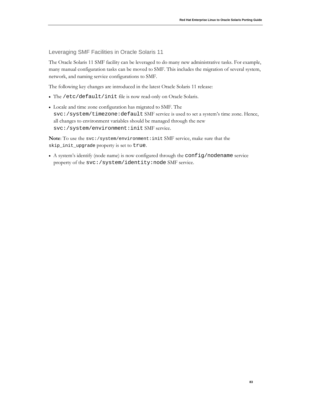Leveraging SMF Facilities in Oracle Solaris 11

The Oracle Solaris 11 SMF facility can be leveraged to do many new administrative tasks. For example, many manual configuration tasks can be moved to SMF. This includes the migration of several system, network, and naming service configurations to SMF.

The following key changes are introduced in the latest Oracle Solaris 11 release:

- The /etc/default/init file is now read-only on Oracle Solaris.
- Locale and time zone configuration has migrated to SMF. The svc:/system/timezone:default SMF service is used to set a system's time zone. Hence, all changes to environment variables should be managed through the new svc:/system/environment:init SMF service.

**Note**: To use the svc:/system/environment:init SMF service, make sure that the skip\_init\_upgrade property is set to true.

• A system's identify (node name) is now configured through the config/nodename service property of the svc:/system/identity:node SMF service.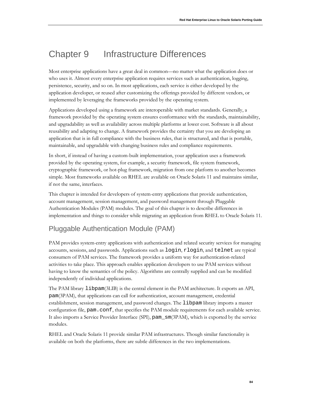# Chapter 9 Infrastructure Differences

Most enterprise applications have a great deal in common—no matter what the application does or who uses it. Almost every enterprise application requires services such as authentication, logging, persistence, security, and so on. In most applications, each service is either developed by the application developer, or reused after customizing the offerings provided by different vendors, or implemented by leveraging the frameworks provided by the operating system.

Applications developed using a framework are interoperable with market standards. Generally, a framework provided by the operating system ensures conformance with the standards, maintainability, and upgradability as well as availability across multiple platforms at lower cost. Software is all about reusability and adapting to change. A framework provides the certainty that you are developing an application that is in full compliance with the business rules, that is structured, and that is portable, maintainable, and upgradable with changing business rules and compliance requirements.

In short, if instead of having a custom-built implementation, your application uses a framework provided by the operating system, for example, a security framework, file system framework, cryptographic framework, or hot-plug framework, migration from one platform to another becomes simple. Most frameworks available on RHEL are available on Oracle Solaris 11 and maintains similar, if not the same, interfaces.

This chapter is intended for developers of system-entry applications that provide authentication, account management, session management, and password management through Pluggable Authentication Modules (PAM) modules. The goal of this chapter is to describe differences in implementation and things to consider while migrating an application from RHEL to Oracle Solaris 11.

# Pluggable Authentication Module (PAM)

PAM provides system-entry applications with authentication and related security services for managing accounts, sessions, and passwords. Applications such as login, rlogin, and telnet are typical consumers of PAM services. The framework provides a uniform way for authentication-related activities to take place. This approach enables application developers to use PAM services without having to know the semantics of the policy. Algorithms are centrally supplied and can be modified independently of individual applications.

The PAM library libpam(3LIB) is the central element in the PAM architecture. It exports an API, pam(3PAM), that applications can call for authentication, account management, credential establishment, session management, and password changes. The libpam library imports a master configuration file, pam.conf, that specifies the PAM module requirements for each available service. It also imports a Service Provider Interface (SPI), pam\_sm(3PAM), which is exported by the service modules.

RHEL and Oracle Solaris 11 provide similar PAM infrastructures. Though similar functionality is available on both the platforms, there are subtle differences in the two implementations.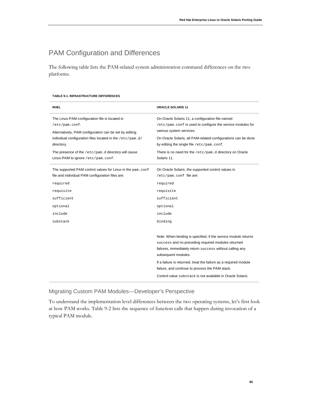# PAM Configuration and Differences

The following table lists the PAM-related system administration command differences on the two platforms.

#### **TABLE 9-1. INFRASTRUCTURE DIFFERENCES**

| <b>RHEL</b>                                                                                                                                                                                                                                                                                        | <b>ORACLE SOLARIS 11</b>                                                                                                                                                                                                                                                                                                                                                                     |
|----------------------------------------------------------------------------------------------------------------------------------------------------------------------------------------------------------------------------------------------------------------------------------------------------|----------------------------------------------------------------------------------------------------------------------------------------------------------------------------------------------------------------------------------------------------------------------------------------------------------------------------------------------------------------------------------------------|
| The Linux-PAM configuration file is located in<br>/etc/pam.conf.<br>Alternatively, PAM configuration can be set by editing<br>individual configuration files located in the /etc/pam.d/<br>directory.<br>The presence of the /etc/pam.d directory will cause<br>Linux-PAM to ignore /etc/pam.conf. | On Oracle Solaris 11, a configuration file named<br>/etc/pam.conf is used to configure the service modules for<br>various system services.<br>On Oracle Solaris, all PAM-related configurations can be done<br>by editing the single file /etc/pam.conf.<br>There is no need for the /etc/pam.d directory on Oracle<br>Solaris 11.                                                           |
| The supported PAM control values for Linux in the pam.conf<br>file and individual PAM configuration files are:                                                                                                                                                                                     | On Oracle Solaris, the supported control values in<br>/etc/pam.conf file are:                                                                                                                                                                                                                                                                                                                |
| required                                                                                                                                                                                                                                                                                           | required                                                                                                                                                                                                                                                                                                                                                                                     |
| requisite                                                                                                                                                                                                                                                                                          | requisite                                                                                                                                                                                                                                                                                                                                                                                    |
| sufficient                                                                                                                                                                                                                                                                                         | sufficient                                                                                                                                                                                                                                                                                                                                                                                   |
| optional                                                                                                                                                                                                                                                                                           | optional                                                                                                                                                                                                                                                                                                                                                                                     |
| include                                                                                                                                                                                                                                                                                            | include                                                                                                                                                                                                                                                                                                                                                                                      |
| substack                                                                                                                                                                                                                                                                                           | binding                                                                                                                                                                                                                                                                                                                                                                                      |
|                                                                                                                                                                                                                                                                                                    | Note: When binding is specified, if the service module returns<br>success and no preceding required modules returned<br>failures, immediately return success without calling any<br>subsequent modules.<br>If a failure is returned, treat the failure as a required module<br>failure, and continue to process the PAM stack.<br>Control value substack is not available in Oracle Solaris. |

### Migrating Custom PAM Modules—Developer's Perspective

To understand the implementation level differences between the two operating systems, let's first look at how PAM works. Table 9-2 lists the sequence of function calls that happen during invocation of a typical PAM module.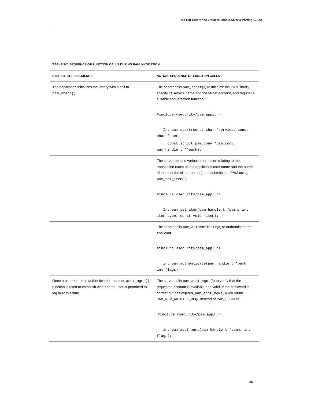#### **TABLE 9-2. SEQUENCE OF FUNCTION CALLS DURING PAM INVOCATION**

| STEP-BY-STEP SEQUENCE                                                                                                                              | ACTUAL SEQUENCE OF FUNCTION CALLS                                                                                                                                                                                                 |
|----------------------------------------------------------------------------------------------------------------------------------------------------|-----------------------------------------------------------------------------------------------------------------------------------------------------------------------------------------------------------------------------------|
| The application initializes the library with a call to<br>pam_start().                                                                             | The server calls pam_start(3) to initialize the PAM library,<br>specify its service name and the target account, and register a<br>suitable conversation function.                                                                |
|                                                                                                                                                    | #include <security pam_appl.h=""></security>                                                                                                                                                                                      |
|                                                                                                                                                    | Int pam_start(const char *service, const<br>char *user,<br>const struct pam_conv *pam_conv,                                                                                                                                       |
|                                                                                                                                                    | pam_handle_t **pamh);                                                                                                                                                                                                             |
|                                                                                                                                                    | The server obtains various information relating to the<br>transaction (such as the applicant's user name and the name<br>of the host the client runs on) and submits it to PAM using<br>pam_set_item(3).                          |
|                                                                                                                                                    | #include <security pam_appl.h=""></security>                                                                                                                                                                                      |
|                                                                                                                                                    | Int pam_set_item(pam_handle_t *pamh, int<br>item_type, const void *item);                                                                                                                                                         |
|                                                                                                                                                    | The server calls $pam_authenticate(3)$ to authenticate the<br>applicant.                                                                                                                                                          |
|                                                                                                                                                    | #include <security pam_appl.h=""></security>                                                                                                                                                                                      |
|                                                                                                                                                    | int pam_authenticate(pam_handle_t *pamh,<br>int flags);                                                                                                                                                                           |
| Once a user has been authenticated, the pam_acct_mgmt ()<br>function is used to establish whether the user is permitted to<br>log in at this time. | The server calls $pam\_acct\_mgmt(3)$ to verify that the<br>requested account is available and valid. If the password is<br>correct but has expired, pam_acct_mgmt(3) will return<br>PAM_NEW_AUTHTOK_REQD instead of PAM_SUCCESS. |
|                                                                                                                                                    | #include <security pam_appl.h=""></security>                                                                                                                                                                                      |
|                                                                                                                                                    | int pam_acct_mgmt(pam_handle_t *pamh, int<br>flags);                                                                                                                                                                              |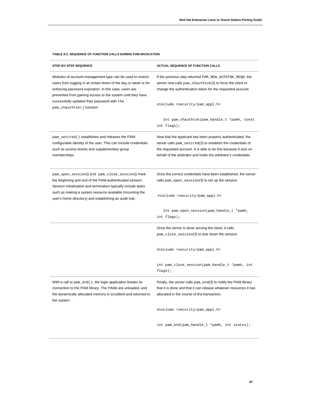#### **TABLE 9-2. SEQUENCE OF FUNCTION CALLS DURING PAM INVOCATION**

| STEP-BY-STEP SEQUENCE                                                                                                                                                                                                                                                                               | <b>ACTUAL SEQUENCE OF FUNCTION CALLS</b>                                                                                                                                                                                                                          |
|-----------------------------------------------------------------------------------------------------------------------------------------------------------------------------------------------------------------------------------------------------------------------------------------------------|-------------------------------------------------------------------------------------------------------------------------------------------------------------------------------------------------------------------------------------------------------------------|
| Modules of account-management type can be used to restrict<br>users from logging in at certain times of the day or week or for<br>enforcing password expiration. In this case, users are<br>prevented from gaining access to the system until they have                                             | If the previous step returned PAM_NEW_AUTHTOK_REQD, the<br>server now calls pam_chauthtok(3) to force the client to<br>change the authentication token for the requested account.                                                                                 |
| successfully updated their password with the<br>pam_chauthtok() function.                                                                                                                                                                                                                           | #include <security pam_appl.h=""></security>                                                                                                                                                                                                                      |
|                                                                                                                                                                                                                                                                                                     | Int pam_chauthtok(pam_handle_t *pamh, const<br>int flags);                                                                                                                                                                                                        |
| pam_setcred() establishes and releases the PAM-<br>configurable identity of the user. This can include credentials<br>such as access tickets and supplementary group<br>memberships.                                                                                                                | Now that the applicant has been properly authenticated, the<br>server calls pam_setcred(3) to establish the credentials of<br>the requested account. It is able to do this because it acts on<br>behalf of the arbitrator and holds the arbitrator's credentials. |
| pam_open_session() and pam_close_session() mark<br>the beginning and end of the PAM-authenticated session.<br>Session initialization and termination typically include tasks<br>such as making a system resource available (mounting the<br>user's home directory) and establishing an audit trail. | Once the correct credentials have been established, the server<br>calls pam_open_session(3) to set up the session.<br>#include <security pam_appl.h=""></security>                                                                                                |
|                                                                                                                                                                                                                                                                                                     | Int pam_open_session(pam_handle_t *pamh,<br>int flags);                                                                                                                                                                                                           |
|                                                                                                                                                                                                                                                                                                     | Once the server is done serving the client, it calls<br>pam_close_session(3) to tear down the session.                                                                                                                                                            |
|                                                                                                                                                                                                                                                                                                     | #include <security pam_appl.h=""></security>                                                                                                                                                                                                                      |
|                                                                                                                                                                                                                                                                                                     | int pam_close_session(pam_handle_t *pamh, int<br>flags);                                                                                                                                                                                                          |
| With a call to $pam\_end($ ), the login application breaks its<br>connection to the PAM library. The PAMs are unloaded, and<br>the dynamically allocated memory is scrubbed and returned to<br>the system.                                                                                          | Finally, the server calls pam_end(3) to notify the PAM library<br>that it is done and that it can release whatever resources it has<br>allocated in the course of the transaction.                                                                                |
|                                                                                                                                                                                                                                                                                                     | #include <security pam_appl.h=""></security>                                                                                                                                                                                                                      |
|                                                                                                                                                                                                                                                                                                     | int pam_end(pam_handle_t *pamh, int status);                                                                                                                                                                                                                      |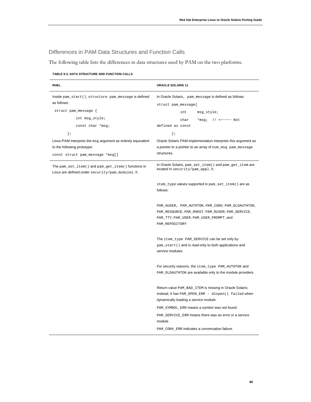### Differences in PAM Data Structures and Function Calls

The following table lists the differences in data structures used by PAM on the two platforms.

| <b>RHEL</b>                                                                                           | <b>ORACLE SOLARIS 11</b>                                                                                                                                           |
|-------------------------------------------------------------------------------------------------------|--------------------------------------------------------------------------------------------------------------------------------------------------------------------|
| Inside pam_start(), structure pam_message is defined                                                  | In Oracle Solaris, pam_message is defined as follows:                                                                                                              |
| as follows:                                                                                           | struct pam_message{                                                                                                                                                |
| struct pam_message {                                                                                  | int<br>msg_style;                                                                                                                                                  |
| int msg_style;                                                                                        | *msg; $// \sim \sim \sim \sim$ Not<br>char                                                                                                                         |
| const char *msg;                                                                                      | defined as const                                                                                                                                                   |
| $\}$ ;                                                                                                | $\}$ ;                                                                                                                                                             |
| Linux-PAM interprets the msg argument as entirely equivalent                                          | Oracle Solaris PAM implementation interprets this argument as                                                                                                      |
| to the following prototype:                                                                           | a pointer to a pointer to an array of num_msg_pam_message                                                                                                          |
| const struct pam_message *msg[]                                                                       | structures.                                                                                                                                                        |
| The pam_set_item() and pam_get_item() functions in<br>Linux are defined under security/pam_modules.h. | In Oracle Solaris, pam_set_item() and pam_get_item are<br>located in security/pam_appl.h.                                                                          |
|                                                                                                       | item_type values supported in pam_set_item() are as<br>follows:                                                                                                    |
|                                                                                                       | PAM_AUSER, PAM_AUTHTOK, PAM_CONV, PAM_OLDAUTHTOK,<br>PAM_RESOURCE, PAM_RHOST, PAM_RUSER, PAM_SERVICE,<br>PAM_TTY, PAM_USER, PAM_USER_PROMPT, and<br>PAM_REPOSITORY |
|                                                                                                       | The item_type PAM_SERVICE can be set only by<br>pam_start() and is read-only to both applications and<br>service modules.                                          |
|                                                                                                       | For security reasons, the item_type PAM_AUTHTOK and<br>PAM_OLDAUTHTOK are available only to the module providers.                                                  |
|                                                                                                       | Return value PAM_BAD_ITEM is missing in Oracle Solaris;<br>instead, it has PAM_OPEN_ERR - dlopen() failed when<br>dynamically loading a service module.            |
|                                                                                                       | PAM_SYMBOL_ERR means a symbol was not found.                                                                                                                       |
|                                                                                                       | PAM_SERVICE_ERR means there was an error in a service<br>module.                                                                                                   |
|                                                                                                       | PAM_CONV_ERR indicates a conversation failure.                                                                                                                     |

#### **TABLE 9-3. DATA STRUCTURE AND FUNCTION CALLS**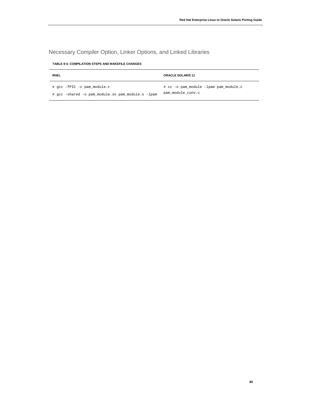## Necessary Compiler Option, Linker Options, and Linked Libraries

| <b>TABLE 9-4. COMPILATION STEPS AND MAKEFILE CHANGES</b> |  |  |
|----------------------------------------------------------|--|--|
|                                                          |  |  |

| <b>RHEL</b>                                       | <b>ORACLE SOLARIS 11</b>              |
|---------------------------------------------------|---------------------------------------|
| # gcc -fPIC -c pam module.c                       | # cc -o pam module -lpam pam module.c |
| # gcc -shared -o pam module.so pam module.o -lpam | pam module conv.c                     |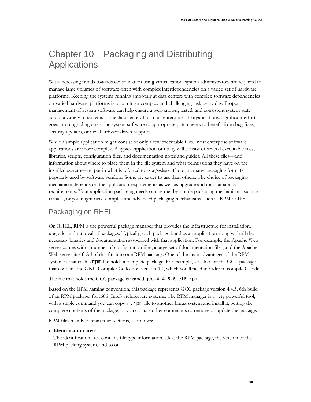# Chapter 10 Packaging and Distributing **Applications**

With increasing trends towards consolidation using virtualization, system administrators are required to manage large volumes of software often with complex interdependencies on a varied set of hardware platforms. Keeping the systems running smoothly at data centers with complex software dependencies on varied hardware platforms is becoming a complex and challenging task every day. Proper management of system software can help ensure a well-known, tested, and consistent system state across a variety of systems in the data center. For most enterprise IT organizations, significant effort goes into upgrading operating system software to appropriate patch levels to benefit from bug fixes, security updates, or new hardware driver support.

While a simple application might consist of only a few executable files, most enterprise software applications are more complex. A typical application or utility will consist of several executable files, libraries, scripts, configuration files, and documentation notes and guides. All these files—and information about where to place them in the file system and what permissions they have on the installed system—are put in what is referred to as a *package*. There are many packaging formats popularly used by software vendors. Some are easier to use than others. The choice of packaging mechanism depends on the application requirements as well as upgrade and maintainability requirements. Your application packaging needs can be met by simple packaging mechanisms, such as tarballs, or you might need complex and advanced packaging mechanisms, such as RPM or IPS.

# Packaging on RHEL

On RHEL, RPM is the powerful package manager that provides the infrastructure for installation, upgrade, and removal of packages. Typically, each package bundles an application along with all the necessary binaries and documentation associated with that application. For example, the Apache Web server comes with a number of configuration files, a large set of documentation files, and the Apache Web server itself. All of this fits into one RPM package. One of the main advantages of the RPM system is that each. rpm file holds a complete package. For example, let's look at the GCC package that contains the GNU Compiler Collection version 4.4, which you'll need in order to compile C code.

The file that holds the GCC package is named gcc-4.4.5-6.el6.rpm.

Based on the RPM naming convention, this package represents GCC package version 4.4.5, 6th build of an RPM package, for i686 (Intel) architecture systems. The RPM manager is a very powerful tool; with a single command you can copy a . rpm file to another Linux system and install it, getting the complete contents of the package, or you can use other commands to remove or update the package.

RPM files mainly contain four sections, as follows:

### • **Identification area**:

The identification area contains file type information, a.k.a. the RPM package, the version of the RPM packing system, and so on.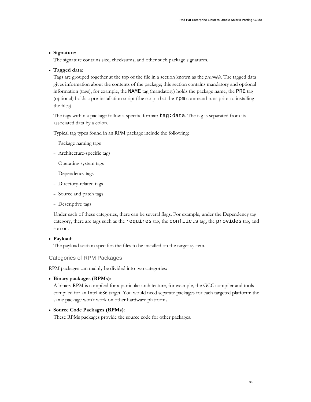### • **Signature**:

The signature contains size, checksums, and other such package signatures.

### • **Tagged data**:

Tags are grouped together at the top of the file in a section known as the *preamble*. The tagged data gives information about the contents of the package; this section contains mandatory and optional information (tags), for example, the NAME tag (mandatory) holds the package name, the PRE tag (optional) holds a pre-installation script (the script that the rpm command runs prior to installing the files).

The tags within a package follow a specific format: tag:data*.* The tag is separated from its associated data by a colon.

Typical tag types found in an RPM package include the following:

- <sup>−</sup> Package naming tags
- <sup>−</sup> Architecture-specific tags
- <sup>−</sup> Operating system tags
- <sup>−</sup> Dependency tags
- <sup>−</sup> Directory-related tags
- <sup>−</sup> Source and patch tags
- <sup>−</sup> Descriptive tags

Under each of these categories, there can be several flags. For example, under the Dependency tag category, there are tags such as the requires tag, the conflicts tag, the provides tag, and son on.

#### • **Payload**:

The payload section specifies the files to be installed on the target system.

#### Categories of RPM Packages

RPM packages can mainly be divided into two categories:

• **Binary packages (RPMs)**:

A binary RPM is compiled for a particular architecture, for example, the GCC compiler and tools compiled for an Intel i686 target. You would need separate packages for each targeted platform; the same package won't work on other hardware platforms.

### • **Source Code Packages (RPMs)**:

These RPMs packages provide the source code for other packages.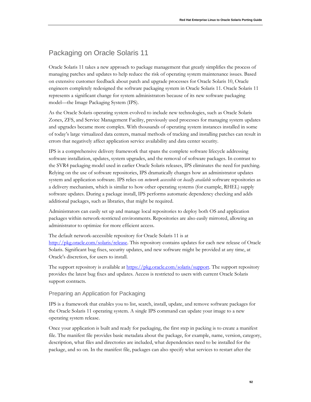# Packaging on Oracle Solaris 11

Oracle Solaris 11 takes a new approach to package management that greatly simplifies the process of managing patches and updates to help reduce the risk of operating system maintenance issues. Based on extensive customer feedback about patch and upgrade processes for Oracle Solaris 10, Oracle engineers completely redesigned the software packaging system in Oracle Solaris 11. Oracle Solaris 11 represents a significant change for system administrators because of its new software packaging model—the Image Packaging System (IPS).

As the Oracle Solaris operating system evolved to include new technologies, such as Oracle Solaris Zones, ZFS, and Service Management Facility, previously used processes for managing system updates and upgrades became more complex. With thousands of operating system instances installed in some of today's large virtualized data centers, manual methods of tracking and installing patches can result in errors that negatively affect application service availability and data center security.

IPS is a comprehensive delivery framework that spans the complete software lifecycle addressing software installation, updates, system upgrades, and the removal of software packages. In contrast to the SVR4 packaging model used in earlier Oracle Solaris releases, IPS eliminates the need for patching. Relying on the use of software repositories, IPS dramatically changes how an administrator updates system and application software. IPS relies on *network accessible* or *locally available* software repositories as a delivery mechanism, which is similar to how other operating systems (for example, RHEL) supply software updates. During a package install, IPS performs automatic dependency checking and adds additional packages, such as libraries, that might be required.

Administrators can easily set up and manage local repositories to deploy both OS and application packages within network-restricted environments. Repositories are also easily mirrored, allowing an administrator to optimize for more efficient access.

The default network-accessible repository for Oracle Solaris 11 is at [http://pkg.oracle.com/solaris/release.](http://pkg.oracle.com/solaris/release) This repository contains updates for each new release of Oracle Solaris. Significant bug fixes, security updates, and new software might be provided at any time, at Oracle's discretion, for users to install.

The support repository is available at [https://pkg.oracle.com/solaris/support.](https://pkg.oracle.com/solaris/support) The support repository provides the latest bug fixes and updates. Access is restricted to users with current Oracle Solaris support contracts.

### Preparing an Application for Packaging

IPS is a framework that enables you to list, search, install, update, and remove software packages for the Oracle Solaris 11 operating system. A single IPS command can update your image to a new operating system release.

Once your application is built and ready for packaging, the first step in packing is to create a manifest file. The manifest file provides basic metadata about the package, for example, name, version, category, description, what files and directories are included, what dependencies need to be installed for the package, and so on. In the manifest file, packages can also specify what services to restart after the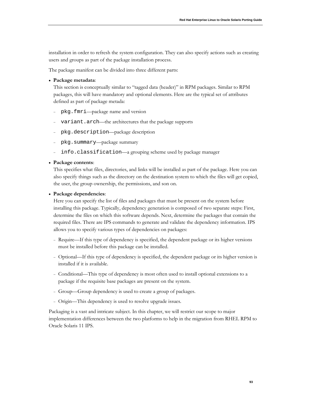installation in order to refresh the system configuration. They can also specify actions such as creating users and groups as part of the package installation process.

The package manifest can be divided into three different parts:

#### • **Package metadata**:

This section is conceptually similar to "tagged data (header)" in RPM packages. Similar to RPM packages, this will have mandatory and optional elements. Here are the typical set of attributes defined as part of package metada:

- pkg.fmri—package name and version
- variant.arch—the architectures that the package supports
- pkg.description—package description
- pkg.summary—package summary
- info.classification—a grouping scheme used by package manager

#### • **Package contents**:

This specifies what files, directories, and links will be installed as part of the package. Here you can also specify things such as the directory on the destination system to which the files will get copied, the user, the group ownership, the permissions, and son on.

#### • **Package dependencies**:

Here you can specify the list of files and packages that must be present on the system before installing this package. Typically, dependency generation is composed of two separate steps: First, determine the files on which this software depends. Next, determine the packages that contain the required files. There are IPS commands to generate and validate the dependency information. IPS allows you to specify various types of dependencies on packages:

- <sup>−</sup> Require—If this type of dependency is specified, the dependent package or its higher versions must be installed before this package can be installed.
- <sup>−</sup> Optional—If this type of dependency is specified, the dependent package or its higher version is installed if it is available.
- <sup>−</sup> Conditional—This type of dependency is most often used to install optional extensions to a package if the requisite base packages are present on the system.
- <sup>−</sup> Group—Group dependency is used to create a group of packages.
- <sup>−</sup> Origin—This dependency is used to resolve upgrade issues.

Packaging is a vast and intricate subject. In this chapter, we will restrict our scope to major implementation differences between the two platforms to help in the migration from RHEL RPM to Oracle Solaris 11 IPS.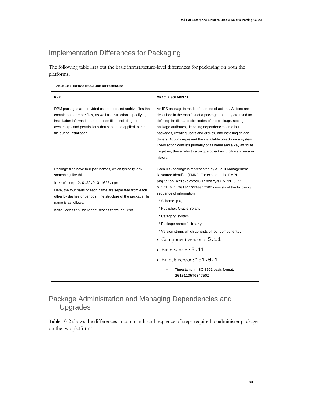# Implementation Differences for Packaging

The following table lists out the basic infrastructure-level differences for packaging on both the platforms.

#### **TABLE 10-1. INFRASTRUCTURE DIFFERENCES**

| <b>RHEL</b>                                                                                                                                                                                                                                                                                                      | <b>ORACLE SOLARIS 11</b>                                                                                                                                                                                                                                                                                                                                                                                                                                                                                                             |
|------------------------------------------------------------------------------------------------------------------------------------------------------------------------------------------------------------------------------------------------------------------------------------------------------------------|--------------------------------------------------------------------------------------------------------------------------------------------------------------------------------------------------------------------------------------------------------------------------------------------------------------------------------------------------------------------------------------------------------------------------------------------------------------------------------------------------------------------------------------|
| RPM packages are provided as compressed archive files that<br>contain one or more files, as well as instructions specifying<br>installation information about those files, including the<br>ownerships and permissions that should be applied to each<br>file during installation.                               | An IPS package is made of a series of actions. Actions are<br>described in the manifest of a package and they are used for<br>defining the files and directories of the package, setting<br>package attributes, declaring dependencies on other<br>packages, creating users and groups, and installing device<br>drivers. Actions represent the installable objects on a system.<br>Every action consists primarily of its name and a key attribute.<br>Together, these refer to a unique object as it follows a version<br>history. |
| Package files have four-part names, which typically look<br>something like this:<br>kernel-smp-2.6.32.9-3.i686.rpm<br>Here, the four parts of each name are separated from each<br>other by dashes or periods. The structure of the package file<br>name is as follows:<br>name-version-release.architecture.rpm | Each IPS package is represented by a Fault Management<br>Resource Identifier (FMRI). For example, the FMRI<br>pkg://solaris/system/library@0.5.11,5.11-<br>0.151.0.1:20101105T004750Z consists of the following<br>sequence of information:<br>* Scheme: pkq<br>* Publisher: Oracle Solaris<br>* Category: system<br>* Package name: library<br>* Version string, which consists of four components :<br>Component version : 5.11<br>$\bullet$ Build version: $5.11$                                                                 |
|                                                                                                                                                                                                                                                                                                                  | • Branch version: $151.0.1$<br>Timestamp in ISO-8601 basic format:<br>20101105T004750Z                                                                                                                                                                                                                                                                                                                                                                                                                                               |

# Package Administration and Managing Dependencies and Upgrades

Table 10-2 shows the differences in commands and sequence of steps required to administer packages on the two platforms.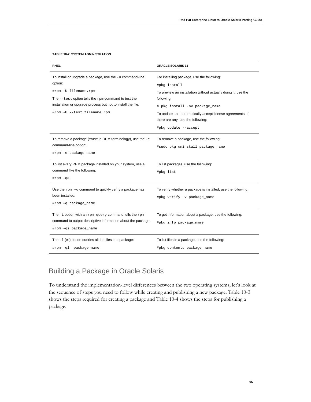| <b>RHEL</b>                                                                                                                                                                                                              | <b>ORACLE SOLARIS 11</b>                                                                                                                                                    |
|--------------------------------------------------------------------------------------------------------------------------------------------------------------------------------------------------------------------------|-----------------------------------------------------------------------------------------------------------------------------------------------------------------------------|
| To install or upgrade a package, use the -U command-line<br>option:<br>#rpm -U filename.rpm<br>The $-$ -test option tells the $r$ pm command to test the<br>installation or upgrade process but not to install the file: | For installing package, use the following:<br>#pkg install<br>To preview an installation without actually doing it, use the<br>following:<br># pkg install -nv package_name |
| #rpm -U --test filename.rpm                                                                                                                                                                                              | To update and automatically accept license agreements, if<br>there are any, use the following:<br>#pkg update --accept                                                      |
| To remove a package (erase in RPM terminology), use the $-e$<br>command-line option:<br>#rpm -e package_name                                                                                                             | To remove a package, use the following:<br>#sudo pkg uninstall package_name                                                                                                 |
| To list every RPM package installed on your system, use a<br>command like the following.<br>#rpm -qa                                                                                                                     | To list packages, use the following:<br>#pkg list                                                                                                                           |
| Use the $r$ pm $-q$ command to quickly verify a package has<br>been installed:<br>#rpm -q package_name                                                                                                                   | To verify whether a package is installed, use the following:<br>#pkg verify -v package_name                                                                                 |
| The $-i$ option with an $r$ pm query command tells the $r$ pm<br>command to output descriptive information about the package.<br>#rpm -qi package_name                                                                   | To get information about a package, use the following:<br>#pkg info package_name                                                                                            |
| The $-1$ (ell) option queries all the files in a package:<br>#rpm -ql package_name                                                                                                                                       | To list files in a package, use the following:<br>#pkg contents package_name                                                                                                |

#### **TABLE 10-2. SYSTEM ADMINISTRATION**

# Building a Package in Oracle Solaris

To understand the implementation-level differences between the two operating systems, let's look at the sequence of steps you need to follow while creating and publishing a new package. Table 10-3 shows the steps required for creating a package and Table 10-4 shows the steps for publishing a package.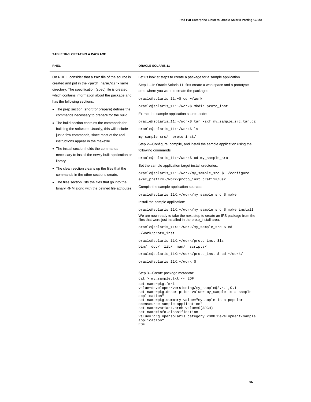#### **TABLE 10-3. CREATING A PACKAGE**

| <b>RHEL</b>                                                                                                                                                                                                                                                                                                                                                                                                                                                                                                                                                                                                                                                                                                                                                                                                                                                               | <b>ORACLE SOLARIS 11</b>                                                                                                                                                                                                                                                                                                                                                                                                                                                                                                                                                                                                                                                                                                                                                                                                                                                                                                                                                                                                                                                                                                                                                                                                                                                                                            |
|---------------------------------------------------------------------------------------------------------------------------------------------------------------------------------------------------------------------------------------------------------------------------------------------------------------------------------------------------------------------------------------------------------------------------------------------------------------------------------------------------------------------------------------------------------------------------------------------------------------------------------------------------------------------------------------------------------------------------------------------------------------------------------------------------------------------------------------------------------------------------|---------------------------------------------------------------------------------------------------------------------------------------------------------------------------------------------------------------------------------------------------------------------------------------------------------------------------------------------------------------------------------------------------------------------------------------------------------------------------------------------------------------------------------------------------------------------------------------------------------------------------------------------------------------------------------------------------------------------------------------------------------------------------------------------------------------------------------------------------------------------------------------------------------------------------------------------------------------------------------------------------------------------------------------------------------------------------------------------------------------------------------------------------------------------------------------------------------------------------------------------------------------------------------------------------------------------|
| On RHEL, consider that a tar file of the source is<br>created and put in the /path name/dir-name<br>directory. The specification (spec) file is created,<br>which contains information about the package and<br>has the following sections:<br>• The prep section (short for prepare) defines the<br>commands necessary to prepare for the build.<br>• The build section contains the commands for<br>building the software. Usually, this will include<br>just a few commands, since most of the real<br>instructions appear in the makefile.<br>• The install section holds the commands<br>necessary to install the newly built application or<br>library.<br>• The clean section cleans up the files that the<br>commands in the other sections create.<br>• The files section lists the files that go into the<br>binary RPM along with the defined file attributes. | Let us look at steps to create a package for a sample application.<br>Step 1-In Oracle Solaris 11, first create a workspace and a prototype<br>area where you want to create the package:<br>oracle@solaris_11:~\$ cd ~/work<br>oracle@solaris_11:~/work\$ mkdir proto_inst<br>Extract the sample application source code:<br>oracle@solaris_11:~/work\$ tar -zxf my_sample_src.tar.gz<br>oracle@solaris_11:~/work\$ ls<br>my_sample_src/ proto_inst/<br>Step 2—Configure, compile, and install the sample application using the<br>following commands:<br>oracle@solaris_11:~/work\$ cd my_sample_src<br>Set the sample application target install drectories:<br>oracle@solaris_11:~/work/my_sample_src \$ ./configure<br>exec_prefix=~/work/proto_inst prefix=/usr<br>Compile the sample application sources:<br>oracle@solaris_11X:~/work/my_sample_src \$ make<br>Install the sample application:<br>oracle@solaris_11X:~/work/my_sample_src \$ make install<br>We are now ready to take the next step to create an IPS package from the<br>files that were just installed in the proto_install area.<br>oracle@solaris_11X:~/work/my_sample_src \$ cd<br>~/work/proto_inst<br>oracle@solaris_11X:~/work/proto_inst \$ls<br>bin/ doc/ lib/ man/ scripts/<br>oracle@solaris_11X:~/work/proto_inst \$ cd ~/work/ |
|                                                                                                                                                                                                                                                                                                                                                                                                                                                                                                                                                                                                                                                                                                                                                                                                                                                                           | oracle@solaris_11X:~/work \$<br>Step 3-Create package metadata:<br>cat > my_sample.txt << EOF<br>set name=pkg.fmri<br>value=developer/versioning/my_sample@2_4_1_0_1                                                                                                                                                                                                                                                                                                                                                                                                                                                                                                                                                                                                                                                                                                                                                                                                                                                                                                                                                                                                                                                                                                                                                |

```
value=developer/versioning/my_sample@2.4.1,0.1
set name=pkg.description value="my_sample is a sample 
application"
set name=pkg.summary value="mysample is a popular 
opensource sample application"
set name=variant.arch value=$(ARCH)
set name=info.classification 
value="org.opensolaris.category.2008:Development/sample 
application"
EOF
```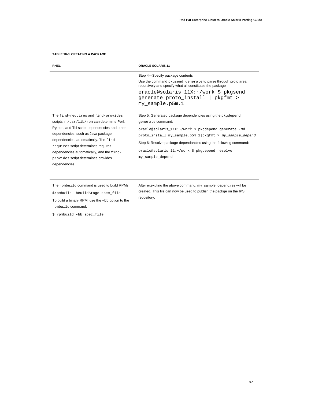#### **TABLE 10-3. CREATING A PACKAGE**

| <b>RHEL</b>                                                                                                                                                                                                                                                                                                                                                     | <b>ORACLE SOLARIS 11</b>                                                                                                                                                                                                                                                                                                                                               |
|-----------------------------------------------------------------------------------------------------------------------------------------------------------------------------------------------------------------------------------------------------------------------------------------------------------------------------------------------------------------|------------------------------------------------------------------------------------------------------------------------------------------------------------------------------------------------------------------------------------------------------------------------------------------------------------------------------------------------------------------------|
|                                                                                                                                                                                                                                                                                                                                                                 | Step 4-Specify package contents<br>Use the command pkgsend generate to parse through proto area<br>recursively and specify what all constitutes the package<br>oracle@solaris 11X:~/work \$ pkgsend<br>generate proto_install   pkgfmt ><br>my sample.p5m.1                                                                                                            |
| The find-requires and find-provides<br>scripts in /usr/lib/rpm can determine Perl,<br>Python, and Tcl script dependencies and other<br>dependencies, such as Java package<br>dependencies, automatically. The find-<br>requires script determines requires<br>dependencies automatically, and the find-<br>provides script determines provides<br>dependencies. | Step 5: Generated package dependencies using the pkgdepend<br>generate command:<br>oracle@solaris_11X:~/work \$ pkgdepend generate -md<br>$\text{proto}\_ \text{install}$ my_sample.p5m.1 $\text{pkgfmt}$ > my_sample_depend<br>Step 6: Resolve package dependancies using the following command:<br>oracle@solaris_11:~/work \$ pkgdepend resolve<br>my sample depend |
| The rpmbuild command is used to build RPMs:<br>\$rpmbuild -bBuildStage spec_file<br>To build a binary RPM, use the -bb option to the<br>rpmbuild command:<br>\$ rpmbuild -bb spec file                                                                                                                                                                          | After exexuting the above command, my_sample_depend.res will be<br>created. This file can now be used to publish the packge on the IPS<br>repository.                                                                                                                                                                                                                  |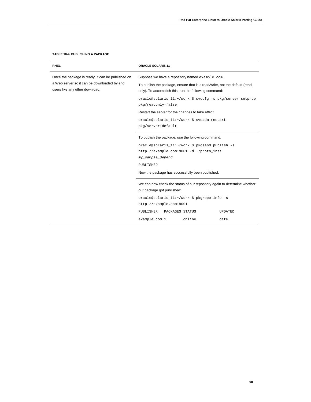#### **TABLE 10-4. PUBLISHING A PACKAGE**

| <b>RHEL</b>                                                                                                                        | ORACLE SOLARIS 11                                                                                                                                                                        |
|------------------------------------------------------------------------------------------------------------------------------------|------------------------------------------------------------------------------------------------------------------------------------------------------------------------------------------|
| Once the package is ready, it can be published on<br>a Web server so it can be downloaded by end<br>users like any other download. | Suppose we have a repository named example.com.<br>To publish the package, ensure that it is read/write, not the default (read-<br>only). To accomplish this, run the following command: |
|                                                                                                                                    | oracle@solaris_11:~/work \$ svccfg -s pkg/server setprop<br>pkg/readonly=false                                                                                                           |
|                                                                                                                                    | Restart the server for the changes to take effect:                                                                                                                                       |
|                                                                                                                                    | oracle@solaris_11:~/work \$ svcadm restart<br>pkg/server:default                                                                                                                         |
|                                                                                                                                    | To publish the package, use the following command:                                                                                                                                       |
|                                                                                                                                    | oracle@solaris_11:~/work \$ pkgsend publish -s<br>http://example.com:9001 -d ./proto_inst                                                                                                |
|                                                                                                                                    | my_sample_depend                                                                                                                                                                         |
|                                                                                                                                    | PUBLISHED                                                                                                                                                                                |
|                                                                                                                                    | Now the package has successfully been published.                                                                                                                                         |
|                                                                                                                                    | We can now check the status of our repository again to determine whether<br>our package got published:                                                                                   |
|                                                                                                                                    | oracle@solaris_11:~/work \$ pkgrepo info -s                                                                                                                                              |
|                                                                                                                                    | http://example.com:9001                                                                                                                                                                  |
|                                                                                                                                    | PUBLISHER<br><b>UPDATED</b><br>PACKAGES STATUS                                                                                                                                           |
|                                                                                                                                    | online<br>example.com 1<br>date                                                                                                                                                          |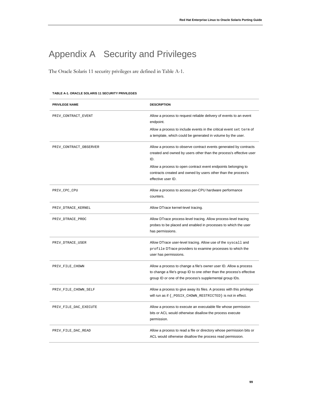# Appendix A Security and Privileges

The Oracle Solaris 11 security privileges are defined in Table A-1.

| <b>PRIVILEGE NAME</b>  | <b>DESCRIPTION</b>                                                                                                                                                                                     |
|------------------------|--------------------------------------------------------------------------------------------------------------------------------------------------------------------------------------------------------|
| PRIV_CONTRACT_EVENT    | Allow a process to request reliable delivery of events to an event<br>endpoint.                                                                                                                        |
|                        | Allow a process to include events in the critical event set term of<br>a template, which could be generated in volume by the user.                                                                     |
| PRIV_CONTRACT_OBSERVER | Allow a process to observe contract events generated by contracts<br>created and owned by users other than the process's effective user<br>ID.                                                         |
|                        | Allow a process to open contract event endpoints belonging to<br>contracts created and owned by users other than the process's<br>effective user ID.                                                   |
| PRIV_CPC_CPU           | Allow a process to access per-CPU hardware performance<br>counters.                                                                                                                                    |
| PRIV_DTRACE_KERNEL     | Allow DTrace kernel-level tracing.                                                                                                                                                                     |
| PRIV_DTRACE_PROC       | Allow DTrace process-level tracing. Allow process-level tracing<br>probes to be placed and enabled in processes to which the user<br>has permissions.                                                  |
| PRIV_DTRACE_USER       | Allow DTrace user-level tracing. Allow use of the syscall and<br>profile DTrace providers to examine processes to which the<br>user has permissions.                                                   |
| PRIV_FILE_CHOWN        | Allow a process to change a file's owner user ID. Allow a process<br>to change a file's group ID to one other than the process's effective<br>group ID or one of the process's supplemental group IDs. |
| PRIV_FILE_CHOWN_SELF   | Allow a process to give away its files. A process with this privilege<br>will run as if { _POSIX_CHOWN_RESTRICTED} is not in effect.                                                                   |
| PRIV_FILE_DAC_EXECUTE  | Allow a process to execute an executable file whose permission<br>bits or ACL would otherwise disallow the process execute<br>permission.                                                              |
| PRIV_FILE_DAC_READ     | Allow a process to read a file or directory whose permission bits or<br>ACL would otherwise disallow the process read permission.                                                                      |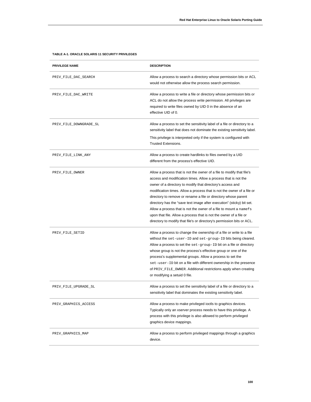| <b>PRIVILEGE NAME</b>  | <b>DESCRIPTION</b>                                                                                                                                                                                                                                                                                                                                                                                                                                                                                                                                                                                                                              |
|------------------------|-------------------------------------------------------------------------------------------------------------------------------------------------------------------------------------------------------------------------------------------------------------------------------------------------------------------------------------------------------------------------------------------------------------------------------------------------------------------------------------------------------------------------------------------------------------------------------------------------------------------------------------------------|
| PRIV_FILE_DAC_SEARCH   | Allow a process to search a directory whose permission bits or ACL<br>would not otherwise allow the process search permission.                                                                                                                                                                                                                                                                                                                                                                                                                                                                                                                  |
| PRIV_FILE_DAC_WRITE    | Allow a process to write a file or directory whose permission bits or<br>ACL do not allow the process write permission. All privileges are<br>required to write files owned by UID 0 in the absence of an<br>effective UID of 0.                                                                                                                                                                                                                                                                                                                                                                                                                |
| PRIV_FILE_DOWNGRADE_SL | Allow a process to set the sensitivity label of a file or directory to a<br>sensitivity label that does not dominate the existing sensitivity label.<br>This privilege is interpreted only if the system is configured with<br><b>Trusted Extensions.</b>                                                                                                                                                                                                                                                                                                                                                                                       |
| PRIV_FILE_LINK_ANY     | Allow a process to create hardlinks to files owned by a UID<br>different from the process's effective UID.                                                                                                                                                                                                                                                                                                                                                                                                                                                                                                                                      |
| PRIV_FILE_OWNER        | Allow a process that is not the owner of a file to modify that file's<br>access and modification times. Allow a process that is not the<br>owner of a directory to modify that directory's access and<br>modification times. Allow a process that is not the owner of a file or<br>directory to remove or rename a file or directory whose parent<br>directory has the "save text image after execution" (sticky) bit set.<br>Allow a process that is not the owner of a file to mount a namefs<br>upon that file. Allow a process that is not the owner of a file or<br>directory to modify that file's or directory's permission bits or ACL. |
| PRIV_FILE_SETID        | Allow a process to change the ownership of a file or write to a file<br>without the set-user-ID and set-group-ID bits being cleared.<br>Allow a process to set the $set$ -group-ID bit on a file or directory<br>whose group is not the process's effective group or one of the<br>process's supplemental groups. Allow a process to set the<br>set-user-ID bit on a file with different ownership in the presence<br>of PRIV_FILE_OWNER. Additional restrictions apply when creating<br>or modifying a setuid 0 file.                                                                                                                          |
| PRIV_FILE_UPGRADE_SL   | Allow a process to set the sensitivity label of a file or directory to a<br>sensitivity label that dominates the existing sensitivity label.                                                                                                                                                                                                                                                                                                                                                                                                                                                                                                    |
| PRIV_GRAPHICS_ACCESS   | Allow a process to make privileged ioctls to graphics devices.<br>Typically only an xserver process needs to have this privilege. A<br>process with this privilege is also allowed to perform privileged<br>graphics device mappings.                                                                                                                                                                                                                                                                                                                                                                                                           |
| PRIV_GRAPHICS_MAP      | Allow a process to perform privileged mappings through a graphics<br>device.                                                                                                                                                                                                                                                                                                                                                                                                                                                                                                                                                                    |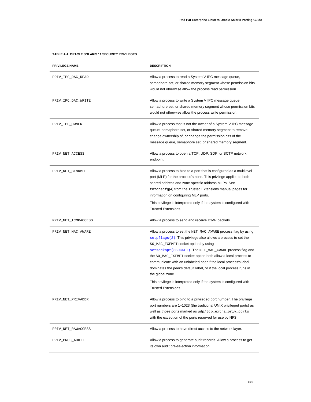| <b>PRIVILEGE NAME</b> | <b>DESCRIPTION</b>                                                                                                                                                                                                                                                                                                                                                                                                                                                                                                                                                |
|-----------------------|-------------------------------------------------------------------------------------------------------------------------------------------------------------------------------------------------------------------------------------------------------------------------------------------------------------------------------------------------------------------------------------------------------------------------------------------------------------------------------------------------------------------------------------------------------------------|
| PRIV_IPC_DAC_READ     | Allow a process to read a System V IPC message queue,<br>semaphore set, or shared memory segment whose permission bits<br>would not otherwise allow the process read permission.                                                                                                                                                                                                                                                                                                                                                                                  |
| PRIV_IPC_DAC_WRITE    | Allow a process to write a System V IPC message queue,<br>semaphore set, or shared memory segment whose permission bits<br>would not otherwise allow the process write permission.                                                                                                                                                                                                                                                                                                                                                                                |
| PRIV_IPC_OWNER        | Allow a process that is not the owner of a System V IPC message<br>queue, semaphore set, or shared memory segment to remove,<br>change ownership of, or change the permission bits of the<br>message queue, semaphore set, or shared memory segment.                                                                                                                                                                                                                                                                                                              |
| PRIV_NET_ACCESS       | Allow a process to open a TCP, UDP, SDP, or SCTP network<br>endpoint.                                                                                                                                                                                                                                                                                                                                                                                                                                                                                             |
| PRIV_NET_BINDMLP      | Allow a process to bind to a port that is configured as a multilevel<br>port (MLP) for the process's zone. This privilege applies to both<br>shared address and zone-specific address MLPs. See<br>tnzonecfg(4) from the Trusted Extensions manual pages for<br>information on configuring MLP ports.<br>This privilege is interpreted only if the system is configured with<br><b>Trusted Extensions.</b>                                                                                                                                                        |
| PRIV_NET_ICMPACCESS   | Allow a process to send and receive ICMP packets.                                                                                                                                                                                                                                                                                                                                                                                                                                                                                                                 |
| PRIV_NET_MAC_AWARE    | Allow a process to set the NET_MAC_AWARE process flag by using<br>setpflags (2). This privilege also allows a process to set the<br>SO_MAC_EXEMPT socket option by using<br>setsockopt (3SOCKET). The NET_MAC_AWARE process flag and<br>the SO_MAC_EXEMPT socket option both allow a local process to<br>communicate with an unlabeled peer if the local process's label<br>dominates the peer's default label, or if the local process runs in<br>the global zone.<br>This privilege is interpreted only if the system is configured with<br>Trusted Extensions. |
| PRIV_NET_PRIVADDR     | Allow a process to bind to a privileged port number. The privilege<br>port numbers are 1-1023 (the traditional UNIX privileged ports) as<br>well as those ports marked as udp/tcp_extra_priv_ports<br>with the exception of the ports reserved for use by NFS.                                                                                                                                                                                                                                                                                                    |
| PRIV_NET_RAWACCESS    | Allow a process to have direct access to the network layer.                                                                                                                                                                                                                                                                                                                                                                                                                                                                                                       |
| PRIV_PROC_AUDIT       | Allow a process to generate audit records. Allow a process to get<br>its own audit pre-selection information.                                                                                                                                                                                                                                                                                                                                                                                                                                                     |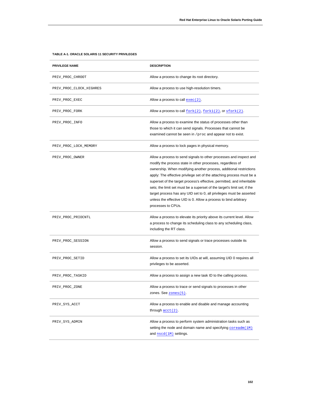| <b>PRIVILEGE NAME</b>   | <b>DESCRIPTION</b>                                                                                                                                                                                                                                                                                                                                                                                                                                                                                                                                                                                      |
|-------------------------|---------------------------------------------------------------------------------------------------------------------------------------------------------------------------------------------------------------------------------------------------------------------------------------------------------------------------------------------------------------------------------------------------------------------------------------------------------------------------------------------------------------------------------------------------------------------------------------------------------|
| PRIV_PROC_CHROOT        | Allow a process to change its root directory.                                                                                                                                                                                                                                                                                                                                                                                                                                                                                                                                                           |
| PRIV_PROC_CLOCK_HIGHRES | Allow a process to use high-resolution timers.                                                                                                                                                                                                                                                                                                                                                                                                                                                                                                                                                          |
| PRIV_PROC_EXEC          | Allow a process to call $exec(2)$ .                                                                                                                                                                                                                                                                                                                                                                                                                                                                                                                                                                     |
| PRIV_PROC_FORK          | Allow a process to call $fork(2)$ , $fork(2)$ , or $vfork(2)$ .                                                                                                                                                                                                                                                                                                                                                                                                                                                                                                                                         |
| PRIV_PROC_INFO          | Allow a process to examine the status of processes other than<br>those to which it can send signals. Processes that cannot be<br>examined cannot be seen in / proc and appear not to exist.                                                                                                                                                                                                                                                                                                                                                                                                             |
| PRIV_PROC_LOCK_MEMORY   | Allow a process to lock pages in physical memory.                                                                                                                                                                                                                                                                                                                                                                                                                                                                                                                                                       |
| PRIV_PROC_OWNER         | Allow a process to send signals to other processes and inspect and<br>modify the process state in other processes, regardless of<br>ownership. When modifying another process, additional restrictions<br>apply: The effective privilege set of the attaching process must be a<br>superset of the target process's effective, permitted, and inheritable<br>sets; the limit set must be a superset of the target's limit set; if the<br>target process has any UID set to 0, all privileges must be asserted<br>unless the effective UID is 0. Allow a process to bind arbitrary<br>processes to CPUs. |
| PRIV_PROC_PRIOCNTL      | Allow a process to elevate its priority above its current level. Allow<br>a process to change its scheduling class to any scheduling class,<br>including the RT class.                                                                                                                                                                                                                                                                                                                                                                                                                                  |
| PRIV_PROC_SESSION       | Allow a process to send signals or trace processes outside its<br>session.                                                                                                                                                                                                                                                                                                                                                                                                                                                                                                                              |
| PRIV_PROC_SETID         | Allow a process to set its UIDs at will, assuming UID 0 requires all<br>privileges to be asserted.                                                                                                                                                                                                                                                                                                                                                                                                                                                                                                      |
| PRIV_PROC_TASKID        | Allow a process to assign a new task ID to the calling process.                                                                                                                                                                                                                                                                                                                                                                                                                                                                                                                                         |
| PRIV_PROC_ZONE          | Allow a process to trace or send signals to processes in other<br>zones. See $zones(5)$ .                                                                                                                                                                                                                                                                                                                                                                                                                                                                                                               |
| PRIV_SYS_ACCT           | Allow a process to enable and disable and manage accounting<br>through $\text{acct}(2)$ .                                                                                                                                                                                                                                                                                                                                                                                                                                                                                                               |
| PRIV_SYS_ADMIN          | Allow a process to perform system administration tasks such as<br>setting the node and domain name and specifying $\frac{1}{1}$ $\frac{1}{1}$<br>and $nscd(1M)$ settings.                                                                                                                                                                                                                                                                                                                                                                                                                               |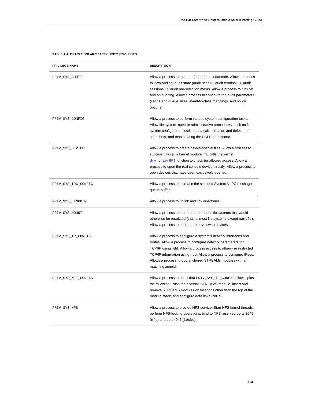| <b>PRIVILEGE NAME</b> | <b>DESCRIPTION</b>                                                                                                                                                                                                                                                                                                                                                   |
|-----------------------|----------------------------------------------------------------------------------------------------------------------------------------------------------------------------------------------------------------------------------------------------------------------------------------------------------------------------------------------------------------------|
| PRIV_SYS_AUDIT        | Allow a process to start the (kernel) audit daemon. Allow a process<br>to view and set audit state (audit user ID, audit terminal ID, audit<br>sessions ID, audit pre-selection mask). Allow a process to turn off<br>and on auditing. Allow a process to configure the audit parameters<br>(cache and queue sizes, event-to-class mappings, and policy<br>options). |
| PRIV_SYS_CONFIG       | Allow a process to perform various system configuration tasks.<br>Allow file system-specific administrative procedures, such as file<br>system configuration ioctls, quota calls, creation and deletion of<br>snapshots, and manipulating the PCFS boot sector.                                                                                                      |
| PRIV_SYS_DEVICES      | Allow a process to create device-special files. Allow a process to<br>successfully call a kernel module that calls the kernel<br>$\frac{div}{ }$ priv(9F) function to check for allowed access. Allow a<br>process to open the real console device directly. Allow a process to<br>open devices that have been exclusively opened.                                   |
| PRIV_SYS_IPC_CONFIG   | Allow a process to increase the size of a System V IPC message<br>queue buffer.                                                                                                                                                                                                                                                                                      |
| PRIV_SYS_LINKDIR      | Allow a process to unlink and link directories.                                                                                                                                                                                                                                                                                                                      |
| PRIV_SYS_MOUNT        | Allow a process to mount and unmount file systems that would<br>otherwise be restricted (that is, most file systems except namefs).<br>Allow a process to add and remove swap devices.                                                                                                                                                                               |
| PRIV_SYS_IP_CONFIG    | Allow a process to configure a system's network interfaces and<br>routes. Allow a process to configure network parameters for<br>TCP/IP using ndd. Allow a process access to otherwise restricted<br>TCP/IP information using ndd. Allow a process to configure IPsec.<br>Allows a process to pop anchored STREAMs modules with a<br>matching zoneid.                |
| PRIV_SYS_NET_CONFIG   | Allow a process to do all that PRIV_SYS_IP_CONFIG allows, plus<br>the following: Push the rpcmod STREAMS module, insert and<br>remove STREAMS modules on locations other than the top of the<br>module stack, and configure data links (NICs).                                                                                                                       |
| PRIV_SYS_NFS          | Allow a process to provide NFS service: Start NFS kernel threads,<br>perform NFS-locking operations, bind to NFS reserved ports 2049<br>$(nfs)$ and port 4045 (lockd).                                                                                                                                                                                               |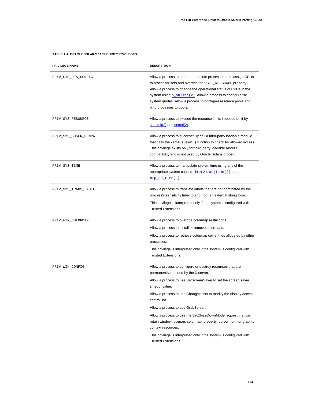## **PRIVILEGE NAME DESCRIPTION** PRIV\_SYS\_RES\_CONFIG Allow a process to create and delete processor sets, assign CPUs to processor sets and override the PSET\_NOESCAPE property. Allow a process to change the operational status of CPUs in the system using  $p\_online(2)$ . Allow a process to configure file system quotas. Allow a process to configure resource pools and bind processes to pools. PRIV\_SYS\_RESOURCE Allow a process to exceed the resource limits imposed on it by [setrlimit\(2\)](http://docs.oracle.com/docs/cd/E19253-01/816-5167/setrlimit-2/index.html) an[d setrctl\(2\).](http://docs.oracle.com/docs/cd/E19253-01/816-5167/setrctl-2/index.html) PRIV\_SYS\_SUSER\_COMPAT Allow a process to successfully call a third-party loadable module that calls the kernel suser() function to check for allowed access. This privilege exists only for third-party loadable module compatibility and is not used by Oracle Solaris proper. PRIV\_SYS\_TIME **Allow** a process to manipulate system time using any of the appropriate system calls:  $\frac{\text{stim}(2)}{\text{stim}(2)}$ , and [ntp\\_adjtime\(2\)](http://docs.oracle.com/docs/cd/E19253-01/816-5167/ntp-adjtime-2/index.html). PRIV\_SYS\_TRANS\_LABEL Allow a process to translate labels that are not dominated by the process's sensitivity label to and from an external string form. This privilege is interpreted only if the system is configured with Trusted Extensions. PRIV\_WIN\_COLORMAP Allow a process to override colormap restrictions. Allow a process to install or remove colormaps. Allow a process to retrieve colormap cell entries allocated by other processes. This privilege is interpreted only if the system is configured with Trusted Extensions. PRIV\_WIN\_CONFIG Allow a process to configure or destroy resources that are permanently retained by the X server. Allow a process to use SetScreenSaver to set the screen saver timeout value. Allow a process to use ChangeHosts to modify the display access control list. Allow a process to use GrabServer. Allow a process to use the SetCloseDownMode request that can retain window, pixmap, colormap, property, cursor, font, or graphic context resources. This privilege is interpreted only if the system is configured with

Trusted Extensions.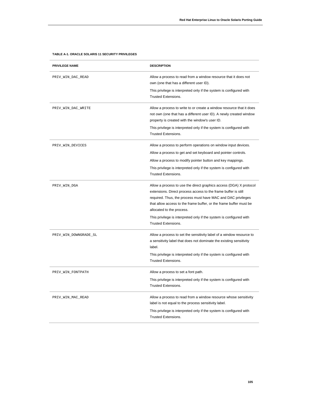| <b>PRIVILEGE NAME</b> | <b>DESCRIPTION</b>                                                                                                                                                                                                                                                                                                                                                                                           |
|-----------------------|--------------------------------------------------------------------------------------------------------------------------------------------------------------------------------------------------------------------------------------------------------------------------------------------------------------------------------------------------------------------------------------------------------------|
| PRIV_WIN_DAC_READ     | Allow a process to read from a window resource that it does not<br>own (one that has a different user ID).                                                                                                                                                                                                                                                                                                   |
|                       | This privilege is interpreted only if the system is configured with<br><b>Trusted Extensions.</b>                                                                                                                                                                                                                                                                                                            |
| PRIV_WIN_DAC_WRITE    | Allow a process to write to or create a window resource that it does<br>not own (one that has a different user ID). A newly created window<br>property is created with the window's user ID.<br>This privilege is interpreted only if the system is configured with                                                                                                                                          |
|                       | <b>Trusted Extensions.</b>                                                                                                                                                                                                                                                                                                                                                                                   |
| PRIV_WIN_DEVICES      | Allow a process to perform operations on window input devices.<br>Allow a process to get and set keyboard and pointer controls.<br>Allow a process to modify pointer button and key mappings.<br>This privilege is interpreted only if the system is configured with<br>Trusted Extensions.                                                                                                                  |
| PRIV_WIN_DGA          | Allow a process to use the direct graphics access (DGA) X protocol<br>extensions. Direct process access to the frame buffer is still<br>required. Thus, the process must have MAC and DAC privileges<br>that allow access to the frame buffer, or the frame buffer must be<br>allocated to the process.<br>This privilege is interpreted only if the system is configured with<br><b>Trusted Extensions.</b> |
| PRIV_WIN_DOWNGRADE_SL | Allow a process to set the sensitivity label of a window resource to<br>a sensitivity label that does not dominate the existing sensitivity<br>label.<br>This privilege is interpreted only if the system is configured with<br><b>Trusted Extensions.</b>                                                                                                                                                   |
| PRIV_WIN_FONTPATH     | Allow a process to set a font path.<br>This privilege is interpreted only if the system is configured with<br><b>Trusted Extensions.</b>                                                                                                                                                                                                                                                                     |
| PRIV_WIN_MAC_READ     | Allow a process to read from a window resource whose sensitivity<br>label is not equal to the process sensitivity label.<br>This privilege is interpreted only if the system is configured with<br><b>Trusted Extensions.</b>                                                                                                                                                                                |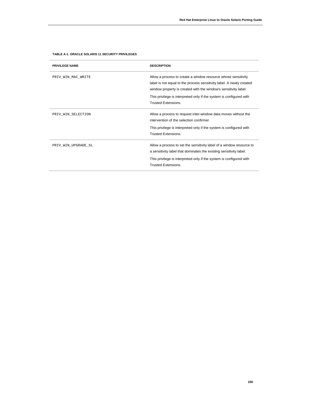| <b>PRIVILEGE NAME</b> | <b>DESCRIPTION</b>                                                                                                                                                                                       |
|-----------------------|----------------------------------------------------------------------------------------------------------------------------------------------------------------------------------------------------------|
| PRIV_WIN_MAC_WRITE    | Allow a process to create a window resource whose sensitivity<br>label is not equal to the process sensitivity label. A newly created<br>window property is created with the window's sensitivity label. |
|                       | This privilege is interpreted only if the system is configured with<br><b>Trusted Extensions.</b>                                                                                                        |
| PRIV WIN SELECTION    | Allow a process to request inter-window data moves without the<br>intervention of the selection confirmer                                                                                                |
|                       | This privilege is interpreted only if the system is configured with<br><b>Trusted Extensions</b>                                                                                                         |
| PRIV WIN UPGRADE SL   | Allow a process to set the sensitivity label of a window resource to<br>a sensitivity label that dominates the existing sensitivity label.                                                               |
|                       | This privilege is interpreted only if the system is configured with<br><b>Trusted Extensions</b>                                                                                                         |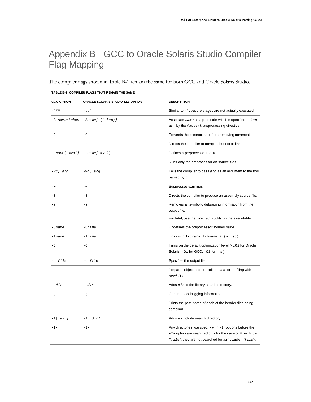# Appendix B GCC to Oracle Solaris Studio Compiler Flag Mapping

The compiler flags shown in Table B-1 remain the same for both GCC and Oracle Solaris Studio.

| <b>GCC OPTION</b> | ORACLE SOLARIS STUDIO 12.3 OPTION | <b>DESCRIPTION</b>                                                                                                                                                                    |
|-------------------|-----------------------------------|---------------------------------------------------------------------------------------------------------------------------------------------------------------------------------------|
| -###              | $-$ ###                           | Similar to $-\#$ , but the stages are not actually executed.                                                                                                                          |
|                   | -A name=token -Aname[ (token)]    | Associate name as a predicate with the specified token<br>as if by the #assert preprocessing directive.                                                                               |
| $-\mathbf{C}$     | $-C$                              | Prevents the preprocessor from removing comments.                                                                                                                                     |
| $-c$              | $-c$                              | Directs the compiler to compile, but not to link.                                                                                                                                     |
| $-Dname[ = val]$  | $-Dname[ = val]$                  | Defines a preprocessor macro.                                                                                                                                                         |
| $-E$              | $-E$                              | Runs only the preprocessor on source files.                                                                                                                                           |
| -Wc, arg          | $-Wc$ , arg                       | Tells the compiler to pass $arg$ as an argument to the tool<br>named by $c$ .                                                                                                         |
| $-w$              | $-w$                              | Suppresses warnings.                                                                                                                                                                  |
| $-S$              | $-S$                              | Directs the compiler to produce an assembly source file.                                                                                                                              |
| -s                | $-\mathbf{s}$                     | Removes all symbolic debugging information from the<br>output file.                                                                                                                   |
|                   |                                   | For Intel, use the Linux strip utility on the executable.                                                                                                                             |
| -Uname            | -Uname                            | Undefines the preprocessor symbol name.                                                                                                                                               |
| -lname            | $-lname$                          | Links with library libname.a (Or.so).                                                                                                                                                 |
| $-0$              | $-0$                              | Turns on the default optimization level $(-x_0)^2$ for Oracle<br>Solaris, -01 for GCC, -02 for Intel).                                                                                |
| -o file           | $-o$ $file$                       | Specifies the output file.                                                                                                                                                            |
| -p                | -p                                | Prepares object code to collect data for profiling with<br>prof (1).                                                                                                                  |
| $-Ldir$           | $-Ldir$                           | Adds dir to the library search directory.                                                                                                                                             |
| -g                | $-g$                              | Generates debugging information.                                                                                                                                                      |
| -H                | $-H$                              | Prints the path name of each of the header files being<br>compiled.                                                                                                                   |
| -I[ dir]          | $-I[dir]$                         | Adds an include search directory.                                                                                                                                                     |
| $-$<br>I $-$      | $-\mathbb{I}$ -                   | Any directories you specify with $-I$ options before the<br>$-I$ - option are searched only for the case of $\#$ include<br>"file"; they are not searched for #include <file>.</file> |

#### **TABLE B-1. COMPILER FLAGS THAT REMAIN THE SAME**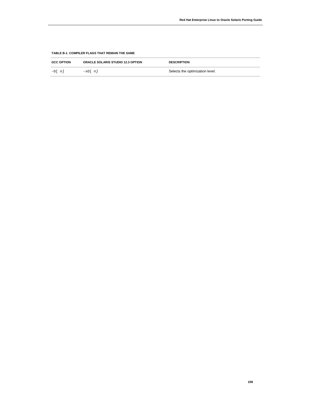## **TABLE B-1. COMPILER FLAGS THAT REMAIN THE SAME**

| <b>GCC OPTION</b> | <b>ORACLE SOLARIS STUDIO 12.3 OPTION</b> | <b>DESCRIPTION</b>              |
|-------------------|------------------------------------------|---------------------------------|
| $-0$ [ $n$ ]      | $-x0$ [ $n$ ]                            | Selects the optimization level. |